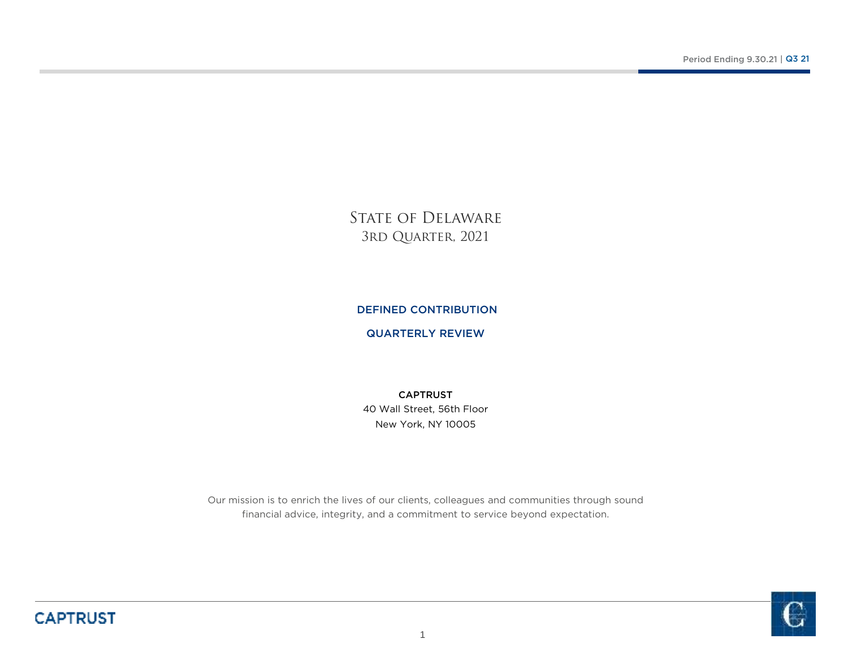STATE OF DELAWARE 3rd Quarter, 2021

### DEFINED CONTRIBUTION

### QUARTERLY REVIEW

New York, NY 1000540 Wall Street, 56th Floor CAPTRUST

Our mission is to enrich the lives of our clients, colleagues and communities through sound financial advice, integrity, and a commitment to service beyond expectation.

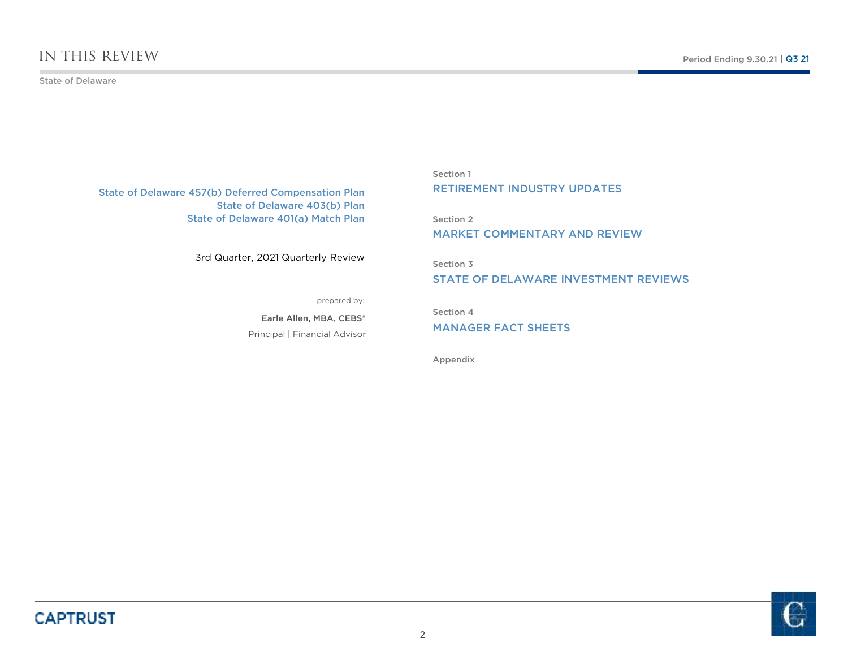### in this review

#### State of Delaware

State of Delaware 457(b) Deferred Compensation Plan State of Delaware 403(b) PlanState of Delaware 401(a) Match Plan

3rd Quarter, 2021 Quarterly Review

prepared by:

Principal | Financial AdvisorEarle Allen, MBA, CEBS®

Section 1RETIREMENT INDUSTRY UPDATES

Section 2MARKET COMMENTARY AND REVIEW

Section 3STATE OF DELAWARE INVESTMENT REVIEWS

Section 4

MANAGER FACT SHEETS

Appendix

**CAPTRUST** 

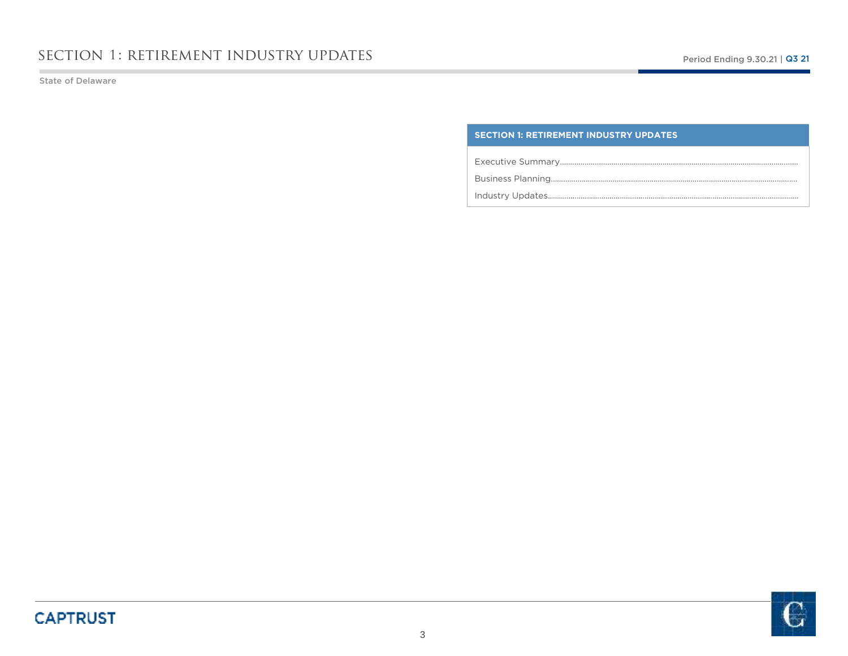State of Delaware

### **SECTION 1: RETIREMENT INDUSTRY UPDATES**

Executive Summary………………………………………………………………………….………………………….

Business Planning….………………………………………………………………………….………………………….

Industry Updates……………………………………………………………………………….………………………….

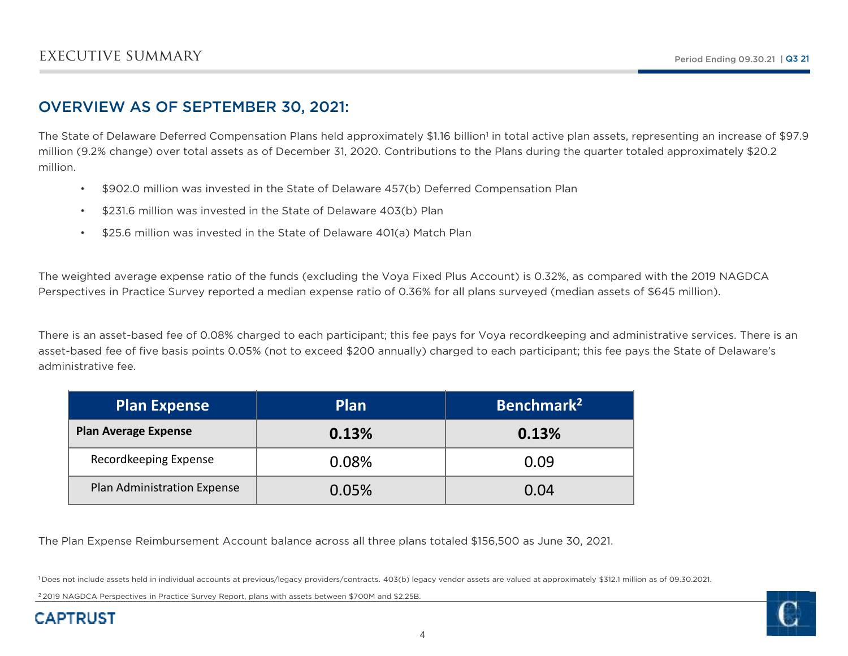### OVERVIEW AS OF SEPTEMBER 30, 2021:

The State of Delaware Deferred Compensation Plans held approximately \$1.16 billion<sup>1</sup> in total active plan assets, representing an increase of \$97.9 million (9.2% change) over total assets as of December 31, 2020. Contributions to the Plans during the quarter totaled approximately \$20.2 million.

- •\$902.0 million was invested in the State of Delaware 457(b) Deferred Compensation Plan
- \$231.6 million was invested in the State of Delaware 403(b) Plan
- •\$25.6 million was invested in the State of Delaware 401(a) Match Plan

The weighted average expense ratio of the funds (excluding the Voya Fixed Plus Account) is 0.32%, as compared with the 2019 NAGDCA Perspectives in Practice Survey reported a median expense ratio of 0.36% for all plans surveyed (median assets of \$645 million).

There is an asset-based fee of 0.08% charged to each participant; this fee pays for Voya recordkeeping and administrative services. There is an asset-based fee of five basis points 0.05% (not to exceed \$200 annually) charged to each participant; this fee pays the State of Delaware's administrative fee.

| <b>Plan Expense</b>         | <b>Plan</b> | Benchmark <sup>2</sup> |
|-----------------------------|-------------|------------------------|
| <b>Plan Average Expense</b> | 0.13%       | 0.13%                  |
| Recordkeeping Expense       | 0.08%       | 0.09                   |
| Plan Administration Expense | 0.05%       | 0.04                   |

The Plan Expense Reimbursement Account balance across all three plans totaled \$156,500 as June 30, 2021.

1 Does not include assets held in individual accounts at previous/legacy providers/contracts. 403(b) legacy vendor assets are valued at approximately \$312.1 million as of 09.30.2021.

<sup>2</sup> 2019 NAGDCA Perspectives in Practice Survey Report, plans with assets between \$700M and \$2.25B.

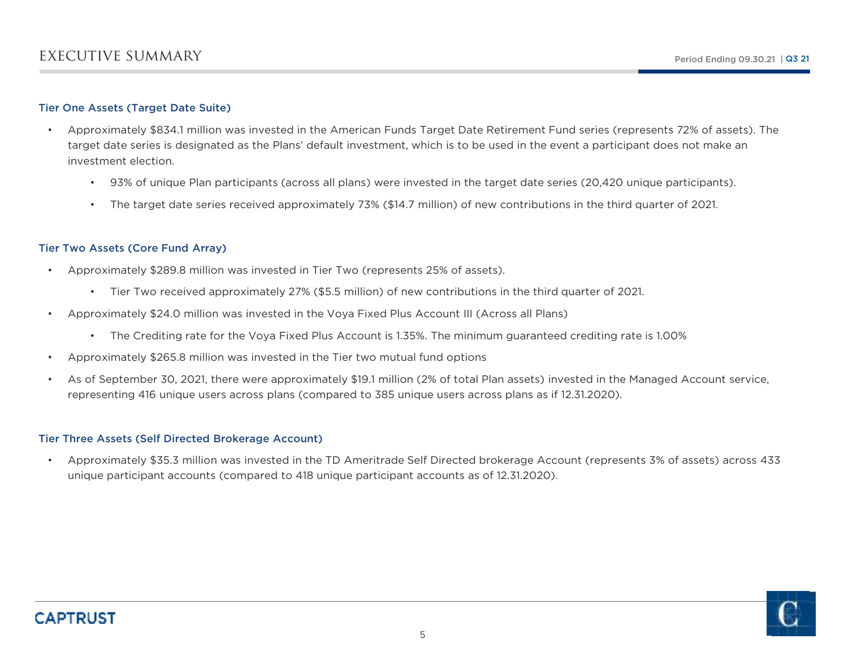### Tier One Assets (Target Date Suite)

- • Approximately \$834.1 million was invested in the American Funds Target Date Retirement Fund series (represents 72% of assets). The target date series is designated as the Plans' default investment, which is to be used in the event a participant does not make an investment election.
	- 93% of unique Plan participants (across all plans) were invested in the target date series (20,420 unique participants).
	- •The target date series received approximately 73% (\$14.7 million) of new contributions in the third quarter of 2021.

### Tier Two Assets (Core Fund Array)

- • Approximately \$289.8 million was invested in Tier Two (represents 25% of assets).
	- Tier Two received approximately 27% (\$5.5 million) of new contributions in the third quarter of 2021.
- • Approximately \$24.0 million was invested in the Voya Fixed Plus Account III (Across all Plans)
	- The Crediting rate for the Voya Fixed Plus Account is 1.35%. The minimum guaranteed crediting rate is 1.00%
- •Approximately \$265.8 million was invested in the Tier two mutual fund options
- • As of September 30, 2021, there were approximately \$19.1 million (2% of total Plan assets) invested in the Managed Account service, representing 416 unique users across plans (compared to 385 unique users across plans as if 12.31.2020).

### Tier Three Assets (Self Directed Brokerage Account)

• Approximately \$35.3 million was invested in the TD Ameritrade Self Directed brokerage Account (represents 3% of assets) across 433 unique participant accounts (compared to 418 unique participant accounts as of 12.31.2020).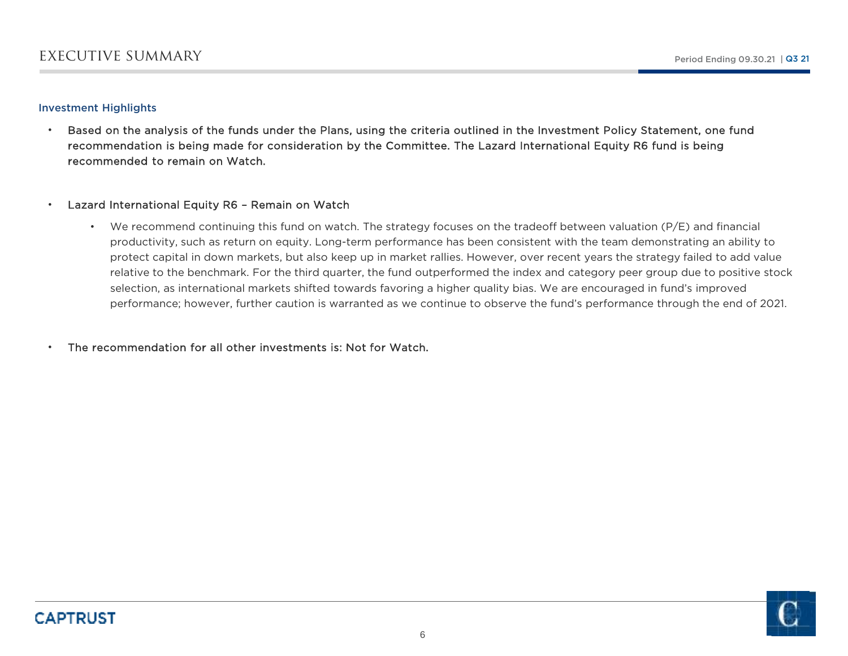### Investment Highlights

• Based on the analysis of the funds under the Plans, using the criteria outlined in the Investment Policy Statement, one fund recommendation is being made for consideration by the Committee. The Lazard International Equity R6 fund is being recommended to remain on Watch.

#### •Lazard International Equity R6 – Remain on Watch

•We recommend continuing this fund on watch. The strategy focuses on the tradeoff between valuation (P/E) and financial productivity, such as return on equity. Long-term performance has been consistent with the team demonstrating an ability to protect capital in down markets, but also keep up in market rallies. However, over recent years the strategy failed to add value relative to the benchmark. For the third quarter, the fund outperformed the index and category peer group due to positive stock selection, as international markets shifted towards favoring a higher quality bias. We are encouraged in fund's improved performance; however, further caution is warranted as we continue to observe the fund's performance through the end of 2021.

The recommendation for all other investments is: Not for Watch.

•

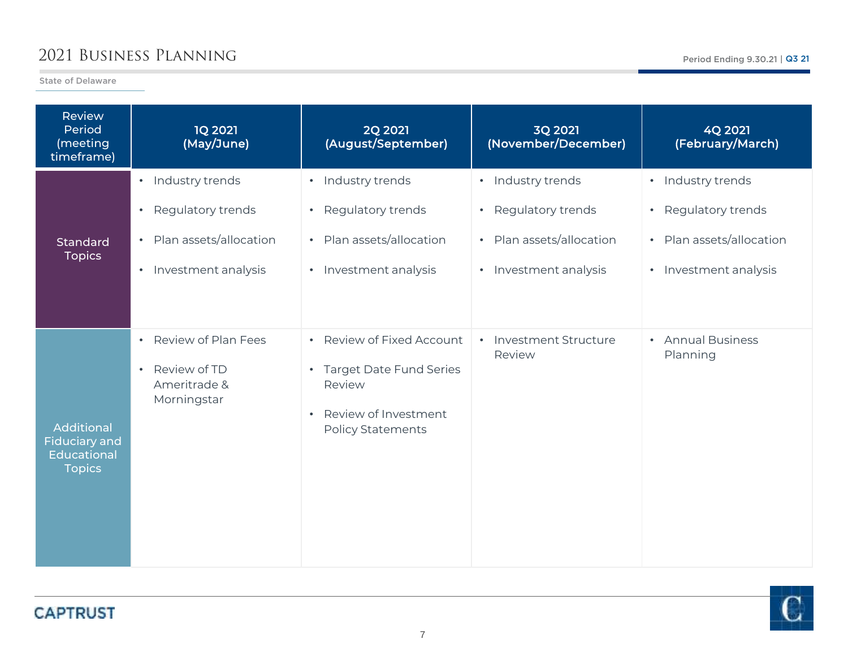## 2021 Business Planning

State of Delaware

r.

| <b>Review</b><br>Period<br>(meeting<br>timeframe)                         | <b>1Q 2021</b><br>(May/June)                                                                                        | <b>2Q 2021</b><br>(August/September)                                                                                              | <b>3Q 2021</b><br>(November/December)                                                                      | 4Q 2021<br>(February/March)                                                                                         |
|---------------------------------------------------------------------------|---------------------------------------------------------------------------------------------------------------------|-----------------------------------------------------------------------------------------------------------------------------------|------------------------------------------------------------------------------------------------------------|---------------------------------------------------------------------------------------------------------------------|
| Standard<br><b>Topics</b>                                                 | • Industry trends<br>Regulatory trends<br>$\bullet$<br>Plan assets/allocation<br>$\bullet$<br>• Investment analysis | · Industry trends<br>Regulatory trends<br>$\bullet$<br>• Plan assets/allocation<br>• Investment analysis                          | · Industry trends<br>Regulatory trends<br>$\bullet$ .<br>• Plan assets/allocation<br>• Investment analysis | · Industry trends<br>Regulatory trends<br>$\bullet$<br>Plan assets/allocation<br>$\bullet$<br>• Investment analysis |
| Additional<br><b>Fiduciary and</b><br><b>Educational</b><br><b>Topics</b> | • Review of Plan Fees<br>Review of TD<br>$\bullet$<br>Ameritrade &<br>Morningstar                                   | • Review of Fixed Account<br>• Target Date Fund Series<br>Review<br>Review of Investment<br>$\bullet$<br><b>Policy Statements</b> | • Investment Structure<br>Review                                                                           | • Annual Business<br>Planning                                                                                       |

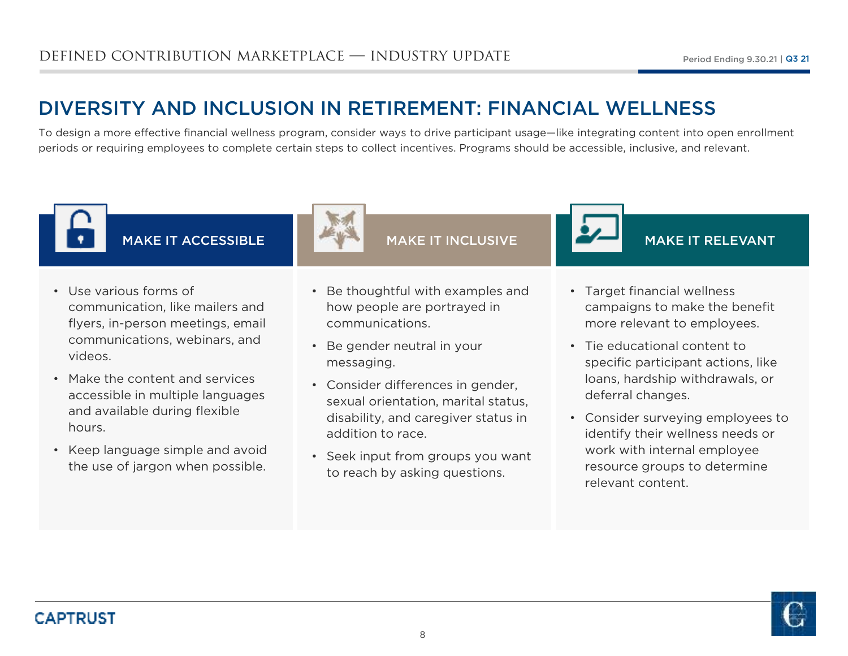# DIVERSITY AND INCLUSION IN RETIREMENT: FINANCIAL WELLNESS

 To design a more effective financial wellness program, consider ways to drive participant usage—like integrating content into open enrollment periods or requiring employees to complete certain steps to collect incentives. Programs should be accessible, inclusive, and relevant.



MAKE IT ACCESSIBLE

- Use various forms of communication, like mailers and flyers, in-person meetings, email communications, webinars, and videos.
- Make the content and services accessible in multiple languages and available during flexible hours.
- Keep language simple and avoid the use of jargon when possible.



MAKE IT INCLUSIVE

- Be thoughtful with examples and how people are portrayed in communications.
- Be gender neutral in your messaging.
- Consider differences in gender, sexual orientation, marital status, disability, and caregiver status in addition to race.
- Seek input from groups you want to reach by asking questions.



MAKE IT RELEVANT

- Target financial wellness campaigns to make the benefit more relevant to employees.
- Tie educational content to specific participant actions, like loans, hardship withdrawals, or deferral changes.
- Consider surveying employees to identify their wellness needs or work with internal employee resource groups to determine relevant content.

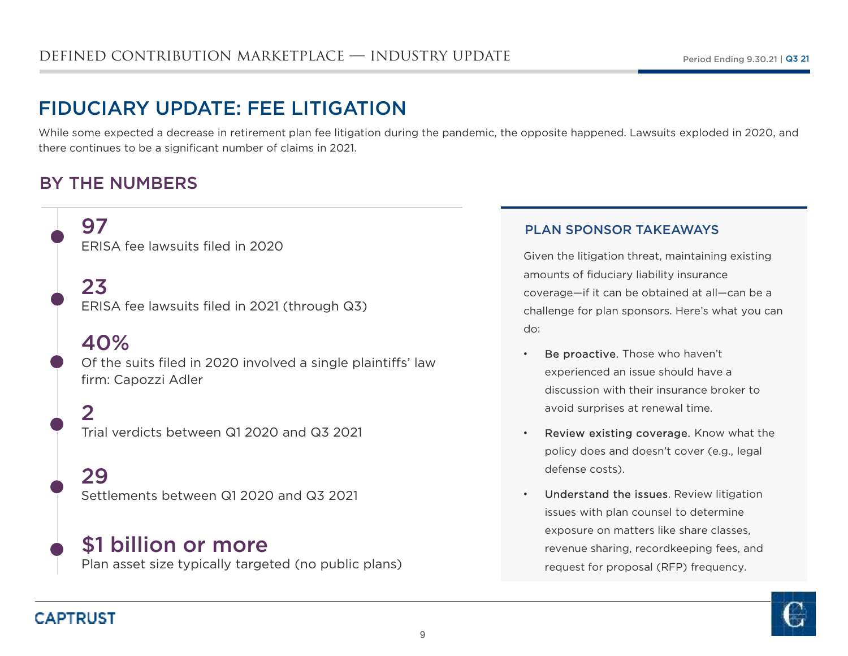# FIDUCIARY UPDATE: FEE LITIGATION

 While some expected a decrease in retirement plan fee litigation during the pandemic, the opposite happened. Lawsuits exploded in 2020, and there continues to be a significant number of claims in 2021.

### BY THE NUMBERS

97ERISA fee lawsuits filed in 2020

## 23

ERISA fee lawsuits filed in 2021 (through Q3)

## 40%

Of the suits filed in 2020 involved a single plaintiffs' law firm: Capozzi Adler

 $\mathbf{C}$ Trial verdicts between Q1 2020 and Q3 2021

29Settlements between Q1 2020 and Q3 2021

\$1 billion or morePlan asset size typically targeted (no public plans)

### PLAN SPONSOR TAKEAWAYS

•

Given the litigation threat, maintaining existing amounts of fiduciary liability insurance coverage—if it can be obtained at all—can be a challenge for plan sponsors. Here's what you can do:

- Be proactive. Those who haven't experienced an issue should have a discussion with their insurance broker to avoid surprises at renewal time.
- •• Review existing coverage. Know what the policy does and doesn't cover (e.g., legal defense costs).
- • Understand the issues. Review litigation issues with plan counsel to determine exposure on matters like share classes, revenue sharing, recordkeeping fees, and request for proposal (RFP) frequency.



## **CAPTRUST**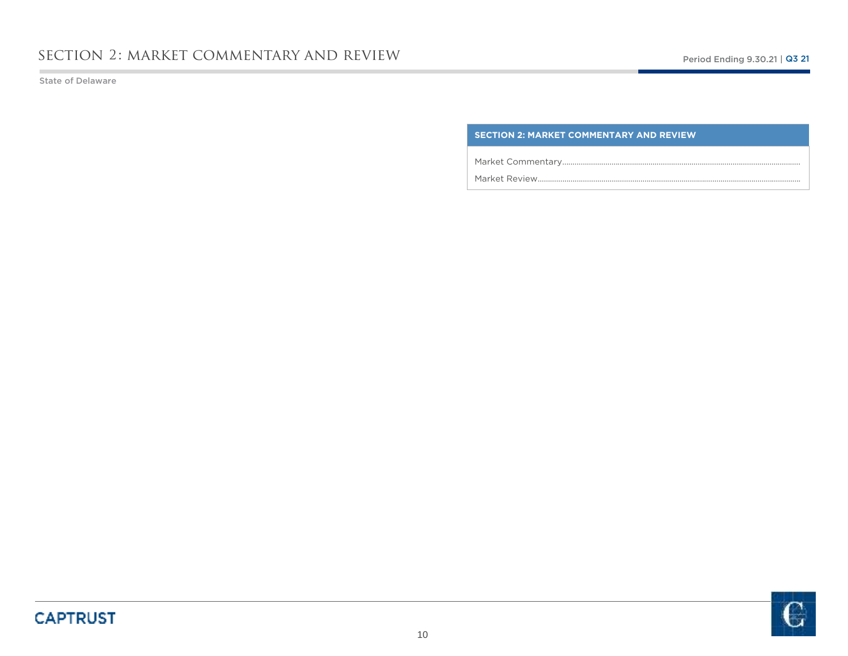State of Delaware

### **SECTION 2: MARKET COMMENTARY AND REVIEW**

Market Commentary……………………………………………………………………………………………………..

Market Review………………………………………………………………………………………………………………..



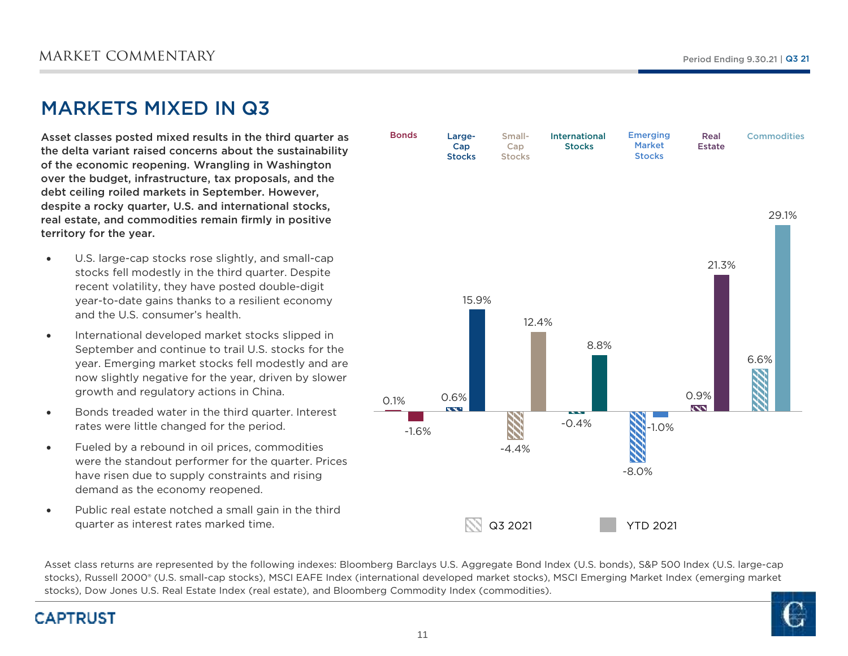## MARKETS MIXED IN Q3

Asset classes posted mixed results in the third quarter as the delta variant raised concerns about the sustainability of the economic reopening. Wrangling in Washington over the budget, infrastructure, tax proposals, and the debt ceiling roiled markets in September. However, despite a rocky quarter, U.S. and international stocks, real estate, and commodities remain firmly in positive territory for the year.

- $\bullet$  U.S. large-cap stocks rose slightly, and small-cap stocks fell modestly in the third quarter. Despite recent volatility, they have posted double-digit year-to-date gains thanks to a resilient economy and the U.S. consumer's health.
- $\bullet$  International developed market stocks slipped in September and continue to trail U.S. stocks for the year. Emerging market stocks fell modestly and are now slightly negative for the year, driven by slower growth and regulatory actions in China.
- $\bullet$  Bonds treaded water in the third quarter. Interest rates were little changed for the period.
- $\bullet$  Fueled by a rebound in oil prices, commodities were the standout performer for the quarter. Prices have risen due to supply constraints and rising demand as the economy reopened.
- 0 Public real estate notched a small gain in the third quarter as interest rates marked time.



Asset class returns are represented by the following indexes: Bloomberg Barclays U.S. Aggregate Bond Index (U.S. bonds), S&P 500 Index (U.S. large-cap stocks), Russell 2000® (U.S. small-cap stocks), MSCI EAFE Index (international developed market stocks), MSCI Emerging Market Index (emerging market stocks), Dow Jones U.S. Real Estate Index (real estate), and Bloomberg Commodity Index (commodities).

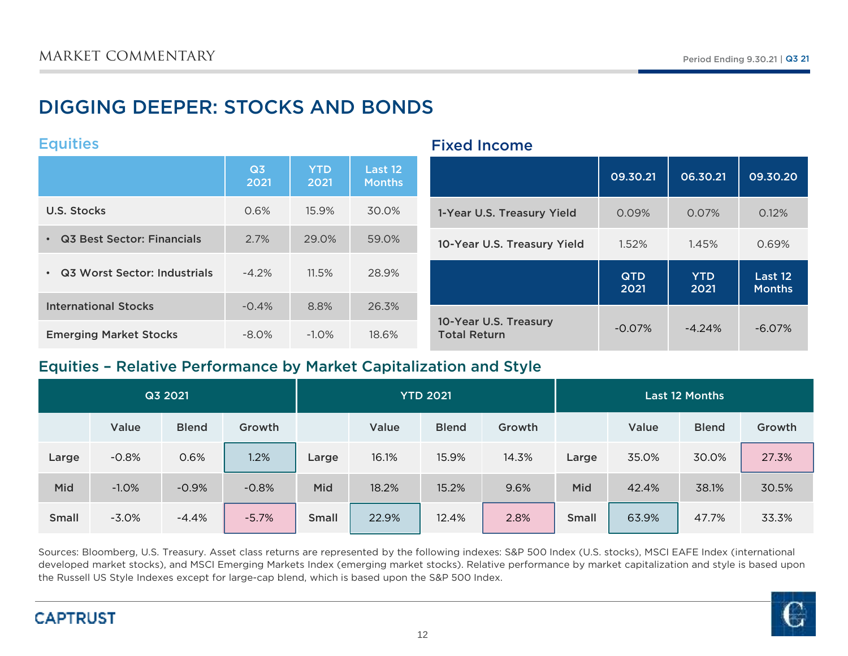# DIGGING DEEPER: STOCKS AND BONDS

### **Equities**

|                                | Q <sub>3</sub><br>2021 | <b>YTD</b><br>2021 | Last 12<br><b>Months</b> |                                              | 09.30.21           | 06.30.21           | 09.30.20                 |
|--------------------------------|------------------------|--------------------|--------------------------|----------------------------------------------|--------------------|--------------------|--------------------------|
| U.S. Stocks                    | 0.6%                   | 15.9%              | 30.0%                    | 1-Year U.S. Treasury Yield                   | 0.09%              | 0.07%              | 0.12%                    |
| • Q3 Best Sector: Financials   | 2.7%                   | 29.0%              | 59.0%                    | 10-Year U.S. Treasury Yield                  | 1.52%              | 1.45%              | 0.69%                    |
| • Q3 Worst Sector: Industrials | $-4.2%$                | 11.5%              | 28.9%                    |                                              | <b>QTD</b><br>2021 | <b>YTD</b><br>2021 | Last 12<br><b>Months</b> |
| <b>International Stocks</b>    | $-0.4%$                | 8.8%               | 26.3%                    |                                              |                    |                    |                          |
| <b>Emerging Market Stocks</b>  | $-8.0\%$               | $-1.0\%$           | 18.6%                    | 10-Year U.S. Treasury<br><b>Total Return</b> | $-0.07%$           | $-4.24%$           | $-6.07\%$                |

Fixed Income

### Equities – Relative Performance by Market Capitalization and Style

|              |         | Q3 2021      |         |              |       | <b>YTD 2021</b> |        |              |       | <b>Last 12 Months</b> |        |
|--------------|---------|--------------|---------|--------------|-------|-----------------|--------|--------------|-------|-----------------------|--------|
|              | Value   | <b>Blend</b> | Growth  |              | Value | <b>Blend</b>    | Growth |              | Value | <b>Blend</b>          | Growth |
| Large        | $-0.8%$ | 0.6%         | 1.2%    | Large        | 16.1% | 15.9%           | 14.3%  | Large        | 35.0% | 30.0%                 | 27.3%  |
| Mid          | $-1.0%$ | $-0.9%$      | $-0.8%$ | Mid          | 18.2% | 15.2%           | 9.6%   | Mid          | 42.4% | 38.1%                 | 30.5%  |
| <b>Small</b> | $-3.0%$ | $-4.4%$      | $-5.7%$ | <b>Small</b> | 22.9% | 12.4%           | 2.8%   | <b>Small</b> | 63.9% | 47.7%                 | 33.3%  |

Sources: Bloomberg, U.S. Treasury. Asset class returns are represented by the following indexes: S&P 500 Index (U.S. stocks), MSCI EAFE Index (international developed market stocks), and MSCI Emerging Markets Index (emerging market stocks). Relative performance by market capitalization and style is based upon the Russell US Style Indexes except for large-cap blend, which is based upon the S&P 500 Index.



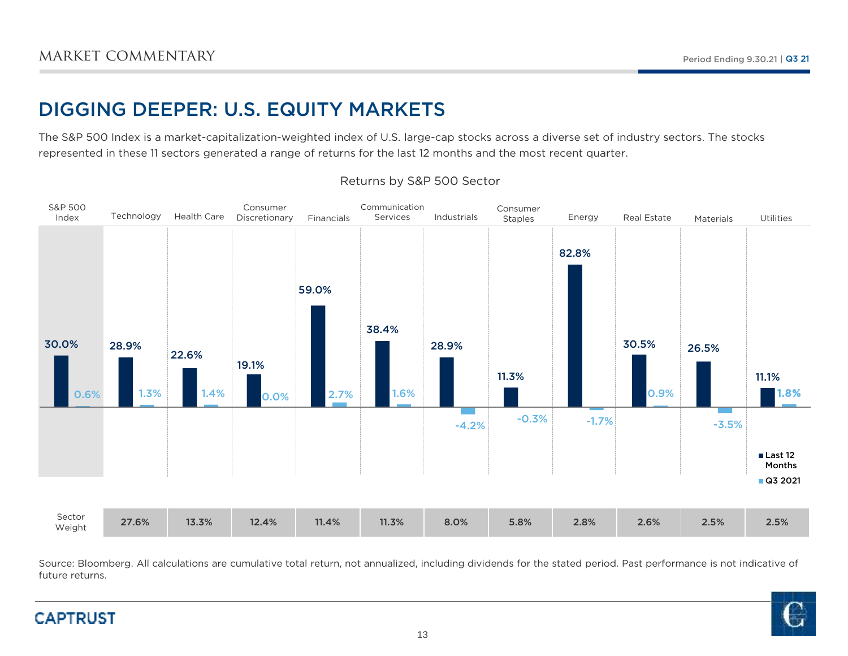# DIGGING DEEPER: U.S. EQUITY MARKETS

The S&P 500 Index is a market-capitalization-weighted index of U.S. large-cap stocks across a diverse set of industry sectors. The stocks represented in these 11 sectors generated a range of returns for the last 12 months and the most recent quarter.



### Returns by S&P 500 Sector

Source: Bloomberg. All calculations are cumulative total return, not annualized, including dividends for the stated period. Past performance is not indicative of future returns.

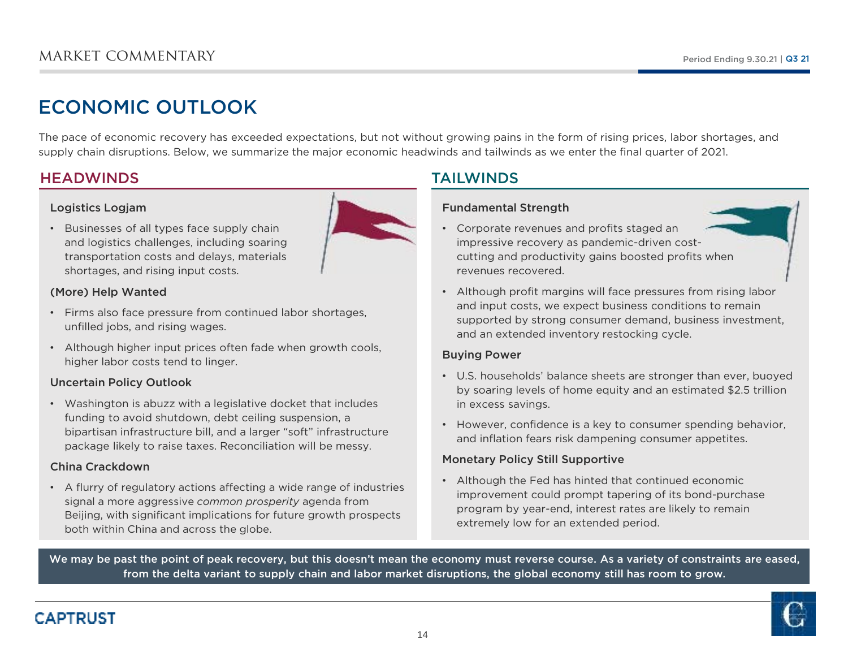# ECONOMIC OUTLOOK

The pace of economic recovery has exceeded expectations, but not without growing pains in the form of rising prices, labor shortages, and supply chain disruptions. Below, we summarize the major economic headwinds and tailwinds as we enter the final quarter of 2021.

### **HEADWINDS**

### Logistics Logjam



 • Businesses of all types face supply chain and logistics challenges, including soaring transportation costs and delays, materialsshortages, and rising input costs.

### (More) Help Wanted

- Firms also face pressure from continued labor shortages, unfilled jobs, and rising wages.
- Although higher input prices often fade when growth cools, higher labor costs tend to linger.

### Uncertain Policy Outlook

• Washington is abuzz with a legislative docket that includes funding to avoid shutdown, debt ceiling suspension, a bipartisan infrastructure bill, and a larger "soft" infrastructure package likely to raise taxes. Reconciliation will be messy.

### China Crackdown

• A flurry of regulatory actions affecting a wide range of industries signal a more aggressive *common prosperity* agenda from Beijing, with significant implications for future growth prospects both within China and across the globe.

### TAILWINDS

### Fundamental Strength

- Corporate revenues and profits staged an impressive recovery as pandemic-driven costcutting and productivity gains boosted profits when revenues recovered.
- Although profit margins will face pressures from rising labor and input costs, we expect business conditions to remain supported by strong consumer demand, business investment, and an extended inventory restocking cycle.

### Buying Power

- U.S. households' balance sheets are stronger than ever, buoyed by soaring levels of home equity and an estimated \$2.5 trillion in excess savings.
- However, confidence is a key to consumer spending behavior, and inflation fears risk dampening consumer appetites.

### Monetary Policy Still Supportive

• Although the Fed has hinted that continued economic improvement could prompt tapering of its bond-purchase program by year-end, interest rates are likely to remain extremely low for an extended period.

We may be past the point of peak recovery, but this doesn't mean the economy must reverse course. As a variety of constraints are eased, from the delta variant to supply chain and labor market disruptions, the global economy still has room to grow.



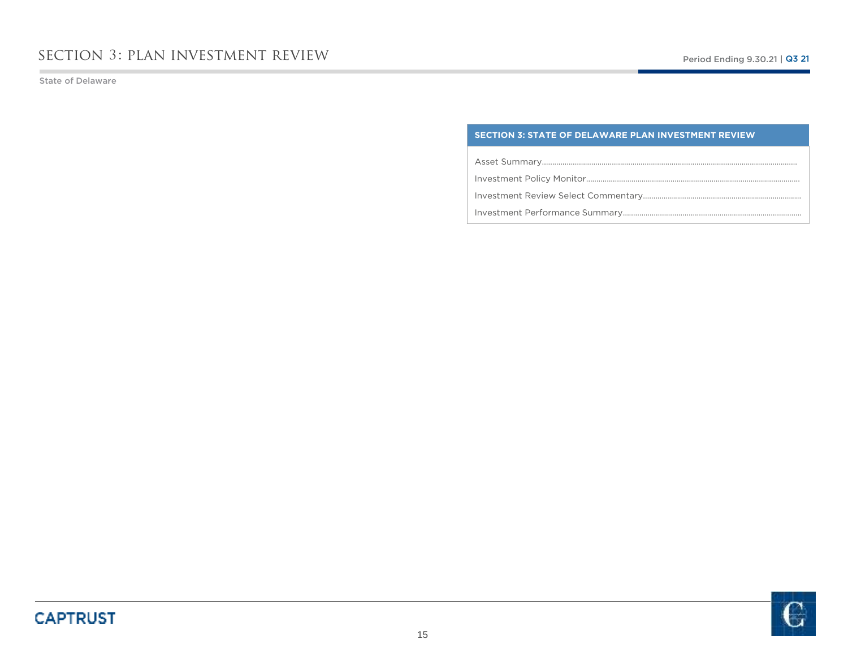State of Delaware

### **SECTION 3: STATE OF DELAWARE PLAN INVESTMENT REVIEW**

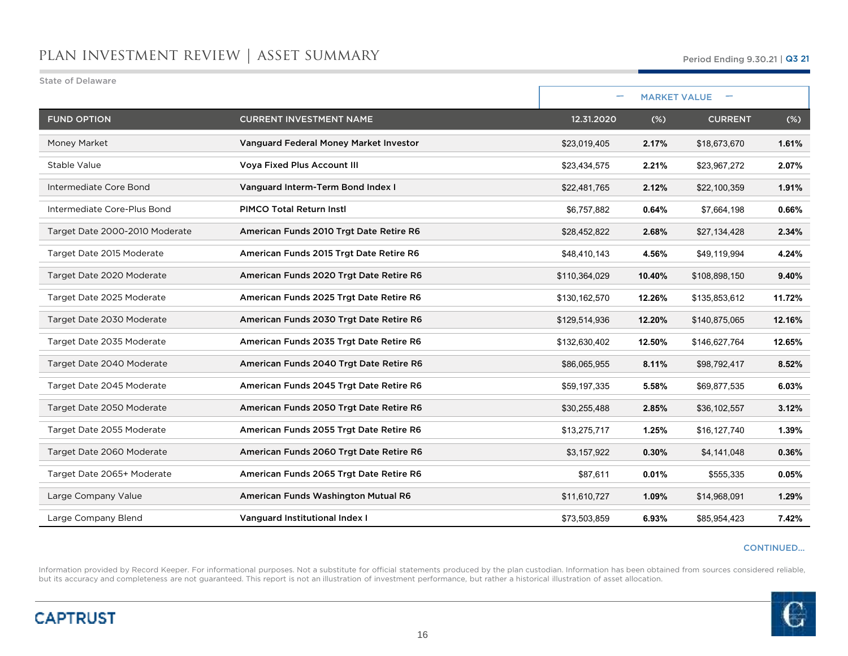| <b>State of Delaware</b>       |                                         |               |                     |                |        |
|--------------------------------|-----------------------------------------|---------------|---------------------|----------------|--------|
|                                |                                         |               | <b>MARKET VALUE</b> |                |        |
| <b>FUND OPTION</b>             | <b>CURRENT INVESTMENT NAME</b>          | 12.31.2020    | $(\%)$              | <b>CURRENT</b> | $(\%)$ |
| Money Market                   | Vanguard Federal Money Market Investor  | \$23,019,405  | 2.17%               | \$18,673,670   | 1.61%  |
| Stable Value                   | <b>Voya Fixed Plus Account III</b>      | \$23,434,575  | 2.21%               | \$23,967,272   | 2.07%  |
| Intermediate Core Bond         | Vanguard Interm-Term Bond Index I       | \$22,481,765  | 2.12%               | \$22,100,359   | 1.91%  |
| Intermediate Core-Plus Bond    | <b>PIMCO Total Return Instl</b>         | \$6,757,882   | 0.64%               | \$7,664,198    | 0.66%  |
| Target Date 2000-2010 Moderate | American Funds 2010 Trgt Date Retire R6 | \$28,452,822  | 2.68%               | \$27,134,428   | 2.34%  |
| Target Date 2015 Moderate      | American Funds 2015 Trgt Date Retire R6 | \$48,410,143  | 4.56%               | \$49,119,994   | 4.24%  |
| Target Date 2020 Moderate      | American Funds 2020 Trgt Date Retire R6 | \$110,364,029 | 10.40%              | \$108,898,150  | 9.40%  |
| Target Date 2025 Moderate      | American Funds 2025 Trgt Date Retire R6 | \$130,162,570 | 12.26%              | \$135,853,612  | 11.72% |
| Target Date 2030 Moderate      | American Funds 2030 Trgt Date Retire R6 | \$129,514,936 | 12.20%              | \$140,875,065  | 12.16% |
| Target Date 2035 Moderate      | American Funds 2035 Trgt Date Retire R6 | \$132,630,402 | 12.50%              | \$146,627,764  | 12.65% |
| Target Date 2040 Moderate      | American Funds 2040 Trgt Date Retire R6 | \$86,065,955  | 8.11%               | \$98,792,417   | 8.52%  |
| Target Date 2045 Moderate      | American Funds 2045 Trgt Date Retire R6 | \$59,197,335  | 5.58%               | \$69,877,535   | 6.03%  |
| Target Date 2050 Moderate      | American Funds 2050 Trgt Date Retire R6 | \$30,255,488  | 2.85%               | \$36,102,557   | 3.12%  |
| Target Date 2055 Moderate      | American Funds 2055 Trgt Date Retire R6 | \$13,275,717  | 1.25%               | \$16,127,740   | 1.39%  |
| Target Date 2060 Moderate      | American Funds 2060 Trgt Date Retire R6 | \$3,157,922   | 0.30%               | \$4,141,048    | 0.36%  |
| Target Date 2065+ Moderate     | American Funds 2065 Trgt Date Retire R6 | \$87,611      | 0.01%               | \$555,335      | 0.05%  |
| Large Company Value            | American Funds Washington Mutual R6     | \$11,610,727  | 1.09%               | \$14,968,091   | 1.29%  |
| Large Company Blend            | Vanguard Institutional Index I          | \$73,503,859  | 6.93%               | \$85,954,423   | 7.42%  |

#### CONTINUED…

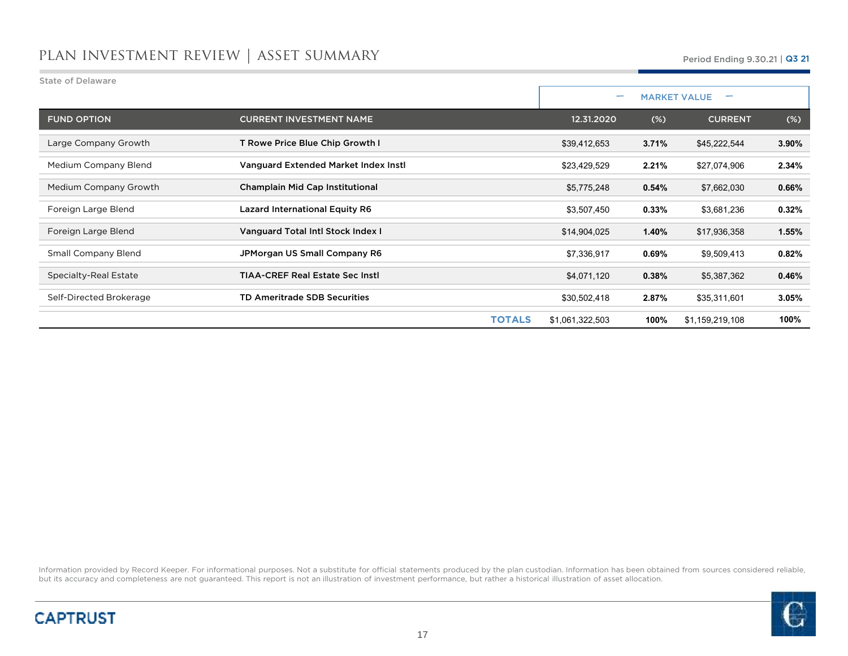| <b>State of Delaware</b>   |                                        |                          |        |                     |       |
|----------------------------|----------------------------------------|--------------------------|--------|---------------------|-------|
|                            |                                        | $\overline{\phantom{a}}$ |        | <b>MARKET VALUE</b> |       |
| <b>FUND OPTION</b>         | <b>CURRENT INVESTMENT NAME</b>         | 12.31.2020               | $(\%)$ | <b>CURRENT</b>      | (%)   |
| Large Company Growth       | T Rowe Price Blue Chip Growth I        | \$39,412,653             | 3.71%  | \$45,222,544        | 3.90% |
| Medium Company Blend       | Vanguard Extended Market Index Instl   | \$23,429,529             | 2.21%  | \$27,074,906        | 2.34% |
| Medium Company Growth      | Champlain Mid Cap Institutional        | \$5,775,248              | 0.54%  | \$7,662,030         | 0.66% |
| Foreign Large Blend        | <b>Lazard International Equity R6</b>  | \$3,507,450              | 0.33%  | \$3,681,236         | 0.32% |
| Foreign Large Blend        | Vanguard Total Intl Stock Index I      | \$14,904,025             | 1.40%  | \$17,936,358        | 1.55% |
| <b>Small Company Blend</b> | JPMorgan US Small Company R6           | \$7,336,917              | 0.69%  | \$9,509,413         | 0.82% |
| Specialty-Real Estate      | <b>TIAA-CREF Real Estate Sec Instl</b> | \$4,071,120              | 0.38%  | \$5,387,362         | 0.46% |
| Self-Directed Brokerage    | <b>TD Ameritrade SDB Securities</b>    | \$30,502,418             | 2.87%  | \$35,311,601        | 3.05% |
|                            | <b>TOTALS</b>                          | \$1,061,322,503          | 100%   | \$1,159,219,108     | 100%  |



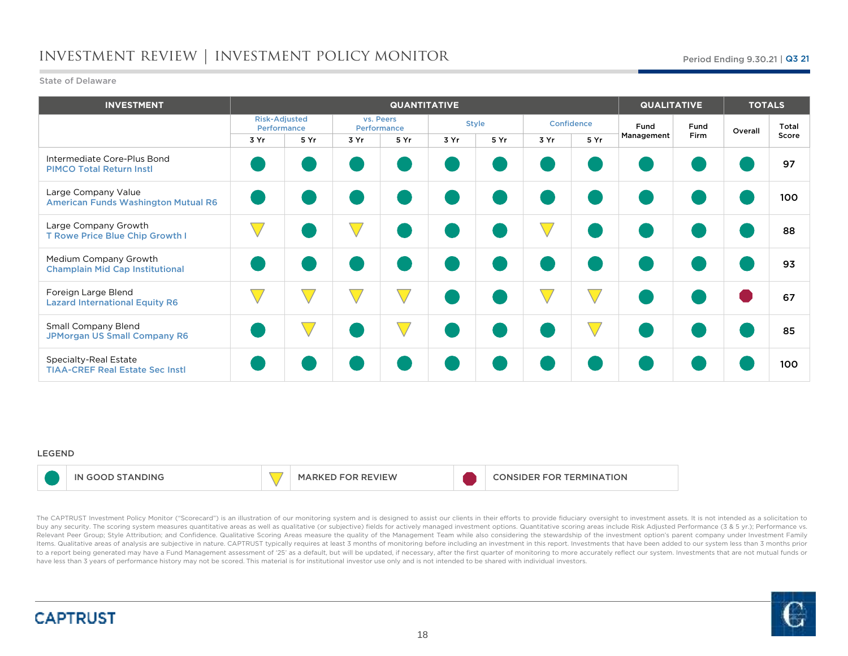## investment review | investment policy monitor

#### State of Delaware

| <b>INVESTMENT</b>                                                 |                                     |      |           | <b>QUANTITATIVE</b> |      |              |      |            |            | <b>QUALITATIVE</b> |         | <b>TOTALS</b> |  |
|-------------------------------------------------------------------|-------------------------------------|------|-----------|---------------------|------|--------------|------|------------|------------|--------------------|---------|---------------|--|
|                                                                   | <b>Risk-Adjusted</b><br>Performance |      | vs. Peers | Performance         |      | <b>Style</b> |      | Confidence | Fund       | Fund               | Overall | Total         |  |
|                                                                   | 3 Yr                                | 5 Yr | 3 Yr      | 5 Yr                | 3 Yr | 5 Yr         | 3 Yr | 5 Yr       | Management | <b>Firm</b>        |         | Score         |  |
| Intermediate Core-Plus Bond<br><b>PIMCO Total Return Instl</b>    |                                     |      |           |                     |      |              |      |            |            |                    |         | 97            |  |
| Large Company Value<br><b>American Funds Washington Mutual R6</b> |                                     |      |           |                     |      |              |      |            |            |                    |         | 100           |  |
| Large Company Growth<br>T Rowe Price Blue Chip Growth I           |                                     |      |           |                     |      |              |      |            |            |                    |         | 88            |  |
| Medium Company Growth<br><b>Champlain Mid Cap Institutional</b>   |                                     |      |           |                     |      |              |      |            |            |                    |         | 93            |  |
| Foreign Large Blend<br><b>Lazard International Equity R6</b>      |                                     |      |           |                     |      |              |      |            |            |                    |         | 67            |  |
| <b>Small Company Blend</b><br><b>JPMorgan US Small Company R6</b> |                                     |      |           |                     |      |              |      |            |            |                    |         | 85            |  |
| Specialty-Real Estate<br><b>TIAA-CREF Real Estate Sec Instl</b>   |                                     |      |           |                     |      |              |      |            |            |                    |         | 100           |  |

#### LEGEND

|  | ANDING. |  | MA.<br><b>IEW</b><br>. |  | TION<br>FOR<br>-RMINA<br>F<br>'N |
|--|---------|--|------------------------|--|----------------------------------|
|--|---------|--|------------------------|--|----------------------------------|

The CAPTRUST Investment Policy Monitor ("Scorecard") is an illustration of our monitoring system and is designed to assist our clients in their efforts to provide fiduciary oversight to investment assets. It is not intende buy any security. The scoring system measures quantitative areas as well as qualitative (or subjective) fields for actively managed investment options. Quantitative scoring areas include Risk Adjusted Performance (3 & 5 yr Relevant Peer Group; Style Attribution; and Confidence. Qualitative Scoring Areas measure the quality of the Management Team while also considering the stewardship of the investment option's parent company under Investment ltems. Qualitative areas of analysis are subjective in nature. CAPTRUST typically requires at least 3 months of monitoring before including an investment in this report. Investments that have been added to our system less to a report being generated may have a Fund Management assessment of '25' as a default, but will be updated, if necessary, after the first quarter of monitoring to more accurately reflect our system. Investments that are n have less than <sup>3</sup> years of performance history may not be scored. This material is for institutional investor use only and is not intended to be shared with individual investors.



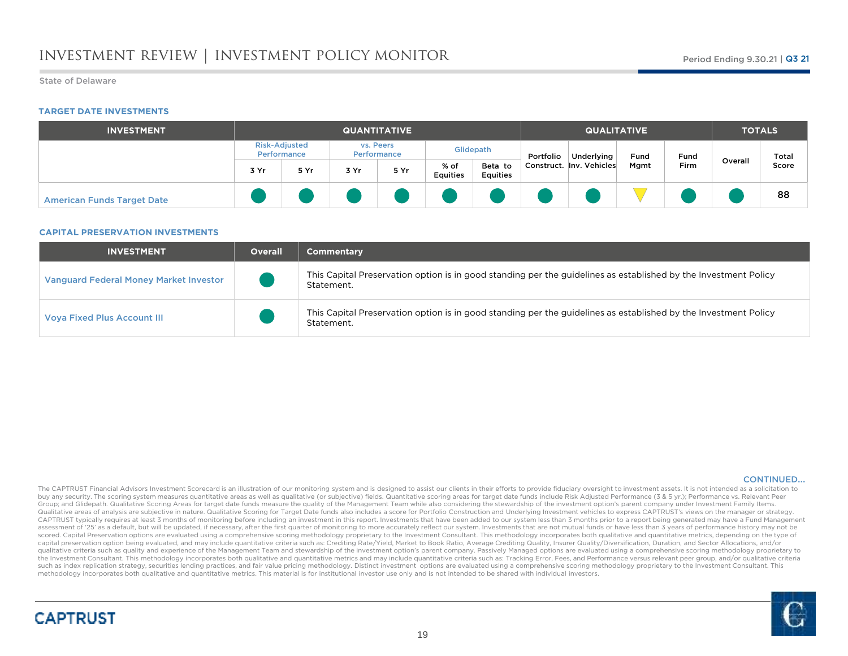#### State of Delaware

#### **TARGET DATE INVESTMENTS**

| <b>INVESTMENT</b>                 |                                     | <b>QUANTITATIVE</b> |      |                          |                         |                            | <b>QUALITATIVE</b> |                          |      |      | <b>TOTALS</b> |       |  |
|-----------------------------------|-------------------------------------|---------------------|------|--------------------------|-------------------------|----------------------------|--------------------|--------------------------|------|------|---------------|-------|--|
|                                   | <b>Risk-Adjusted</b><br>Performance |                     |      | vs. Peers<br>Performance |                         | Glidepath                  | Portfolio          | Underlying               | Fund | Fund | Overall       | Total |  |
|                                   | 3 Yr                                | 5 Yr                | 3 Yr | 5 Yr                     | % of<br><b>Equities</b> | Beta to<br><b>Equities</b> |                    | Construct. Inv. Vehicles | Mgmt | Firm |               | Score |  |
| <b>American Funds Target Date</b> |                                     |                     |      |                          |                         |                            |                    |                          |      |      |               | 88    |  |

#### **CAPITAL PRESERVATION INVESTMENTS**

| <b>INVESTMENT</b>                             | <b>Overall</b> | <b>Commentary</b>                                                                                                             |
|-----------------------------------------------|----------------|-------------------------------------------------------------------------------------------------------------------------------|
| <b>Vanguard Federal Money Market Investor</b> |                | This Capital Preservation option is in good standing per the guidelines as established by the Investment Policy<br>Statement. |
| <b>Voya Fixed Plus Account III</b>            |                | This Capital Preservation option is in good standing per the guidelines as established by the Investment Policy<br>Statement. |

#### CONTINUED…

The CAPTRUST Financial Advisors Investment Scorecard is an illustration of our monitoring system and is designed to assist our clients in their efforts to provide fiduciary oversight to investment assets. It is not intende buy any security. The scoring system measures quantitative areas as well as qualitative (or subjective) fields. Quantitative scoring areas for target date funds include Risk Adjusted Performance (3 & 5 yr.); Performance vs Group; and Glidepath. Qualitative Scoring Areas for target date funds measure the quality of the Management Team while also considering the stewardship of the investment option's parent company under Investment Family Item Qualitative areas of analysis are subjective in nature. Qualitative Scoring for Target Date funds also includes a score for Portfolio Construction and Underlying Investment vehicles to express CAPTRUST's views on the manag CAPTRUST typically requires at least 3 months of monitoring before including an investment in this report. Investments that have been added to our system less than 3 months prior to a report being generated may have a Fund assessment of '25' as a default, but will be updated, if necessary, after the first quarter of monitoring to more accurately reflect our system. Investments that are not mutual funds or have less than 3 years of performanc scored. Capital Preservation options are evaluated using a comprehensive scoring methodology proprietary to the Investment Consultant. This methodology incorporates both qualitative and quantitative metrics, depending on t capital preservation option being evaluated, and may include quantitative criteria such as: Crediting Rate/Yield, Market to Book Ratio, Average Crediting Quality, Insurer Quality/Diversification, Duration, and Sector Alloc qualitative criteria such as quality and experience of the Management Team and stewardship of the investment option's parent company. Passively Managed options are evaluated using a comprehensive scoring methodology propri the Investment Consultant. This methodology incorporates both qualitative and quantitative metrics and may include quantitative criteria such as: Tracking Error, Fees, and Performance versus relevant peer group, and/or qua such as index replication strategy, securities lending practices, and fair value pricing methodology. Distinct investment options are evaluated using a comprehensive scoring methodology proprietary to the Investment Consul methodology incorporates both qualitative and quantitative metrics. This material is for institutional investor use only and is not intended to be shared with individual investors.

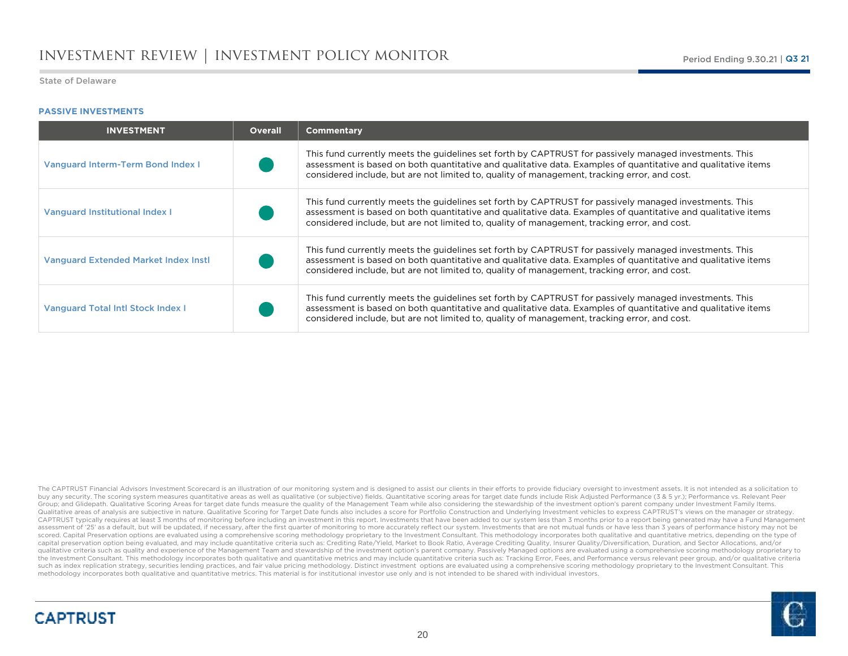### **PASSIVE INVESTMENTS**

| <b>INVESTMENT</b>                           | <b>Overall</b> | <b>Commentary</b>                                                                                                                                                                                                                                                                                                       |
|---------------------------------------------|----------------|-------------------------------------------------------------------------------------------------------------------------------------------------------------------------------------------------------------------------------------------------------------------------------------------------------------------------|
| <b>Vanguard Interm-Term Bond Index I</b>    |                | This fund currently meets the quidelines set forth by CAPTRUST for passively managed investments. This<br>assessment is based on both quantitative and qualitative data. Examples of quantitative and qualitative items<br>considered include, but are not limited to, quality of management, tracking error, and cost. |
| Vanguard Institutional Index I              |                | This fund currently meets the quidelines set forth by CAPTRUST for passively managed investments. This<br>assessment is based on both quantitative and qualitative data. Examples of quantitative and qualitative items<br>considered include, but are not limited to, quality of management, tracking error, and cost. |
| <b>Vanguard Extended Market Index Instl</b> |                | This fund currently meets the quidelines set forth by CAPTRUST for passively managed investments. This<br>assessment is based on both quantitative and qualitative data. Examples of quantitative and qualitative items<br>considered include, but are not limited to, quality of management, tracking error, and cost. |
| <b>Vanguard Total Intl Stock Index I</b>    |                | This fund currently meets the quidelines set forth by CAPTRUST for passively managed investments. This<br>assessment is based on both quantitative and qualitative data. Examples of quantitative and qualitative items<br>considered include, but are not limited to, quality of management, tracking error, and cost. |

The CAPTRUST Financial Advisors Investment Scorecard is an illustration of our monitoring system and is designed to assist our clients in their efforts to provide fiduciary oversight to investment assets. It is not intende buy any security. The scoring system measures quantitative areas as well as qualitative (or subjective) fields. Quantitative scoring areas for target date funds include Risk Adjusted Performance (3 & 5 yr.); Performance vs Group; and Glidepath. Qualitative Scoring Areas for target date funds measure the quality of the Management Team while also considering the stewardship of the investment option's parent company under Investment Family Item Qualitative areas of analysis are subjective in nature. Qualitative Scoring for Target Date funds also includes a score for Portfolio Construction and Underlying Investment vehicles to express CAPTRUST's views on the manag CAPTRUST typically requires at least 3 months of monitoring before including an investment in this report. Investments that have been added to our system less than 3 months prior to a report being generated may have a Fund assessment of '25' as a default, but will be updated, if necessary, after the first quarter of monitoring to more accurately reflect our system. Investments that are not mutual funds or have less than 3 years of performanc scored. Capital Preservation options are evaluated using a comprehensive scoring methodology proprietary to the Investment Consultant. This methodology incorporates both qualitative and quantitative metrics, depending on t capital preservation option being evaluated, and may include quantitative criteria such as: Crediting Rate/Yield, Market to Book Ratio, Average Crediting Quality, Insurer Quality/Diversification, Duration, and Sector Alloc qualitative criteria such as quality and experience of the Management Team and stewardship of the investment option's parent company. Passively Managed options are evaluated using a comprehensive scoring methodology propri the Investment Consultant. This methodology incorporates both qualitative and quantitative metrics and may include quantitative criteria such as: Tracking Error, Fees, and Performance versus relevant peer group, and/or qua such as index replication strategy, securities lending practices, and fair value pricing methodology. Distinct investment options are evaluated using a comprehensive scoring methodology proprietary to the Investment Consul methodology incorporates both qualitative and quantitative metrics. This material is for institutional investor use only and is not intended to be shared with individual investors.



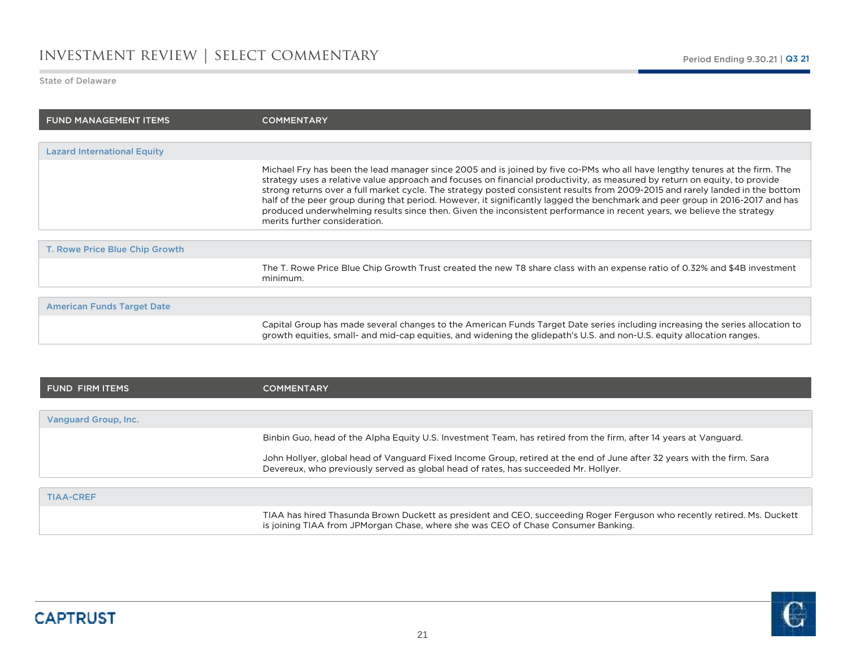### investment review | select commentary

#### State of Delaware

n.

| <b>FUND MANAGEMENT ITEMS</b>       | <b>COMMENTARY</b>                                                                                                                                                                                                                                                                                                                                                                                                                                                                                                                                                                                                                                                                       |
|------------------------------------|-----------------------------------------------------------------------------------------------------------------------------------------------------------------------------------------------------------------------------------------------------------------------------------------------------------------------------------------------------------------------------------------------------------------------------------------------------------------------------------------------------------------------------------------------------------------------------------------------------------------------------------------------------------------------------------------|
|                                    |                                                                                                                                                                                                                                                                                                                                                                                                                                                                                                                                                                                                                                                                                         |
| <b>Lazard International Equity</b> |                                                                                                                                                                                                                                                                                                                                                                                                                                                                                                                                                                                                                                                                                         |
|                                    | Michael Fry has been the lead manager since 2005 and is joined by five co-PMs who all have lengthy tenures at the firm. The<br>strategy uses a relative value approach and focuses on financial productivity, as measured by return on equity, to provide<br>strong returns over a full market cycle. The strategy posted consistent results from 2009-2015 and rarely landed in the bottom<br>half of the peer group during that period. However, it significantly lagged the benchmark and peer group in 2016-2017 and has<br>produced underwhelming results since then. Given the inconsistent performance in recent years, we believe the strategy<br>merits further consideration. |
| T. Rowe Price Blue Chip Growth     |                                                                                                                                                                                                                                                                                                                                                                                                                                                                                                                                                                                                                                                                                         |
|                                    | The T. Rowe Price Blue Chip Growth Trust created the new T8 share class with an expense ratio of 0.32% and \$4B investment<br>minimum.                                                                                                                                                                                                                                                                                                                                                                                                                                                                                                                                                  |
| <b>American Funds Target Date</b>  |                                                                                                                                                                                                                                                                                                                                                                                                                                                                                                                                                                                                                                                                                         |
|                                    | Capital Group has made several changes to the American Funds Target Date series including increasing the series allocation to<br>growth equities, small- and mid-cap equities, and widening the glidepath's U.S. and non-U.S. equity allocation ranges.                                                                                                                                                                                                                                                                                                                                                                                                                                 |
|                                    |                                                                                                                                                                                                                                                                                                                                                                                                                                                                                                                                                                                                                                                                                         |

| I FUND FIRM ITEMS    | <b>COMMENTARY</b>                                                                                                                                                                                              |
|----------------------|----------------------------------------------------------------------------------------------------------------------------------------------------------------------------------------------------------------|
|                      |                                                                                                                                                                                                                |
| Vanguard Group, Inc. |                                                                                                                                                                                                                |
|                      | Binbin Guo, head of the Alpha Equity U.S. Investment Team, has retired from the firm, after 14 years at Vanguard.                                                                                              |
|                      | John Hollyer, global head of Vanguard Fixed Income Group, retired at the end of June after 32 years with the firm. Sara<br>Devereux, who previously served as global head of rates, has succeeded Mr. Hollyer. |
|                      |                                                                                                                                                                                                                |
| <b>TIAA-CREF</b>     |                                                                                                                                                                                                                |
|                      | TIAA has hired Thasunda Brown Duckett as president and CEO, succeeding Roger Ferguson who recently retired. Ms. Duckett<br>is joining TIAA from JPMorgan Chase, where she was CEO of Chase Consumer Banking.   |

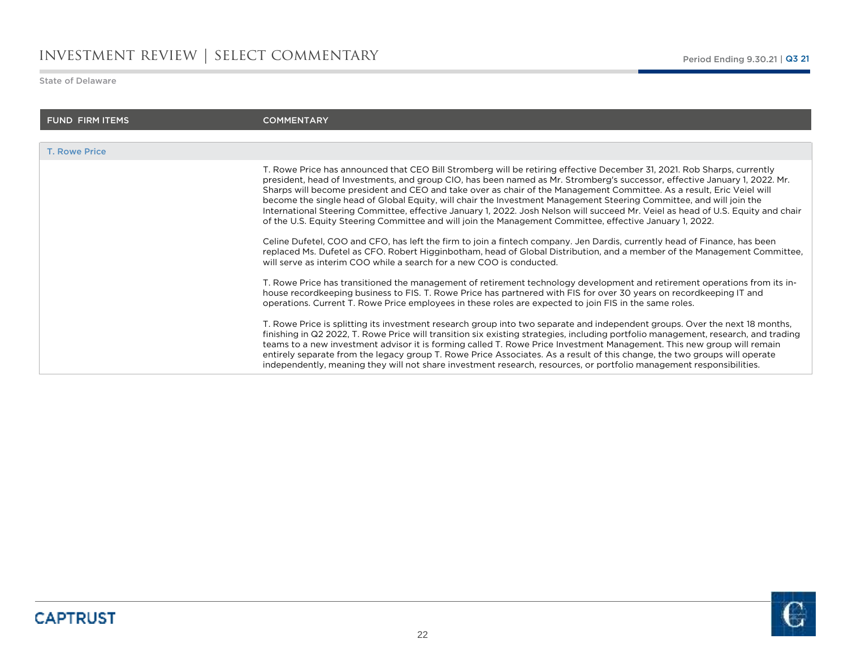### investment review | select commentary

State of Delaware

o.

| <b>FUND FIRM ITEMS</b> | <b>COMMENTARY</b>                                                                                                                                                                                                                                                                                                                                                                                                                                                                                                                                                                                                                                                                                                                                                                                                                                                                                                                                                                                                                                                                      |
|------------------------|----------------------------------------------------------------------------------------------------------------------------------------------------------------------------------------------------------------------------------------------------------------------------------------------------------------------------------------------------------------------------------------------------------------------------------------------------------------------------------------------------------------------------------------------------------------------------------------------------------------------------------------------------------------------------------------------------------------------------------------------------------------------------------------------------------------------------------------------------------------------------------------------------------------------------------------------------------------------------------------------------------------------------------------------------------------------------------------|
|                        |                                                                                                                                                                                                                                                                                                                                                                                                                                                                                                                                                                                                                                                                                                                                                                                                                                                                                                                                                                                                                                                                                        |
| <b>T. Rowe Price</b>   |                                                                                                                                                                                                                                                                                                                                                                                                                                                                                                                                                                                                                                                                                                                                                                                                                                                                                                                                                                                                                                                                                        |
|                        | T. Rowe Price has announced that CEO Bill Stromberg will be retiring effective December 31, 2021. Rob Sharps, currently<br>president, head of Investments, and group CIO, has been named as Mr. Stromberg's successor, effective January 1, 2022. Mr.<br>Sharps will become president and CEO and take over as chair of the Management Committee. As a result, Eric Veiel will<br>become the single head of Global Equity, will chair the Investment Management Steering Committee, and will join the<br>International Steering Committee, effective January 1, 2022. Josh Nelson will succeed Mr. Veiel as head of U.S. Equity and chair<br>of the U.S. Equity Steering Committee and will join the Management Committee, effective January 1, 2022.<br>Celine Dufetel, COO and CFO, has left the firm to join a fintech company. Jen Dardis, currently head of Finance, has been<br>replaced Ms. Dufetel as CFO. Robert Higginbotham, head of Global Distribution, and a member of the Management Committee,<br>will serve as interim COO while a search for a new COO is conducted. |
|                        | T. Rowe Price has transitioned the management of retirement technology development and retirement operations from its in-<br>house recordkeeping business to FIS. T. Rowe Price has partnered with FIS for over 30 years on recordkeeping IT and<br>operations. Current T. Rowe Price employees in these roles are expected to join FIS in the same roles.                                                                                                                                                                                                                                                                                                                                                                                                                                                                                                                                                                                                                                                                                                                             |
|                        | T. Rowe Price is splitting its investment research group into two separate and independent groups. Over the next 18 months,<br>finishing in Q2 2022, T. Rowe Price will transition six existing strategies, including portfolio management, research, and trading<br>teams to a new investment advisor it is forming called T. Rowe Price Investment Management. This new group will remain<br>entirely separate from the legacy group T. Rowe Price Associates. As a result of this change, the two groups will operate<br>independently, meaning they will not share investment research, resources, or portfolio management responsibilities.                                                                                                                                                                                                                                                                                                                                                                                                                                       |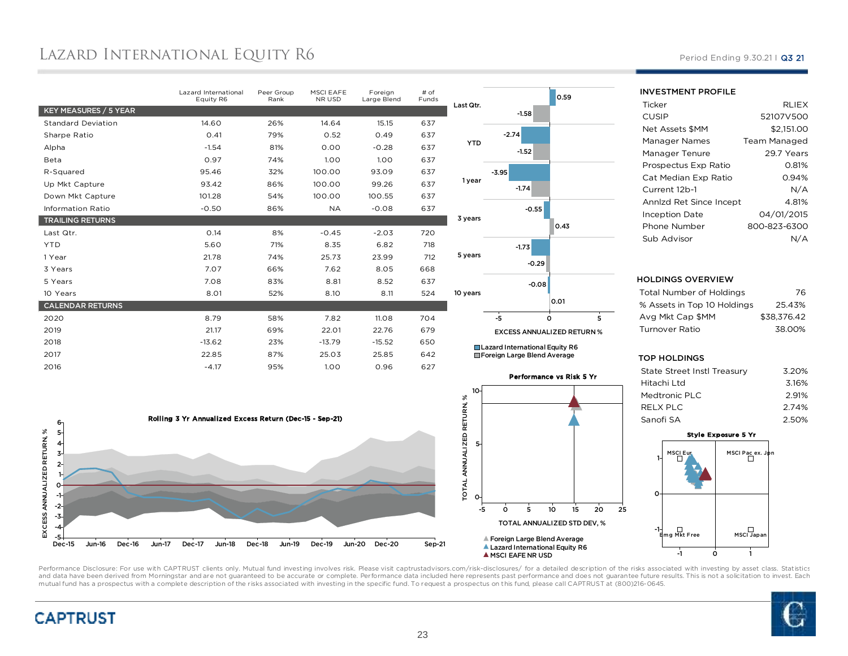## Lazard International Equity R6

|                           | Lazard International<br>Equity R6 | Peer Group<br>Rank | <b>MSCI EAFE</b><br>NR USD | Foreian<br>Large Blend | # of<br>Funds |                             |                                | 0.59                       |
|---------------------------|-----------------------------------|--------------------|----------------------------|------------------------|---------------|-----------------------------|--------------------------------|----------------------------|
| KEY MEASURES / 5 YEAR     |                                   |                    |                            |                        |               | Last Qtr.                   | $-1.58$                        |                            |
| <b>Standard Deviation</b> | 14.60                             | 26%                | 14.64                      | 15.15                  | 637           |                             |                                |                            |
| Sharpe Ratio              | 0.41                              | 79%                | 0.52                       | 0.49                   | 637           |                             | $-2.74$                        |                            |
| Alpha                     | $-1.54$                           | 81%                | 0.00                       | $-0.28$                | 637           | <b>YTD</b>                  | $-1.52$                        |                            |
| Beta                      | 0.97                              | 74%                | 1.00                       | 1.00                   | 637           |                             |                                |                            |
| R-Squared                 | 95.46                             | 32%                | 100.00                     | 93.09                  | 637           |                             | $-3.95$                        |                            |
| Up Mkt Capture            | 93.42                             | 86%                | 100.00                     | 99.26                  | 637           | 1 year                      | $-1.74$                        |                            |
| Down Mkt Capture          | 101.28                            | 54%                | 100.00                     | 100.55                 | 637           |                             |                                |                            |
| <b>Information Ratio</b>  | $-0.50$                           | 86%                | <b>NA</b>                  | $-0.08$                | 637           |                             | $-0.55$                        |                            |
| <b>TRAILING RETURNS</b>   |                                   |                    |                            |                        |               | 3 years                     |                                | 0.43                       |
| Last Qtr.                 | 0.14                              | 8%                 | $-0.45$                    | $-2.03$                | 720           |                             |                                |                            |
| <b>YTD</b>                | 5.60                              | 71%                | 8.35                       | 6.82                   | 718           |                             | $-1.73$                        |                            |
| 1 Year                    | 21.78                             | 74%                | 25.73                      | 23.99                  | 712           | 5 years                     | $-0.29$                        |                            |
| 3 Years                   | 7.07                              | 66%                | 7.62                       | 8.05                   | 668           |                             |                                |                            |
| 5 Years                   | 7.08                              | 83%                | 8.81                       | 8.52                   | 637           |                             | $-0.08$                        |                            |
| 10 Years                  | 8.01                              | 52%                | 8.10                       | 8.11                   | 524           | 10 years                    |                                |                            |
| <b>CALENDAR RETURNS</b>   |                                   |                    |                            |                        |               |                             |                                | 0.01                       |
| 2020                      | 8.79                              | 58%                | 7.82                       | 11.08                  | 704           |                             | $-5$                           | $\Omega$                   |
| 2019                      | 21.17                             | 69%                | 22.01                      | 22.76                  | 679           |                             | <b>EXCESS ANNUALIZED RET</b>   |                            |
| 2018                      | $-13.62$                          | 23%                | $-13.79$                   | $-15.52$               | 650           |                             | Lazard International Equity R6 |                            |
| 2017                      | 22.85                             | 87%                | 25.03                      | 25.85                  | 642           | Foreign Large Blend Average |                                |                            |
| 2016                      | $-4.17$                           | 95%                | 1.00                       | 0.96                   | 627           |                             |                                |                            |
|                           |                                   |                    |                            |                        |               |                             |                                | <b>Performance vs Risk</b> |





EXCESS ANNUALIZED RETURN %

<sup>5</sup>

Period Ending 9.30.21 | Q3 21

| <b>RLIEX</b> |
|--------------|
| 52107V500    |
| \$2.151.00   |
| Team Managed |
| 29.7 Years   |
| 0.81%        |
| 0.94%        |
| N/A          |
| 4.81%        |
| 04/01/2015   |
| 800-823-6300 |
|              |
|              |

#### HOLDINGS OVERVIEW

INVESTMENT PROFILE

| Total Number of Holdings    | 76          |
|-----------------------------|-------------|
| % Assets in Top 10 Holdings | 25.43%      |
| Ava Mkt Cap \$MM            | \$38.376.42 |
| Turnover Ratio              | 38.00%      |
|                             |             |

#### TOP HOLDINGS

| <b>State Street Instl Treasury</b> | 3.20% |
|------------------------------------|-------|
| Hitachi Ltd                        | 3.16% |
| Medtronic PLC                      | 2.91% |
| RELX PLC                           | 2.74% |
| Sanofi SA                          | 2.50% |
|                                    |       |





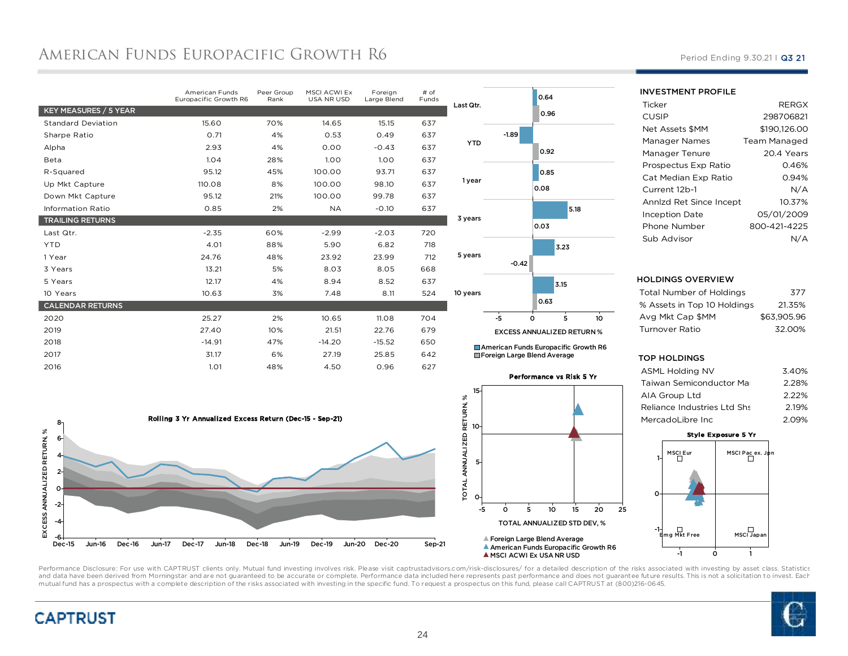## AMERICAN FUNDS EUROPACIFIC GROWTH R6

|                           | American Funds<br>Europacific Growth R6 | Peer Group<br>Rank | MSCI ACWI Ex<br>USA NR USD | Foreign<br>Large Blend | # of<br>Funds |
|---------------------------|-----------------------------------------|--------------------|----------------------------|------------------------|---------------|
| KEY MEASURES / 5 YEAR     |                                         |                    |                            |                        |               |
| <b>Standard Deviation</b> | 15.60                                   | 70%                | 14.65                      | 15.15                  | 637           |
| Sharpe Ratio              | 0.71                                    | 4%                 | 0.53                       | 0.49                   | 637           |
| Alpha                     | 2.93                                    | 4%                 | 0.00                       | $-0.43$                | 637           |
| Beta                      | 1.04                                    | 28%                | 1.00                       | 1.00                   | 637           |
| R-Squared                 | 95.12                                   | 45%                | 100.00                     | 93.71                  | 637           |
| Up Mkt Capture            | 110.08                                  | 8%                 | 100.00                     | 98.10                  | 637           |
| Down Mkt Capture          | 95.12                                   | 21%                | 100.00                     | 99.78                  | 637           |
| <b>Information Ratio</b>  | 0.85                                    | 2%                 | <b>NA</b>                  | $-0.10$                | 637           |
| <b>TRAILING RETURNS</b>   |                                         |                    |                            |                        |               |
| Last Qtr.                 | $-2.35$                                 | 60%                | $-2.99$                    | $-2.03$                | 720           |
| <b>YTD</b>                | 4.01                                    | 88%                | 5.90                       | 6.82                   | 718           |
| 1 Year                    | 24.76                                   | 48%                | 23.92                      | 23.99                  | 712           |
| 3 Years                   | 13.21                                   | 5%                 | 8.03                       | 8.05                   | 668           |
| 5 Years                   | 12.17                                   | 4%                 | 8.94                       | 8.52                   | 637           |
| 10 Years                  | 10.63                                   | 3%                 | 7.48                       | 8.11                   | 524           |
| <b>CALENDAR RETURNS</b>   |                                         |                    |                            |                        |               |
| 2020                      | 25.27                                   | 2%                 | 10.65                      | 11.08                  | 704           |
| 2019                      | 27.40                                   | 10%                | 21.51                      | 22.76                  | 679           |
| 2018                      | $-14.91$                                | 47%                | $-14.20$                   | $-15.52$               | 650           |
| 2017                      | 31.17                                   | 6%                 | 27.19                      | 25.85                  | 642           |
| 2016                      | 1.01                                    | 48%                | 4.50                       | 0.96                   | 627           |





American Funds Europacific Growth R6 Foreign Large Blend Average

Performance vs Risk 5 Yr15 $\aleph$ TOTAL ANNUALIZED RETURN, % TOTAL ANNUALIZED RETURN, 1050-5 $\circ$  <sup>5</sup> <sup>10</sup> <sup>15</sup> <sup>20</sup> <sup>25</sup> TOTAL ANNUALIZED STD DEV, %Foreign Large Blend Average American Funds Europacific Growth R6A MSCI ACWI Ex USA NR USD

#### Period Ending 9.30.21 | Q3 21

#### INVESTMENT PROFILE

| Ticker                  | <b>RERGX</b> |
|-------------------------|--------------|
| CUSIP                   | 298706821    |
| Net Assets \$MM         | \$190.126.00 |
| Manager Names           | Team Managed |
| Manager Tenure          | 20.4 Years   |
| Prospectus Exp Ratio    | 0.46%        |
| Cat Median Exp Ratio    | 0.94%        |
| Current 12b-1           | N/A          |
| Annlzd Ret Since Incept | 10.37%       |
| Inception Date          | 05/01/2009   |
| Phone Number            | 800-421-4225 |
| Sub Advisor             |              |

#### HOLDINGS OVERVIEW

| Total Number of Holdings    | 377         |
|-----------------------------|-------------|
| % Assets in Top 10 Holdings | 21.35%      |
| Ava Mkt Cap \$MM            | \$63.905.96 |
| Turnover Ratio              | 32.00%      |
|                             |             |

#### TOP HOLDINGS

| <b>ASML Holding NV</b>      | 3.40%    |
|-----------------------------|----------|
| Taiwan Semiconductor Mar    | 2.28%    |
| AIA Group Ltd               | $2.22\%$ |
| Reliance Industries Ltd Shs | 2.19%    |
| MercadoLibre Inc.           | 2.09%    |
|                             |          |

#### Style Exposure 5 Yr



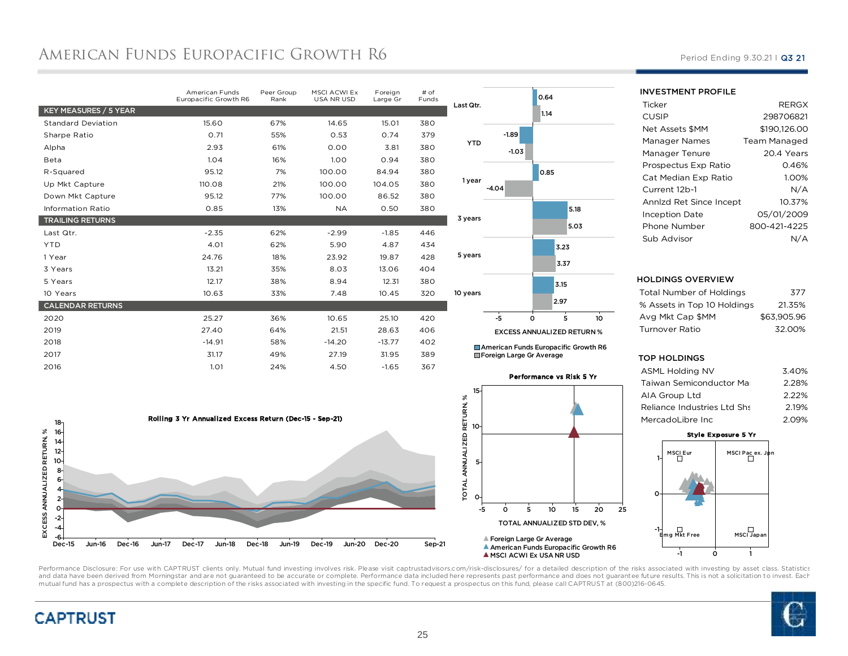## AMERICAN FUNDS EUROPACIFIC GROWTH R6

|                           | American Funds<br>Europacific Growth R6 | Peer Group<br>Rank | <b>MSCI ACWI Ex</b><br>USA NR USD | Foreign<br>Large Gr | $#$ of<br>Funds |
|---------------------------|-----------------------------------------|--------------------|-----------------------------------|---------------------|-----------------|
| KEY MEASURES / 5 YEAR     |                                         |                    |                                   |                     |                 |
| <b>Standard Deviation</b> | 15.60                                   | 67%                | 14.65                             | 15.01               | 380             |
| Sharpe Ratio              | 0.71                                    | 55%                | 0.53                              | 0.74                | 379             |
| Alpha                     | 2.93                                    | 61%                | 0.00                              | 3.81                | 380             |
| Beta                      | 1.04                                    | 16%                | 1.00                              | 0.94                | 380             |
| R-Squared                 | 95.12                                   | 7%                 | 100.00                            | 84.94               | 380             |
| Up Mkt Capture            | 110.08                                  | 21%                | 100.00                            | 104.05              | 380             |
| Down Mkt Capture          | 95.12                                   | 77%                | 100.00                            | 86.52               | 380             |
| <b>Information Ratio</b>  | 0.85                                    | 13%                | <b>NA</b>                         | 0.50                | 380             |
| <b>TRAILING RETURNS</b>   |                                         |                    |                                   |                     |                 |
| Last Qtr.                 | $-2.35$                                 | 62%                | $-2.99$                           | $-1.85$             | 446             |
| <b>YTD</b>                | 4.01                                    | 62%                | 5.90                              | 4.87                | 434             |
| 1 Year                    | 24.76                                   | 18%                | 23.92                             | 19.87               | 428             |
| 3 Years                   | 13.21                                   | 35%                | 8.03                              | 13.06               | 404             |
| 5 Years                   | 12.17                                   | 38%                | 8.94                              | 12.31               | 380             |
| 10 Years                  | 10.63                                   | 33%                | 7.48                              | 10.45               | 320             |
| <b>CALENDAR RETURNS</b>   |                                         |                    |                                   |                     |                 |
| 2020                      | 25.27                                   | 36%                | 10.65                             | 25.10               | 420             |
| 2019                      | 27.40                                   | 64%                | 21.51                             | 28.63               | 406             |
| 2018                      | $-14.91$                                | 58%                | $-14.20$                          | $-13.77$            | 402             |
| 2017                      | 31.17                                   | 49%                | 27.19                             | 31.95               | 389             |
| 2016                      | 1.01                                    | 24%                | 4.50                              | $-1.65$             | 367             |
|                           |                                         |                    |                                   |                     |                 |





0.64

American Funds Europacific Growth R6 Foreign Large Gr Average

Performance vs Risk 5 Yr15 $\aleph$ TOTAL ANNUALIZED RETURN, %  $\circ$  <sup>5</sup> <sup>10</sup> <sup>15</sup> <sup>20</sup> <sup>25</sup> TOTAL ANNUALIZED STD DEV, %Foreign Large Gr Average American Funds Europacific Growth R6A MSCI ACWI Ex USA NR USD

#### Period Ending 9.30.21 | Q3 21

INVESTMENT PROFILE

| Ticker                  | <b>RERGX</b> |
|-------------------------|--------------|
| <b>CUSIP</b>            | 298706821    |
| <b>Net Assets \$MM</b>  | \$190.126.00 |
| Manager Names           | Team Managed |
| Manager Tenure          | 20.4 Years   |
| Prospectus Exp Ratio    | 0.46%        |
| Cat Median Exp Ratio    | 1.00%        |
| Current 12b-1           | N/A          |
| Annizd Ret Since Incept | 10.37%       |
| <b>Inception Date</b>   | 05/01/2009   |
| Phone Number            | 800-421-4225 |
| Sub Advisor             |              |

#### HOLDINGS OVERVIEW

| <b>Total Number of Holdings</b> | 377         |
|---------------------------------|-------------|
| % Assets in Top 10 Holdings     | 21.35%      |
| Avg Mkt Cap \$MM                | \$63.905.96 |
| Turnover Ratio                  | 32.00%      |
|                                 |             |

#### TOP HOLDINGS

| <b>ASML Holding NV</b>      | 3.40% |
|-----------------------------|-------|
| Taiwan Semiconductor Mar    | 2.28% |
| AIA Group Ltd               | 2.22% |
| Reliance Industries Ltd Shs | 2.19% |
| MercadoLibre Inc            | 2.09% |

#### Style Exposure 5 Yr





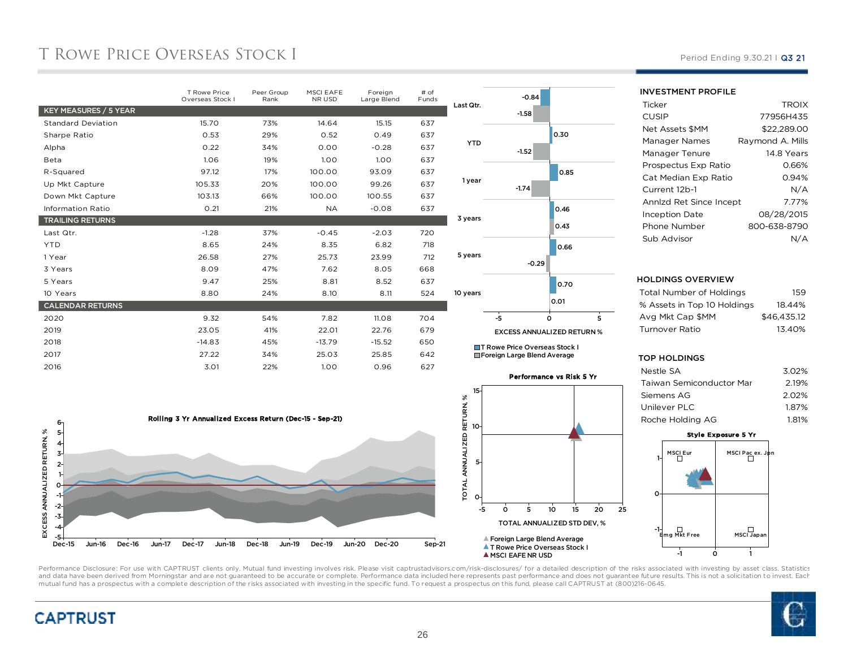## T ROWE PRICE OVERSEAS STOCK I

|                           | <b>T Rowe Price</b><br>Overseas Stock I | Peer Group<br>Rank | <b>MSCI EAFE</b><br>NR USD | Foreign<br>Large Blend | # of<br>Funds |
|---------------------------|-----------------------------------------|--------------------|----------------------------|------------------------|---------------|
| KEY MEASURES / 5 YEAR     |                                         |                    |                            |                        |               |
| <b>Standard Deviation</b> | 15.70                                   | 73%                | 14.64                      | 15.15                  | 637           |
| Sharpe Ratio              | 0.53                                    | 29%                | 0.52                       | 0.49                   | 637           |
| Alpha                     | 0.22                                    | 34%                | 0.00                       | $-0.28$                | 637           |
| Beta                      | 1.06                                    | 19%                | 1.00                       | 1.00                   | 637           |
| R-Squared                 | 97.12                                   | 17%                | 100.00                     | 93.09                  | 637           |
| Up Mkt Capture            | 105.33                                  | 20%                | 100.00                     | 99.26                  | 637           |
| Down Mkt Capture          | 103.13                                  | 66%                | 100.00                     | 100.55                 | 637           |
| <b>Information Ratio</b>  | 0.21                                    | 21%                | <b>NA</b>                  | $-0.08$                | 637           |
| <b>TRAILING RETURNS</b>   |                                         |                    |                            |                        |               |
| Last Qtr.                 | $-1.28$                                 | 37%                | $-0.45$                    | $-2.03$                | 720           |
| <b>YTD</b>                | 8.65                                    | 24%                | 8.35                       | 6.82                   | 718           |
| 1 Year                    | 26.58                                   | 27%                | 25.73                      | 23.99                  | 712           |
| 3 Years                   | 8.09                                    | 47%                | 7.62                       | 8.05                   | 668           |
| 5 Years                   | 9.47                                    | 25%                | 8.81                       | 8.52                   | 637           |
| 10 Years                  | 8.80                                    | 24%                | 8.10                       | 8.11                   | 524           |
| <b>CALENDAR RETURNS</b>   |                                         |                    |                            |                        |               |
| 2020                      | 9.32                                    | 54%                | 7.82                       | 11.08                  | 704           |
| 2019                      | 23.05                                   | 41%                | 22.01                      | 22.76                  | 679           |
| 2018                      | $-14.83$                                | 45%                | $-13.79$                   | $-15.52$               | 650           |
| 2017                      | 27.22                                   | 34%                | 25.03                      | 25.85                  | 642           |
| 2016                      | 3.01                                    | 22%                | 1.00                       | 0.96                   | 627           |
|                           |                                         |                    |                            |                        |               |



Foreign Large Blend Average





#### Period Ending 9.30.21 | Q3 21

INVESTMENT PROFILE

| Ticker                  | <b>TROIX</b>     |
|-------------------------|------------------|
| CUSIP                   | 77956H435        |
| Net Assets \$MM         | \$22,289.00      |
| Manager Names           | Raymond A. Mills |
| Manager Tenure          | 14.8 Years       |
| Prospectus Exp Ratio    | 0.66%            |
| Cat Median Exp Ratio    | 0.94%            |
| Current 12b-1           | N/A              |
| Annlzd Ret Since Incept | 7.77%            |
| <b>Inception Date</b>   | 08/28/2015       |
| Phone Number            | 800-638-8790     |
| Sub Advisor             | N/A              |
|                         |                  |

#### HOLDINGS OVERVIEW

| Total Number of Holdings    | 159         |
|-----------------------------|-------------|
| % Assets in Top 10 Holdings | 18.44%      |
| Avg Mkt Cap \$MM            | \$46.435.12 |
| Turnover Ratio              | 13.40%      |
|                             |             |

#### TOP HOLDINGS

| Nestle SA                | 3.02% |
|--------------------------|-------|
| Taiwan Semiconductor Mar | 2.19% |
| Siemens AG               | 2.02% |
| Unilever PLC             | 1.87% |
| Roche Holdina AG         | 1.81% |
|                          |       |





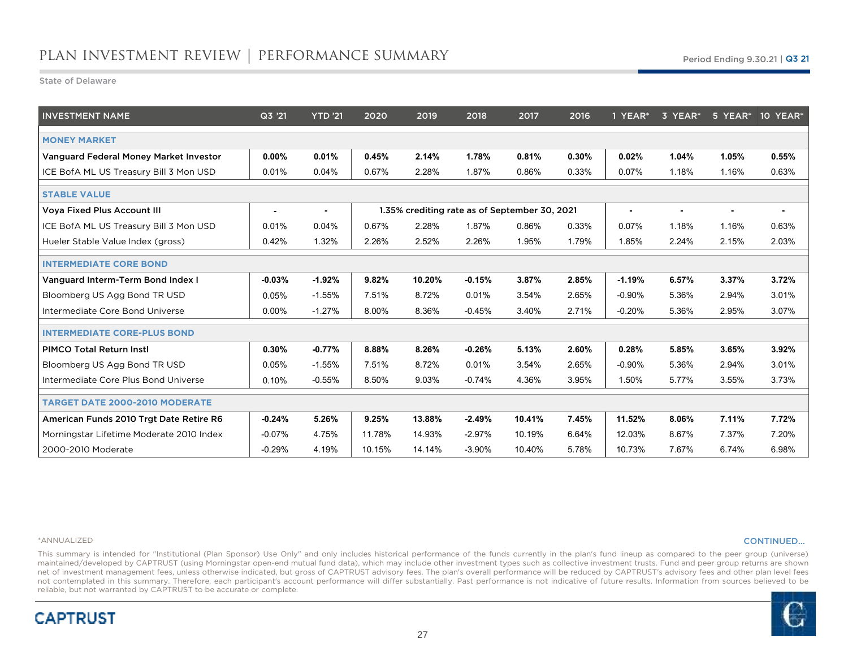State of Delaware

| <b>INVESTMENT NAME</b>                   | Q3 '21   | <b>YTD '21</b> | 2020   | 2019   | 2018     | 2017                                          | 2016  | 1 YEAR*        | 3 YEAR* |       | 5 YEAR* 10 YEAR* |
|------------------------------------------|----------|----------------|--------|--------|----------|-----------------------------------------------|-------|----------------|---------|-------|------------------|
| <b>MONEY MARKET</b>                      |          |                |        |        |          |                                               |       |                |         |       |                  |
| Vanguard Federal Money Market Investor   | $0.00\%$ | 0.01%          | 0.45%  | 2.14%  | 1.78%    | 0.81%                                         | 0.30% | 0.02%          | 1.04%   | 1.05% | 0.55%            |
| ICE BofA ML US Treasury Bill 3 Mon USD   | 0.01%    | 0.04%          | 0.67%  | 2.28%  | 1.87%    | 0.86%                                         | 0.33% | 0.07%          | 1.18%   | 1.16% | 0.63%            |
| <b>STABLE VALUE</b>                      |          |                |        |        |          |                                               |       |                |         |       |                  |
| <b>Voya Fixed Plus Account III</b>       |          | ۰              |        |        |          | 1.35% crediting rate as of September 30, 2021 |       | $\blacksquare$ |         |       |                  |
| ICE BofA ML US Treasury Bill 3 Mon USD   | 0.01%    | 0.04%          | 0.67%  | 2.28%  | 1.87%    | 0.86%                                         | 0.33% | 0.07%          | 1.18%   | 1.16% | 0.63%            |
| Hueler Stable Value Index (gross)        | 0.42%    | 1.32%          | 2.26%  | 2.52%  | 2.26%    | 1.95%                                         | 1.79% | 1.85%          | 2.24%   | 2.15% | 2.03%            |
| <b>INTERMEDIATE CORE BOND</b>            |          |                |        |        |          |                                               |       |                |         |       |                  |
| Vanguard Interm-Term Bond Index I        | $-0.03%$ | $-1.92%$       | 9.82%  | 10.20% | $-0.15%$ | 3.87%                                         | 2.85% | $-1.19%$       | 6.57%   | 3.37% | 3.72%            |
| Bloomberg US Agg Bond TR USD             | 0.05%    | $-1.55%$       | 7.51%  | 8.72%  | 0.01%    | 3.54%                                         | 2.65% | $-0.90%$       | 5.36%   | 2.94% | 3.01%            |
| Intermediate Core Bond Universe          | 0.00%    | $-1.27%$       | 8.00%  | 8.36%  | $-0.45%$ | 3.40%                                         | 2.71% | $-0.20%$       | 5.36%   | 2.95% | 3.07%            |
| <b>INTERMEDIATE CORE-PLUS BOND</b>       |          |                |        |        |          |                                               |       |                |         |       |                  |
| <b>PIMCO Total Return Instl</b>          | 0.30%    | $-0.77%$       | 8.88%  | 8.26%  | $-0.26%$ | 5.13%                                         | 2.60% | 0.28%          | 5.85%   | 3.65% | 3.92%            |
| Bloomberg US Agg Bond TR USD             | 0.05%    | $-1.55%$       | 7.51%  | 8.72%  | 0.01%    | 3.54%                                         | 2.65% | $-0.90\%$      | 5.36%   | 2.94% | 3.01%            |
| Intermediate Core Plus Bond Universe     | 0.10%    | $-0.55%$       | 8.50%  | 9.03%  | $-0.74%$ | 4.36%                                         | 3.95% | 1.50%          | 5.77%   | 3.55% | 3.73%            |
| <b>TARGET DATE 2000-2010 MODERATE</b>    |          |                |        |        |          |                                               |       |                |         |       |                  |
| American Funds 2010 Trgt Date Retire R6  | $-0.24%$ | 5.26%          | 9.25%  | 13.88% | $-2.49%$ | 10.41%                                        | 7.45% | 11.52%         | 8.06%   | 7.11% | 7.72%            |
| Morningstar Lifetime Moderate 2010 Index | $-0.07%$ | 4.75%          | 11.78% | 14.93% | $-2.97%$ | 10.19%                                        | 6.64% | 12.03%         | 8.67%   | 7.37% | 7.20%            |
| 2000-2010 Moderate                       | $-0.29%$ | 4.19%          | 10.15% | 14.14% | $-3.90%$ | 10.40%                                        | 5.78% | 10.73%         | 7.67%   | 6.74% | 6.98%            |

#### \*ANNUALIZED

**CAPTRUST** 

#### CONTINUED…

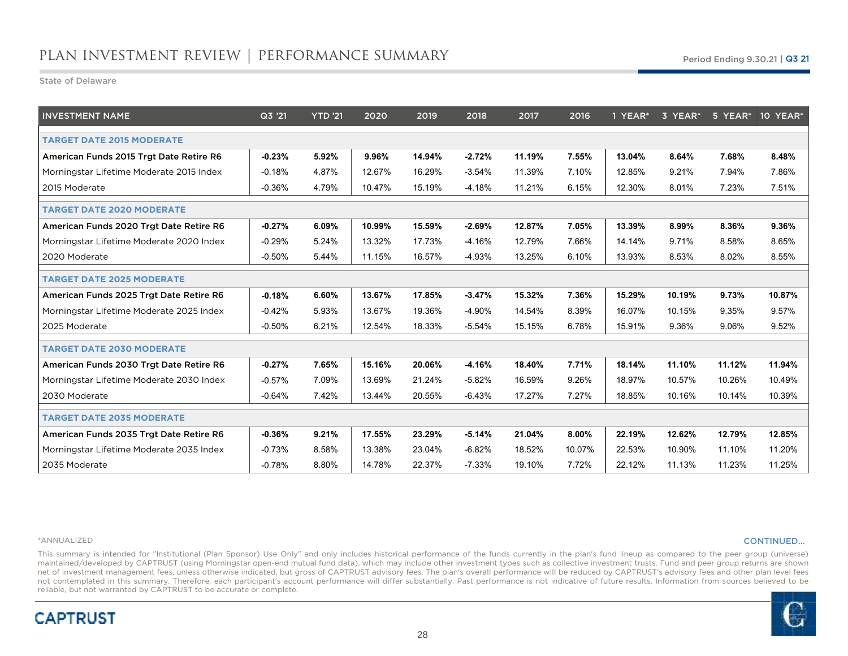State of Delaware

| <b>INVESTMENT NAME</b>                   | Q3 '21   | YTD '21 | 2020   | 2019   | 2018     | 2017   | 2016   | 1 YEAR* | 3 YEAR* |        | 5 YEAR* 10 YEAR* |
|------------------------------------------|----------|---------|--------|--------|----------|--------|--------|---------|---------|--------|------------------|
| <b>TARGET DATE 2015 MODERATE</b>         |          |         |        |        |          |        |        |         |         |        |                  |
| American Funds 2015 Trgt Date Retire R6  | $-0.23%$ | 5.92%   | 9.96%  | 14.94% | $-2.72%$ | 11.19% | 7.55%  | 13.04%  | 8.64%   | 7.68%  | 8.48%            |
| Morningstar Lifetime Moderate 2015 Index | $-0.18%$ | 4.87%   | 12.67% | 16.29% | $-3.54%$ | 11.39% | 7.10%  | 12.85%  | 9.21%   | 7.94%  | 7.86%            |
| 2015 Moderate                            | $-0.36%$ | 4.79%   | 10.47% | 15.19% | $-4.18%$ | 11.21% | 6.15%  | 12.30%  | 8.01%   | 7.23%  | 7.51%            |
| <b>TARGET DATE 2020 MODERATE</b>         |          |         |        |        |          |        |        |         |         |        |                  |
| American Funds 2020 Trgt Date Retire R6  | $-0.27%$ | 6.09%   | 10.99% | 15.59% | $-2.69%$ | 12.87% | 7.05%  | 13.39%  | 8.99%   | 8.36%  | 9.36%            |
| Morningstar Lifetime Moderate 2020 Index | $-0.29%$ | 5.24%   | 13.32% | 17.73% | $-4.16%$ | 12.79% | 7.66%  | 14.14%  | 9.71%   | 8.58%  | 8.65%            |
| 2020 Moderate                            | $-0.50%$ | 5.44%   | 11.15% | 16.57% | $-4.93%$ | 13.25% | 6.10%  | 13.93%  | 8.53%   | 8.02%  | 8.55%            |
| <b>TARGET DATE 2025 MODERATE</b>         |          |         |        |        |          |        |        |         |         |        |                  |
| American Funds 2025 Trgt Date Retire R6  | $-0.18%$ | 6.60%   | 13.67% | 17.85% | $-3.47%$ | 15.32% | 7.36%  | 15.29%  | 10.19%  | 9.73%  | 10.87%           |
| Morningstar Lifetime Moderate 2025 Index | $-0.42%$ | 5.93%   | 13.67% | 19.36% | -4.90%   | 14.54% | 8.39%  | 16.07%  | 10.15%  | 9.35%  | 9.57%            |
| 2025 Moderate                            | $-0.50%$ | 6.21%   | 12.54% | 18.33% | $-5.54%$ | 15.15% | 6.78%  | 15.91%  | 9.36%   | 9.06%  | 9.52%            |
| <b>TARGET DATE 2030 MODERATE</b>         |          |         |        |        |          |        |        |         |         |        |                  |
| American Funds 2030 Trgt Date Retire R6  | $-0.27%$ | 7.65%   | 15.16% | 20.06% | $-4.16%$ | 18.40% | 7.71%  | 18.14%  | 11.10%  | 11.12% | 11.94%           |
| Morningstar Lifetime Moderate 2030 Index | $-0.57%$ | 7.09%   | 13.69% | 21.24% | $-5.82%$ | 16.59% | 9.26%  | 18.97%  | 10.57%  | 10.26% | 10.49%           |
| 2030 Moderate                            | $-0.64%$ | 7.42%   | 13.44% | 20.55% | $-6.43%$ | 17.27% | 7.27%  | 18.85%  | 10.16%  | 10.14% | 10.39%           |
| <b>TARGET DATE 2035 MODERATE</b>         |          |         |        |        |          |        |        |         |         |        |                  |
| American Funds 2035 Trgt Date Retire R6  | $-0.36%$ | 9.21%   | 17.55% | 23.29% | $-5.14%$ | 21.04% | 8.00%  | 22.19%  | 12.62%  | 12.79% | 12.85%           |
| Morningstar Lifetime Moderate 2035 Index | $-0.73%$ | 8.58%   | 13.38% | 23.04% | $-6.82%$ | 18.52% | 10.07% | 22.53%  | 10.90%  | 11.10% | 11.20%           |
| 2035 Moderate                            | $-0.78%$ | 8.80%   | 14.78% | 22.37% | $-7.33%$ | 19.10% | 7.72%  | 22.12%  | 11.13%  | 11.23% | 11.25%           |

#### \*ANNUALIZED

**CAPTRUST** 

#### CONTINUED…

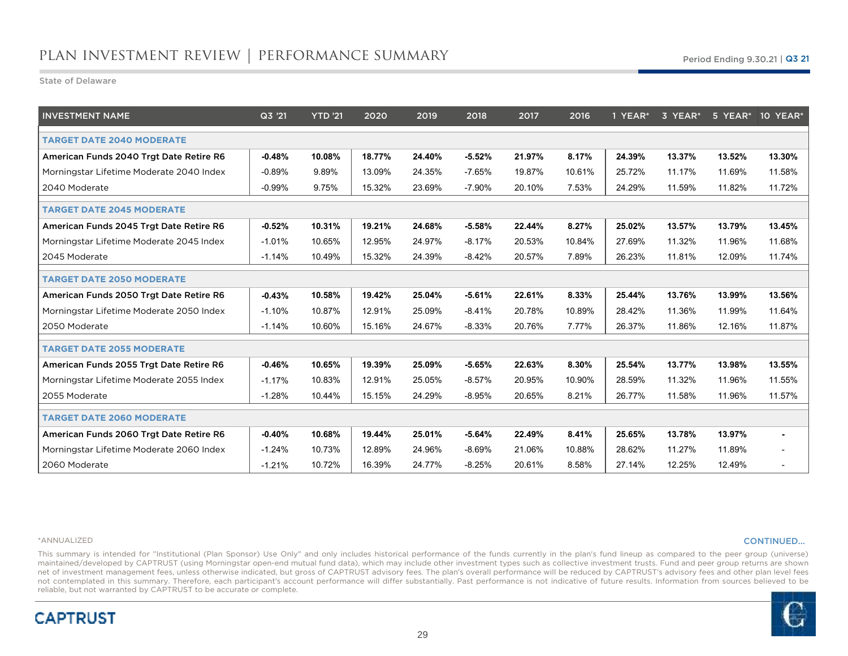State of Delaware

| <b>INVESTMENT NAME</b>                   | Q3 '21   | YTD '21 | 2020   | 2019   | 2018      | 2017   | 2016   | 1 YEAR* | 3 YEAR* |        | 5 YEAR* 10 YEAR*         |
|------------------------------------------|----------|---------|--------|--------|-----------|--------|--------|---------|---------|--------|--------------------------|
| <b>TARGET DATE 2040 MODERATE</b>         |          |         |        |        |           |        |        |         |         |        |                          |
| American Funds 2040 Trgt Date Retire R6  | $-0.48%$ | 10.08%  | 18.77% | 24.40% | $-5.52%$  | 21.97% | 8.17%  | 24.39%  | 13.37%  | 13.52% | 13.30%                   |
| Morningstar Lifetime Moderate 2040 Index | $-0.89%$ | 9.89%   | 13.09% | 24.35% | $-7.65%$  | 19.87% | 10.61% | 25.72%  | 11.17%  | 11.69% | 11.58%                   |
| 2040 Moderate                            | $-0.99%$ | 9.75%   | 15.32% | 23.69% | $-7.90\%$ | 20.10% | 7.53%  | 24.29%  | 11.59%  | 11.82% | 11.72%                   |
| <b>TARGET DATE 2045 MODERATE</b>         |          |         |        |        |           |        |        |         |         |        |                          |
| American Funds 2045 Trgt Date Retire R6  | $-0.52%$ | 10.31%  | 19.21% | 24.68% | $-5.58%$  | 22.44% | 8.27%  | 25.02%  | 13.57%  | 13.79% | 13.45%                   |
| Morningstar Lifetime Moderate 2045 Index | $-1.01%$ | 10.65%  | 12.95% | 24.97% | $-8.17%$  | 20.53% | 10.84% | 27.69%  | 11.32%  | 11.96% | 11.68%                   |
| 2045 Moderate                            | $-1.14%$ | 10.49%  | 15.32% | 24.39% | $-8.42%$  | 20.57% | 7.89%  | 26.23%  | 11.81%  | 12.09% | 11.74%                   |
| <b>TARGET DATE 2050 MODERATE</b>         |          |         |        |        |           |        |        |         |         |        |                          |
| American Funds 2050 Trgt Date Retire R6  | $-0.43%$ | 10.58%  | 19.42% | 25.04% | $-5.61%$  | 22.61% | 8.33%  | 25.44%  | 13.76%  | 13.99% | 13.56%                   |
| Morningstar Lifetime Moderate 2050 Index | $-1.10%$ | 10.87%  | 12.91% | 25.09% | -8.41%    | 20.78% | 10.89% | 28.42%  | 11.36%  | 11.99% | 11.64%                   |
| 2050 Moderate                            | $-1.14%$ | 10.60%  | 15.16% | 24.67% | $-8.33%$  | 20.76% | 7.77%  | 26.37%  | 11.86%  | 12.16% | 11.87%                   |
| <b>TARGET DATE 2055 MODERATE</b>         |          |         |        |        |           |        |        |         |         |        |                          |
| American Funds 2055 Trgt Date Retire R6  | $-0.46%$ | 10.65%  | 19.39% | 25.09% | $-5.65%$  | 22.63% | 8.30%  | 25.54%  | 13.77%  | 13.98% | 13.55%                   |
| Morningstar Lifetime Moderate 2055 Index | $-1.17%$ | 10.83%  | 12.91% | 25.05% | $-8.57%$  | 20.95% | 10.90% | 28.59%  | 11.32%  | 11.96% | 11.55%                   |
| 2055 Moderate                            | $-1.28%$ | 10.44%  | 15.15% | 24.29% | $-8.95%$  | 20.65% | 8.21%  | 26.77%  | 11.58%  | 11.96% | 11.57%                   |
| <b>TARGET DATE 2060 MODERATE</b>         |          |         |        |        |           |        |        |         |         |        |                          |
| American Funds 2060 Trgt Date Retire R6  | $-0.40%$ | 10.68%  | 19.44% | 25.01% | $-5.64%$  | 22.49% | 8.41%  | 25.65%  | 13.78%  | 13.97% | $\blacksquare$           |
| Morningstar Lifetime Moderate 2060 Index | $-1.24%$ | 10.73%  | 12.89% | 24.96% | $-8.69%$  | 21.06% | 10.88% | 28.62%  | 11.27%  | 11.89% | $\overline{\phantom{a}}$ |
| 2060 Moderate                            | $-1.21%$ | 10.72%  | 16.39% | 24.77% | $-8.25%$  | 20.61% | 8.58%  | 27.14%  | 12.25%  | 12.49% | $\overline{\phantom{a}}$ |

#### \*ANNUALIZED

**CAPTRUST** 

#### CONTINUED…

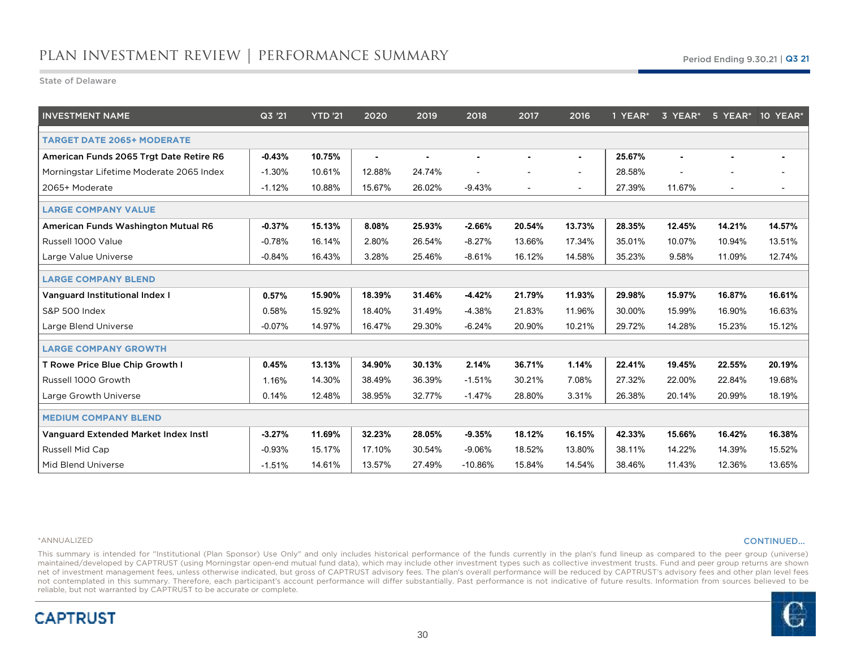State of Delaware

| <b>INVESTMENT NAME</b>                   | Q3'21    | <b>YTD '21</b> | 2020   | 2019   | 2018      | 2017           | 2016           | 1 YEAR* | 3 YEAR*        |                          | 5 YEAR* 10 YEAR* |
|------------------------------------------|----------|----------------|--------|--------|-----------|----------------|----------------|---------|----------------|--------------------------|------------------|
| <b>TARGET DATE 2065+ MODERATE</b>        |          |                |        |        |           |                |                |         |                |                          |                  |
| American Funds 2065 Trgt Date Retire R6  | $-0.43%$ | 10.75%         | ٠      |        |           |                | $\blacksquare$ | 25.67%  | $\blacksquare$ |                          |                  |
| Morningstar Lifetime Moderate 2065 Index | $-1.30%$ | 10.61%         | 12.88% | 24.74% |           |                | $\sim$         | 28.58%  |                |                          |                  |
| 2065+ Moderate                           | $-1.12%$ | 10.88%         | 15.67% | 26.02% | $-9.43%$  | $\blacksquare$ | $\sim$         | 27.39%  | 11.67%         | $\overline{\phantom{a}}$ |                  |
| <b>LARGE COMPANY VALUE</b>               |          |                |        |        |           |                |                |         |                |                          |                  |
| American Funds Washington Mutual R6      | $-0.37%$ | 15.13%         | 8.08%  | 25.93% | $-2.66%$  | 20.54%         | 13.73%         | 28.35%  | 12.45%         | 14.21%                   | 14.57%           |
| Russell 1000 Value                       | $-0.78%$ | 16.14%         | 2.80%  | 26.54% | $-8.27%$  | 13.66%         | 17.34%         | 35.01%  | 10.07%         | 10.94%                   | 13.51%           |
| Large Value Universe                     | $-0.84%$ | 16.43%         | 3.28%  | 25.46% | $-8.61%$  | 16.12%         | 14.58%         | 35.23%  | 9.58%          | 11.09%                   | 12.74%           |
| <b>LARGE COMPANY BLEND</b>               |          |                |        |        |           |                |                |         |                |                          |                  |
| Vanguard Institutional Index I           | 0.57%    | 15.90%         | 18.39% | 31.46% | $-4.42%$  | 21.79%         | 11.93%         | 29.98%  | 15.97%         | 16.87%                   | 16.61%           |
| <b>S&amp;P 500 Index</b>                 | 0.58%    | 15.92%         | 18.40% | 31.49% | $-4.38%$  | 21.83%         | 11.96%         | 30.00%  | 15.99%         | 16.90%                   | 16.63%           |
| Large Blend Universe                     | $-0.07%$ | 14.97%         | 16.47% | 29.30% | $-6.24%$  | 20.90%         | 10.21%         | 29.72%  | 14.28%         | 15.23%                   | 15.12%           |
| <b>LARGE COMPANY GROWTH</b>              |          |                |        |        |           |                |                |         |                |                          |                  |
| T Rowe Price Blue Chip Growth I          | 0.45%    | 13.13%         | 34.90% | 30.13% | 2.14%     | 36.71%         | 1.14%          | 22.41%  | 19.45%         | 22.55%                   | 20.19%           |
| Russell 1000 Growth                      | 1.16%    | 14.30%         | 38.49% | 36.39% | $-1.51%$  | 30.21%         | 7.08%          | 27.32%  | 22.00%         | 22.84%                   | 19.68%           |
| Large Growth Universe                    | 0.14%    | 12.48%         | 38.95% | 32.77% | $-1.47%$  | 28.80%         | 3.31%          | 26.38%  | 20.14%         | 20.99%                   | 18.19%           |
| <b>MEDIUM COMPANY BLEND</b>              |          |                |        |        |           |                |                |         |                |                          |                  |
| Vanguard Extended Market Index Insti     | $-3.27%$ | 11.69%         | 32.23% | 28.05% | $-9.35%$  | 18.12%         | 16.15%         | 42.33%  | 15.66%         | 16.42%                   | 16.38%           |
| Russell Mid Cap                          | $-0.93%$ | 15.17%         | 17.10% | 30.54% | $-9.06%$  | 18.52%         | 13.80%         | 38.11%  | 14.22%         | 14.39%                   | 15.52%           |
| Mid Blend Universe                       | $-1.51%$ | 14.61%         | 13.57% | 27.49% | $-10.86%$ | 15.84%         | 14.54%         | 38.46%  | 11.43%         | 12.36%                   | 13.65%           |

#### \*ANNUALIZED

**CAPTRUST** 

#### CONTINUED…

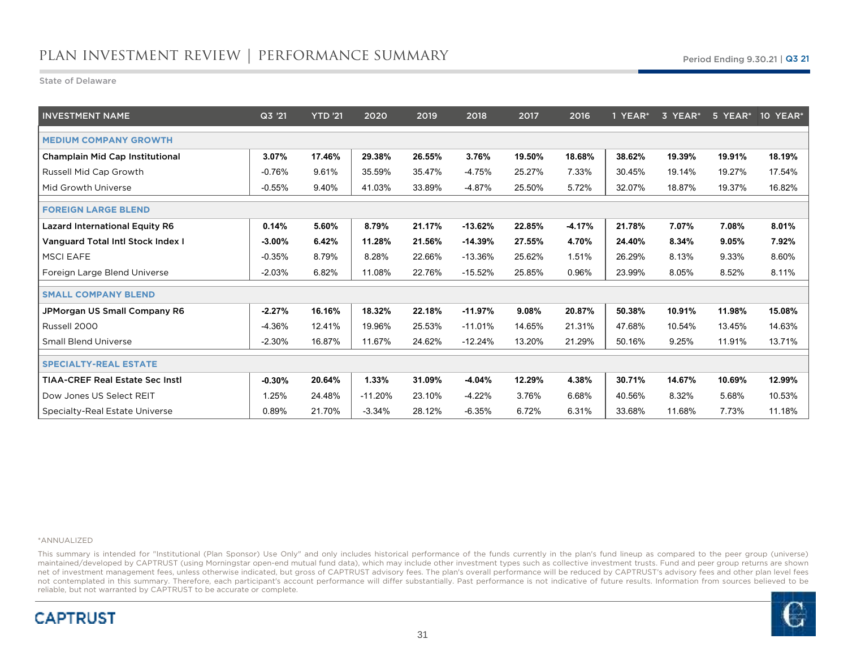State of Delaware

| <b>INVESTMENT NAME</b>                   | Q3 '21    | <b>YTD</b> '21 | 2020      | 2019   | 2018      | 2017   | 2016     | 1 YEAR* | 3 YEAR* | 5 YEAR* | 10 YEAR* |
|------------------------------------------|-----------|----------------|-----------|--------|-----------|--------|----------|---------|---------|---------|----------|
| <b>MEDIUM COMPANY GROWTH</b>             |           |                |           |        |           |        |          |         |         |         |          |
| <b>Champlain Mid Cap Institutional</b>   | 3.07%     | 17.46%         | 29.38%    | 26.55% | 3.76%     | 19.50% | 18.68%   | 38.62%  | 19.39%  | 19.91%  | 18.19%   |
| Russell Mid Cap Growth                   | $-0.76%$  | 9.61%          | 35.59%    | 35.47% | -4.75%    | 25.27% | 7.33%    | 30.45%  | 19.14%  | 19.27%  | 17.54%   |
| Mid Growth Universe                      | $-0.55%$  | 9.40%          | 41.03%    | 33.89% | $-4.87%$  | 25.50% | 5.72%    | 32.07%  | 18.87%  | 19.37%  | 16.82%   |
| <b>FOREIGN LARGE BLEND</b>               |           |                |           |        |           |        |          |         |         |         |          |
| <b>Lazard International Equity R6</b>    | 0.14%     | 5.60%          | 8.79%     | 21.17% | $-13.62%$ | 22.85% | $-4.17%$ | 21.78%  | 7.07%   | 7.08%   | 8.01%    |
| <b>Vanguard Total Intl Stock Index I</b> | $-3.00\%$ | 6.42%          | 11.28%    | 21.56% | $-14.39%$ | 27.55% | 4.70%    | 24.40%  | 8.34%   | 9.05%   | 7.92%    |
| <b>MSCI EAFE</b>                         | $-0.35%$  | 8.79%          | 8.28%     | 22.66% | $-13.36%$ | 25.62% | 1.51%    | 26.29%  | 8.13%   | 9.33%   | 8.60%    |
| Foreign Large Blend Universe             | $-2.03%$  | 6.82%          | 11.08%    | 22.76% | $-15.52%$ | 25.85% | 0.96%    | 23.99%  | 8.05%   | 8.52%   | 8.11%    |
| <b>SMALL COMPANY BLEND</b>               |           |                |           |        |           |        |          |         |         |         |          |
| JPMorgan US Small Company R6             | $-2.27%$  | 16.16%         | 18.32%    | 22.18% | $-11.97%$ | 9.08%  | 20.87%   | 50.38%  | 10.91%  | 11.98%  | 15.08%   |
| Russell 2000                             | $-4.36%$  | 12.41%         | 19.96%    | 25.53% | $-11.01%$ | 14.65% | 21.31%   | 47.68%  | 10.54%  | 13.45%  | 14.63%   |
| <b>Small Blend Universe</b>              | $-2.30%$  | 16.87%         | 11.67%    | 24.62% | $-12.24%$ | 13.20% | 21.29%   | 50.16%  | 9.25%   | 11.91%  | 13.71%   |
| <b>SPECIALTY-REAL ESTATE</b>             |           |                |           |        |           |        |          |         |         |         |          |
| <b>TIAA-CREF Real Estate Sec Instl</b>   | $-0.30%$  | 20.64%         | 1.33%     | 31.09% | $-4.04%$  | 12.29% | 4.38%    | 30.71%  | 14.67%  | 10.69%  | 12.99%   |
| Dow Jones US Select REIT                 | 1.25%     | 24.48%         | $-11.20%$ | 23.10% | $-4.22%$  | 3.76%  | 6.68%    | 40.56%  | 8.32%   | 5.68%   | 10.53%   |
| Specialty-Real Estate Universe           | 0.89%     | 21.70%         | $-3.34%$  | 28.12% | $-6.35%$  | 6.72%  | 6.31%    | 33.68%  | 11.68%  | 7.73%   | 11.18%   |

#### \*ANNUALIZED

**CAPTRUST** 

 This summary is intended for "Institutional (Plan Sponsor) Use Only" and only includes historical performance of the funds currently in the plan's fund lineup as compared to the peer group (universe) maintained/developed by CAPTRUST (using Morningstar open-end mutual fund data), which may include other investment types such as collective investment trusts. Fund and peer group returns are shownnet of investment management fees, unless otherwise indicated, but gross of CAPTRUST advisory fees. The plan's overall performance will be reduced by CAPTRUST's advisory fees and other plan level fees not contemplated in this summary. Therefore, each participant's account performance will differ substantially. Past performance is not indicative of future results. Information from sources believed to bereliable, but not warranted by CAPTRUST to be accurate or complete.

31

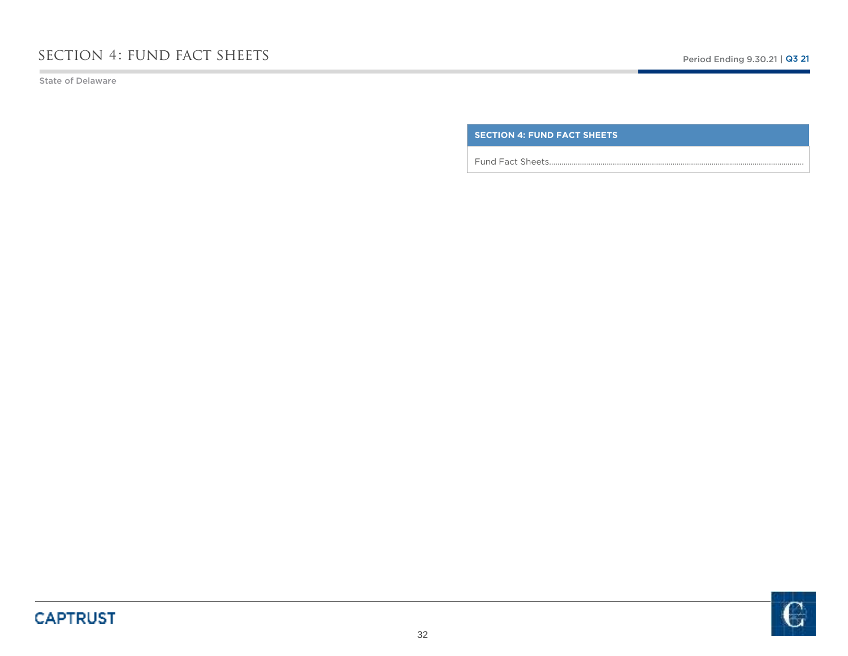State of Delaware

n.

### **SECTION 4: FUND FACT SHEETS**

Fund Fact Sheets…………………………………………………………………………………………………………….

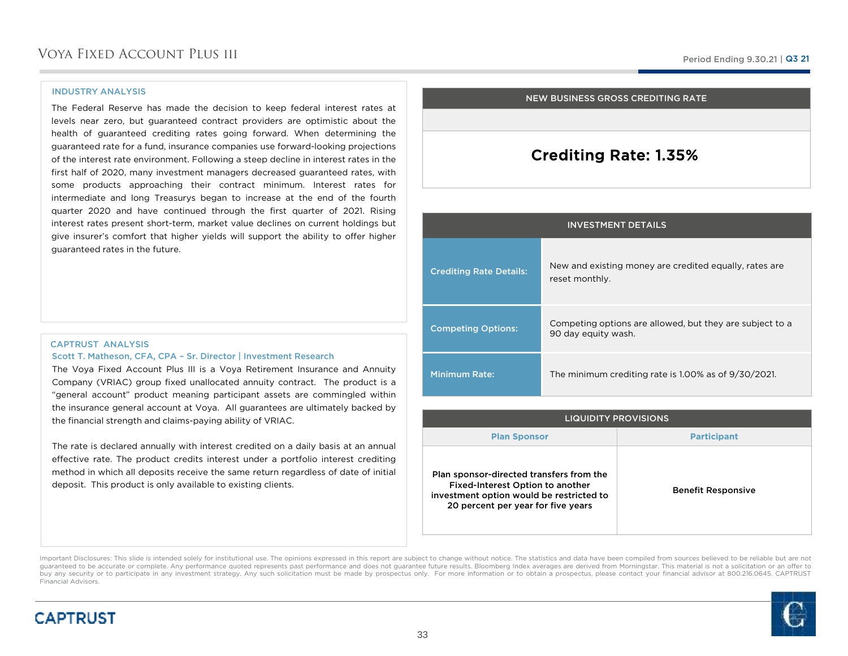#### INDUSTRY ANALYSIS

**CAPTRUST** 

The Federal Reserve has made the decision to keep federal interest rates at levels near zero, but guaranteed contract providers are optimistic about the health of guaranteed crediting rates going forward. When determining the guaranteed rate for <sup>a</sup> fund, insurance companies use forward-looking projections of the interest rate environment. Following <sup>a</sup> steep decline in interest rates in the first half of 2020, many investment managers decreased guaranteed rates, with some products approaching their contract minimum. Interest rates for intermediate and long Treasurys began to increase at the end of the fourth quarter <sup>2020</sup> and have continued through the first quarter of 2021. Rising interest rates present short-term, market value declines on current holdings but give insurer's comfort that higher yields will support the ability to offer higher guaranteed rates in the future.

### CAPTRUST ANALYSISScott T. Matheson, CFA, CPA – Sr. Director | Investment Research

 The Voya Fixed Account Plus III is <sup>a</sup> Voya Retirement Insurance and Annuity Company (VRIAC) group fixed unallocated annuity contract. The product is <sup>a</sup> "general account" product meaning participant assets are commingled within the insurance general account at Voya. All guarantees are ultimately backed bythe financial strength and claims-paying ability of VRIAC.

The rate is declared annually with interest credited on <sup>a</sup> daily basis at an annual effective rate. The product credits interest under <sup>a</sup> portfolio interest crediting method in which all deposits receive the same return regardless of date of initial deposit. This product is only available to existing clients.

#### NEW BUSINESS GROSS CREDITING RATE

### Crediting Rate: 1.35%

| <b>INVESTMENT DETAILS</b>      |                                                                                 |  |
|--------------------------------|---------------------------------------------------------------------------------|--|
| <b>Crediting Rate Details:</b> | New and existing money are credited equally, rates are<br>reset monthly.        |  |
| <b>Competing Options:</b>      | Competing options are allowed, but they are subject to a<br>90 day equity wash. |  |
| <b>Minimum Rate:</b>           | The minimum crediting rate is 1.00% as of 9/30/2021.                            |  |

| <b>LIQUIDITY PROVISIONS</b>                                                                                                                                    |                           |  |
|----------------------------------------------------------------------------------------------------------------------------------------------------------------|---------------------------|--|
| <b>Plan Sponsor</b>                                                                                                                                            | <b>Participant</b>        |  |
| Plan sponsor-directed transfers from the<br>Fixed-Interest Option to another<br>investment option would be restricted to<br>20 percent per year for five years | <b>Benefit Responsive</b> |  |

Important Disclosures: This slide is intended solely for institutional use. The opinions expressed in this report are subject to change without notice. The statistics and data have been compiled from sources believed to be guaranteed to be accurate or complete. Any performance quoted represents past performance and does not guarantee future results. Bloomberg Index averages are derived from Morningstar. This material is not a solicitation or buy any security or to participate in any investment strategy. Any such solicitation must be made by prospectus only. For more information or to obtain a prospectus, please contact your financial advisor at 800.216.0645. C Financial Advisors.

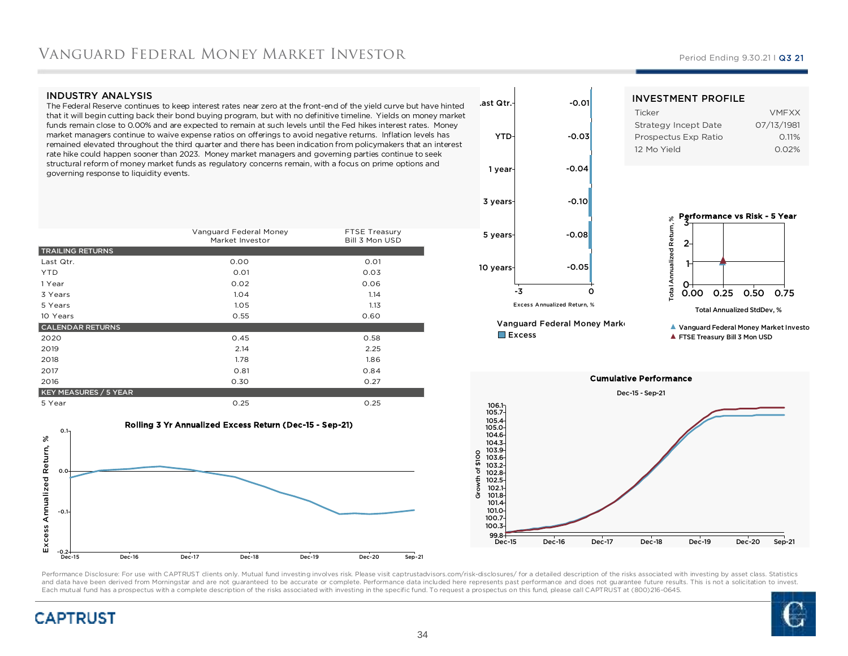### Vanguard Federal Money Market Investor

#### INDUSTRY ANALYSIS

 The Federal Reserve continues to keep interest rates near zero at the front-end of the yield curve but have hinted that it will begin cutting back their bond buying program, but with no definitive timeline. Yields on money market funds remain close to 0.00% and are expected to remain at such levels until the Fed hikes interest rates. Money market managers continue to waive expense ratios on offerings to avoid negative returns. Inflation levels has remained elevated throughout the third quarter and there has been indication from policymakers that an interest rate hike could happen sooner than 2023. Money market managers and governing parties continue to seek structural reform of money market funds as regulatory concerns remain, with a focus on prime options and governing response to liquidity events.

|                              | Vanguard Federal Money<br>Market Investor | FTSE Treasury<br>Bill 3 Mon USD |
|------------------------------|-------------------------------------------|---------------------------------|
| <b>TRAILING RETURNS</b>      |                                           |                                 |
| Last Qtr.                    | 0.00                                      | 0.01                            |
| <b>YTD</b>                   | 0.01                                      | 0.03                            |
| 1 Year                       | 0.02                                      | 0.06                            |
| 3 Years                      | 1.04                                      | 1.14                            |
| 5 Years                      | 1.05                                      | 1.13                            |
| 10 Years                     | 0.55                                      | 0.60                            |
| <b>CALENDAR RETURNS</b>      |                                           |                                 |
| 2020                         | 0.45                                      | 0.58                            |
| 2019                         | 2.14                                      | 2.25                            |
| 2018                         | 1.78                                      | 1.86                            |
| 2017                         | 0.81                                      | 0.84                            |
| 2016                         | 0.30                                      | 0.27                            |
| <b>KEY MEASURES / 5 YEAR</b> |                                           |                                 |
| 5 Year                       | 0.25                                      | 0.25                            |







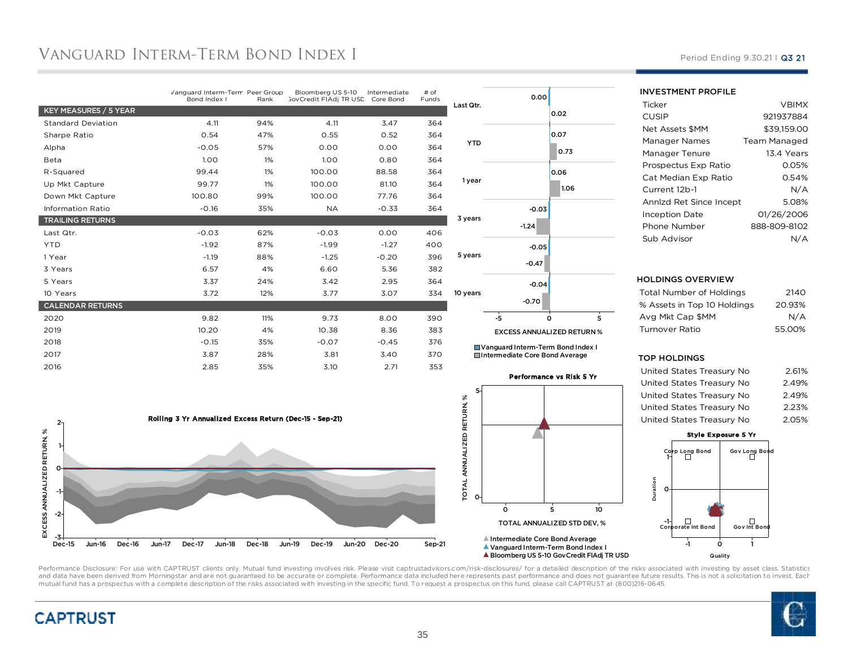## Vanguard Interm-Term Bond Index I

|                           | Vanguard Interm-Term Peer Group<br>Bond Index I | Rank | Bloomberg US 5-10<br><b>GovCredit FIAdj TR USD</b> | Intermediate<br>Core Bond | # of<br>Funds |
|---------------------------|-------------------------------------------------|------|----------------------------------------------------|---------------------------|---------------|
| KEY MEASURES / 5 YEAR     |                                                 |      |                                                    |                           |               |
| <b>Standard Deviation</b> | 4.11                                            | 94%  | 4.11                                               | 3.47                      | 364           |
| Sharpe Ratio              | 0.54                                            | 47%  | 0.55                                               | 0.52                      | 364           |
| Alpha                     | $-0.05$                                         | 57%  | 0.00                                               | 0.00                      | 364           |
| Beta                      | 1.00                                            | 1%   | 1.00                                               | 0.80                      | 364           |
| R-Squared                 | 99.44                                           | 1%   | 100.00                                             | 88.58                     | 364           |
| Up Mkt Capture            | 99.77                                           | 1%   | 100.00                                             | 81.10                     | 364           |
| Down Mkt Capture          | 100.80                                          | 99%  | 100.00                                             | 77.76                     | 364           |
| <b>Information Ratio</b>  | $-0.16$                                         | 35%  | <b>NA</b>                                          | $-0.33$                   | 364           |
| <b>TRAILING RETURNS</b>   |                                                 |      |                                                    |                           |               |
| Last Qtr.                 | $-0.03$                                         | 62%  | $-0.03$                                            | 0.00                      | 406           |
| <b>YTD</b>                | $-1.92$                                         | 87%  | $-1.99$                                            | $-1.27$                   | 400           |
| 1 Year                    | $-1.19$                                         | 88%  | $-1.25$                                            | $-0.20$                   | 396           |
| 3 Years                   | 6.57                                            | 4%   | 6.60                                               | 5.36                      | 382           |
| 5 Years                   | 3.37                                            | 24%  | 3.42                                               | 2.95                      | 364           |
| 10 Years                  | 3.72                                            | 12%  | 3.77                                               | 3.07                      | 334           |
| <b>CALENDAR RETURNS</b>   |                                                 |      |                                                    |                           |               |
| 2020                      | 9.82                                            | 11%  | 9.73                                               | 8.00                      | 390           |
| 2019                      | 10.20                                           | 4%   | 10.38                                              | 8.36                      | 383           |
| 2018                      | $-0.15$                                         | 35%  | $-0.07$                                            | $-0.45$                   | 376           |
| 2017                      | 3.87                                            | 28%  | 3.81                                               | 3.40                      | 370           |
| 2016                      | 2.85                                            | 35%  | 3.10                                               | 2.71                      | 353           |
|                           |                                                 |      |                                                    |                           |               |



| 0.00                                                 | 0.02                                                                |
|------------------------------------------------------|---------------------------------------------------------------------|
|                                                      | 0.07<br>0.73                                                        |
|                                                      | 0.06<br>1.06                                                        |
| $-0.03$<br>$-1.24$                                   |                                                                     |
| $-0.05$<br>$-0.47$                                   |                                                                     |
| $-0.04$<br>$-0.70$                                   |                                                                     |
| $\overline{.5}$<br><b>EXCESS ANNUALIZED RETURN %</b> | $\frac{1}{5}$<br>Ó                                                  |
|                                                      | Last Qtr.<br><b>YTD</b><br>1 year<br>3 years<br>5 years<br>10 years |

Vanguard Interm-Term Bond Index IIntermediate Core Bond Average

#### Performance vs Risk 5 Yr



## Period Ending 9.30.21 | Q3 21

| <b>INVESTMENT PROFILE</b> |              |  |  |  |  |
|---------------------------|--------------|--|--|--|--|
| Ticker                    | <b>VBIMX</b> |  |  |  |  |
| CUSIP                     | 921937884    |  |  |  |  |
| <b>Net Assets \$MM</b>    | \$39.159.00  |  |  |  |  |
| Manager Names             | Team Managed |  |  |  |  |
| Manager Tenure            | 13.4 Years   |  |  |  |  |
| Prospectus Exp Ratio      | 0.05%        |  |  |  |  |
| Cat Median Exp Ratio      | 0.54%        |  |  |  |  |
| Current 12b-1             | N/A          |  |  |  |  |
| Annizd Ret Since Incept   | 5.08%        |  |  |  |  |
| <b>Inception Date</b>     | 01/26/2006   |  |  |  |  |
| Phone Number              | 888-809-8102 |  |  |  |  |
| Sub Advisor               |              |  |  |  |  |

#### HOLDINGS OVERVIEW

| Total Number of Holdings    | 2140   |
|-----------------------------|--------|
| % Assets in Top 10 Holdings | 20.93% |
| Ava Mkt Cap \$MM            | N/A    |
| Turnover Ratio              | 55.00% |
|                             |        |

#### TOP HOLDINGS

| 2.61% |
|-------|
| 2.49% |
| 2.49% |
| 2.23% |
| 2.05% |
|       |

#### Style Exposure 5 YrGov Long Bond  $\Box$ Corp Long Bond 1Duration Duration 0Corporate Int Bond $Gov Int Bor$ -1 -1 $\mathbf{o}$

0 1 Quality

Bloomberg US 5-10 GovCredit FlAdj TR USD



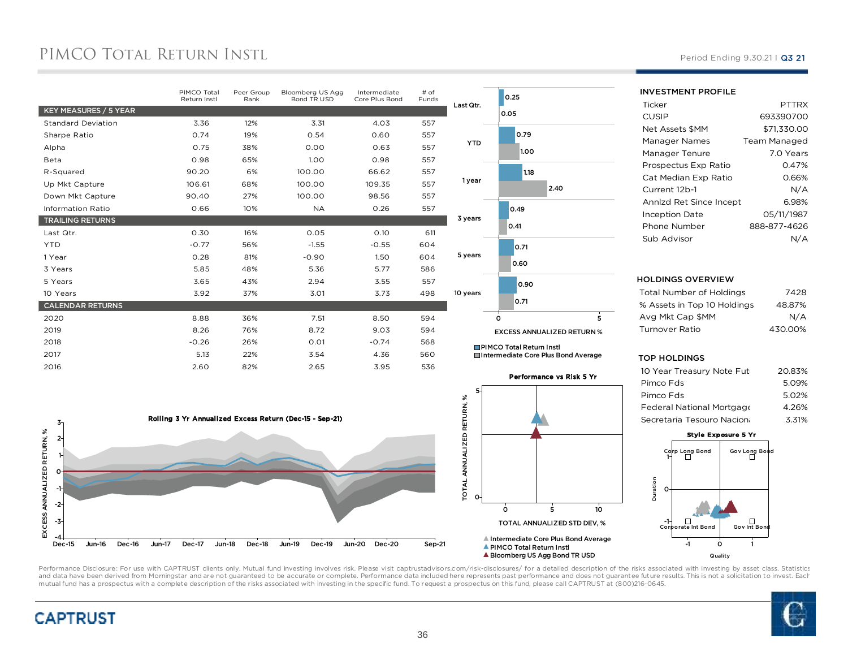## PIMCO TOTAL RETURN INSTI.

|                           | PIMCO Total<br>Return Instl | Peer Group<br>Rank | Bloomberg US Agg<br>Bond TR USD | Intermediate<br>Core Plus Bond | # of<br>Funds |
|---------------------------|-----------------------------|--------------------|---------------------------------|--------------------------------|---------------|
| KEY MEASURES / 5 YEAR     |                             |                    |                                 |                                |               |
| <b>Standard Deviation</b> | 3.36                        | 12%                | 3.31                            | 4.03                           | 557           |
| Sharpe Ratio              | 0.74                        | 19%                | 0.54                            | 0.60                           | 557           |
| Alpha                     | 0.75                        | 38%                | 0.00                            | 0.63                           | 557           |
| Beta                      | 0.98                        | 65%                | 1.00                            | 0.98                           | 557           |
| R-Squared                 | 90.20                       | 6%                 | 100.00                          | 66.62                          | 557           |
| Up Mkt Capture            | 106.61                      | 68%                | 100.00                          | 109.35                         | 557           |
| Down Mkt Capture          | 90.40                       | 27%                | 100.00                          | 98.56                          | 557           |
| <b>Information Ratio</b>  | 0.66                        | 10%                | <b>NA</b>                       | 0.26                           | 557           |
| <b>TRAILING RETURNS</b>   |                             |                    |                                 |                                |               |
| Last Qtr.                 | 0.30                        | 16%                | 0.05                            | 0.10                           | 611           |
| <b>YTD</b>                | $-0.77$                     | 56%                | $-1.55$                         | $-0.55$                        | 604           |
| 1 Year                    | 0.28                        | 81%                | $-0.90$                         | 1.50                           | 604           |
| 3 Years                   | 5.85                        | 48%                | 5.36                            | 5.77                           | 586           |
| 5 Years                   | 3.65                        | 43%                | 2.94                            | 3.55                           | 557           |
| 10 Years                  | 3.92                        | 37%                | 3.01                            | 3.73                           | 498           |
| <b>CALENDAR RETURNS</b>   |                             |                    |                                 |                                |               |
| 2020                      | 8.88                        | 36%                | 7.51                            | 8.50                           | 594           |
| 2019                      | 8.26                        | 76%                | 8.72                            | 9.03                           | 594           |
| 2018                      | $-0.26$                     | 26%                | 0.01                            | $-0.74$                        | 568           |
| 2017                      | 5.13                        | 22%                | 3.54                            | 4.36                           | 560           |
| 2016                      | 2.60                        | 82%                | 2.65                            | 3.95                           | 536           |
|                           |                             |                    |                                 |                                |               |





Performance vs Risk 5 Yr

 <sup>5</sup> <sup>10</sup> TOTAL ANNUALIZED STD DEV, %

Bloomberg US Agg Bond TR USD

5

 $\ddot{\mathbf{o}}$ 

 $Ma$ 

**Ticker** 

| CUSIP                   | 693390700           |
|-------------------------|---------------------|
| Net Assets \$MM         | \$71,330.00         |
| Manager Names           | <b>Team Managed</b> |
| Manager Tenure          | 7.0 Years           |
| Prospectus Exp Ratio    | 0.47%               |
| Cat Median Exp Ratio    |                     |
| Current 12b-1           | N/A                 |
| Annizd Ret Since Incept | 6.98%               |
| Inception Date          | 05/11/1987          |
| Phone Number            | 888-877-4626        |
| Sub Advisor             |                     |

#### HOLDINGS OVERVIEW

INVESTMENT PROFILE

| Total Number of Holdings    | 7428    |
|-----------------------------|---------|
| % Assets in Top 10 Holdings | 48.87%  |
| Ava Mkt Cap \$MM            | N/A     |
| Turnover Ratio              | 430.00% |
|                             |         |

#### TOP HOLDINGS

| 10 Year Treasury Note Futi | 20.83% |
|----------------------------|--------|
| Pimco Fds                  | 5.09%  |
| Pimco Fds                  | 5.02%  |
| Federal National Mortgage  | 4.26%  |
| Secretaria Tesouro Naciona | 3.31%  |
|                            |        |

#### Style Exposure 5 Yr



Performance Disclosure: For use with CAPTRUST clients only. Mutual fund investing involves risk. Please visit captrustadvisors.com/risk-disclosures/ for a detailed description of the risks associated with investing by asse and data have been derived from Morningstar and are not guaranteed to be accurate or complete. Performance data included here represents past performance and does not guarantee future results. This is not a solicitation to mutual fund has a prospectus with a complete description of the risks associated with investing in the specific fund. To request a prospectus on this fund, please call CAPTRUST at (800)216-0645.





#### Period Ending 9.30.21 | Q3 21

PTTRX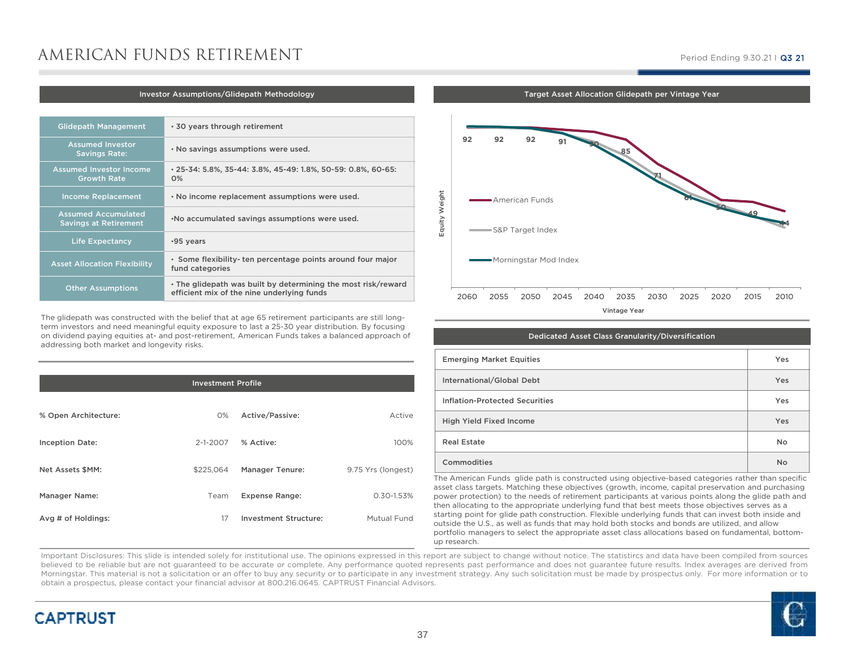## AMERICAN FUNDS RETIREMENT

#### Period Ending 9.30.21 I **Q3 21**

#### Investor Assumptions/Glidepath Methodology

| <b>Glidepath Management</b>                                | ⋅ 30 years through retirement                                                                               |
|------------------------------------------------------------|-------------------------------------------------------------------------------------------------------------|
| <b>Assumed Investor</b><br><b>Savings Rate:</b>            | . No savings assumptions were used.                                                                         |
| <b>Assumed Investor Income</b><br><b>Growth Rate</b>       | • 25-34: 5.8%, 35-44: 3.8%, 45-49: 1.8%, 50-59: 0.8%, 60-65:<br>0%                                          |
| <b>Income Replacement</b>                                  | . No income replacement assumptions were used.                                                              |
| <b>Assumed Accumulated</b><br><b>Savings at Retirement</b> | . No accumulated savings assumptions were used.                                                             |
| <b>Life Expectancy</b>                                     | •95 vears                                                                                                   |
| <b>Asset Allocation Flexibility</b>                        | · Some flexibility-ten percentage points around four major<br>fund categories                               |
| <b>Other Assumptions</b>                                   | . The glidepath was built by determining the most risk/reward<br>efficient mix of the nine underlying funds |

The glidepath was constructed with the belief that at age 65 retirement participants are still longterm investors and need meaningful equity exposure to last a 25-30 year distribution. By focusing on dividend paying equities at- and post-retirement, American Funds takes a balanced approach of addressing both market and longevity risks.

| <b>Investment Profile</b> |                |                              |                    |  |  |
|---------------------------|----------------|------------------------------|--------------------|--|--|
|                           |                |                              |                    |  |  |
| % Open Architecture:      | $O\%$          | Active/Passive:              | Active             |  |  |
| <b>Inception Date:</b>    | $2 - 1 - 2007$ | % Active:                    | 100%               |  |  |
| Net Assets \$MM:          | \$225.064      | <b>Manager Tenure:</b>       | 9.75 Yrs (longest) |  |  |
| Manager Name:             | Team           | <b>Expense Range:</b>        | 0.30-1.53%         |  |  |
| Avg # of Holdings:        | 17             | <b>Investment Structure:</b> | Mutual Fund        |  |  |
|                           |                |                              |                    |  |  |



Target Asset Allocation Glidepath per Vintage Year

| Dedicated Asset Class Granularity/Diversification |           |  |  |  |
|---------------------------------------------------|-----------|--|--|--|
| <b>Emerging Market Equities</b>                   | Yes       |  |  |  |
| International/Global Debt                         | Yes       |  |  |  |
| <b>Inflation-Protected Securities</b>             | Yes       |  |  |  |
| <b>High Yield Fixed Income</b>                    | Yes       |  |  |  |
| <b>Real Estate</b>                                | No        |  |  |  |
| Commodities                                       | <b>No</b> |  |  |  |

The American Funds glide path is constructed using objective-based categories rather than specific asset class targets. Matching these objectives (growth, income, capital preservation and purchasing power protection) to the needs of retirement participants at various points along the glide path and then allocating to the appropriate underlying fund that best meets those objectives serves as a starting point for glide path construction. Flexible underlying funds that can invest both inside and outside the U.S., as well as funds that may hold both stocks and bonds are utilized, and allow portfolio managers to select the appropriate asset class allocations based on fundamental, bottomup research.

Important Disclosures: This slide is intended solely for institutional use. The opinions expressed in this report are subject to change without notice. The statistircs and data have been compiled from sources believed to be reliable but are not quaranteed to be accurate or complete. Any performance quoted represents past performance and does not quarantee future results. Index averages are derived from Morningstar. This material is not <sup>a</sup> solicitation or an offer to buy any security or to participate in any investment strategy. Any such solicitation must be made by prospectus only. For more information or toobtain <sup>a</sup> prospectus, please contact your financial advisor at 800.216.0645. CAPTRUST Financial Advisors.



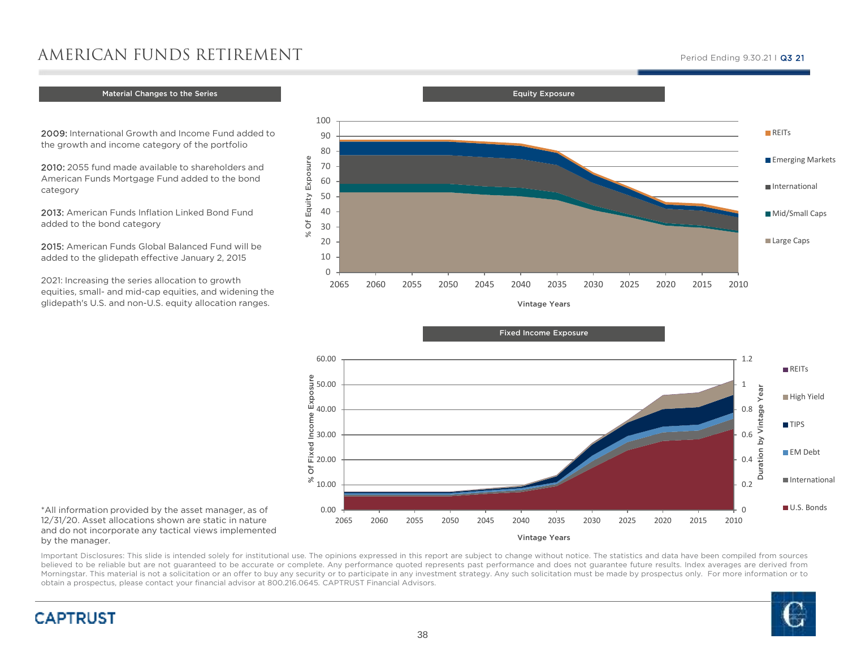## AMERICAN FUNDS RETIREMENT

### Material Changes to the Series Key FACTORS AND ASSUMPTIONS AND ASSUMPTIONS AND ASSUMPTIONS AND ASSUMPTIONS AND

2009: International Growth and Income Fund added to the growth and income category of the portfolio

90100

0.00

 $\frac{8}{10.00}$ 

 $\frac{8}{12}$  20.00

30.00

% Of Fixed Income Exposure

Inco

Pe

 $\overline{O}$ 

sure

40.00

50.00

2010: 2055 fund made available to shareholders and American Funds Mortgage Fund added to the bond category

2013: American Funds Inflation Linked Bond Fund added to the bond category

2015: American Funds Global Balanced Fund will be added to the glidepath effective January 2, 2015

2021: Increasing the series allocation to growth equities, small- and mid-cap equities, and widening the glidepath's U.S. and non-U.S. equity allocation ranges.



Vintage Years

<sup>2065</sup> <sup>2060</sup> <sup>2055</sup> <sup>2050</sup> <sup>2045</sup> <sup>2040</sup> <sup>2035</sup> <sup>2030</sup> <sup>2025</sup> <sup>2020</sup> <sup>2015</sup> <sup>2010</sup>

Equity Exposure

\*All information provided by the asset manager, as of 12/31/20. Asset allocations shown are static in nature and do not incorporate any tactical views implemented by the manager.

**CAPTRUST** 

Important Disclosures: This slide is intended solely for institutional use. The opinions expressed in this report are subject to change without notice. The statistics and data have been compiled from sources believed to be reliable but are not guaranteed to be accurate or complete. Any performance quoted represents past performance and does not guarantee future results. Index averages are derived from Morningstar. This material is not <sup>a</sup> solicitation or an offer to buy any security or to participate in any investment strategy. Any such solicitation must be made by prospectus only. For more information or toobtain <sup>a</sup> prospectus, please contact your financial advisor at 800.216.0645. CAPTRUST Financial Advisors.



 $\Omega$ 2010

0.2

0.4

0.60.8

Duration by Vintage Year

 $\overline{\mathsf{S}}$ 

tion

훔

High Yield

**EM Debt** 

International

U.S. Bonds

**TIPS** 

1

#### Period Ending 9.30.21 I **Q3 21**

**REITS**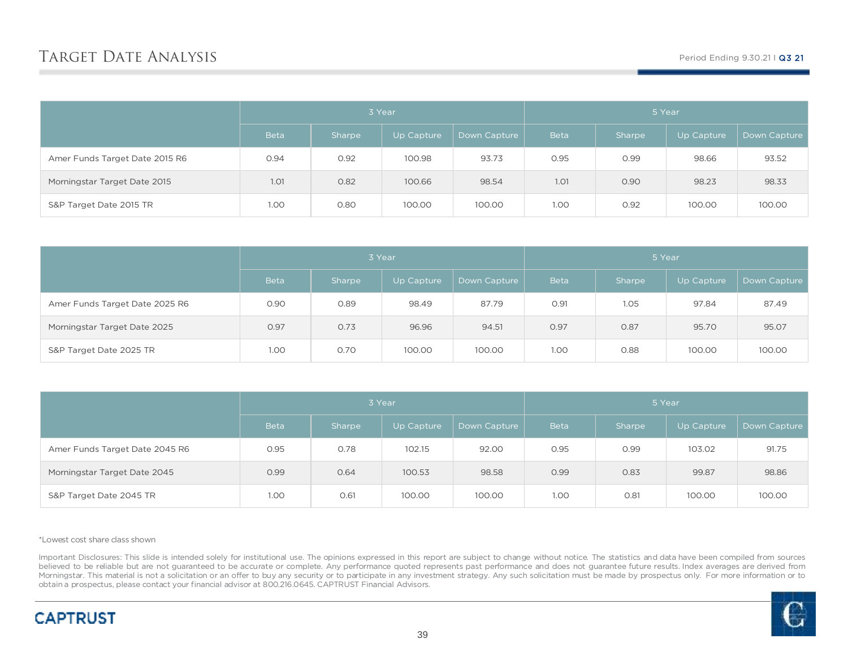|                                | 3 Year      |        |            |              | 5 Year      |        |            |              |
|--------------------------------|-------------|--------|------------|--------------|-------------|--------|------------|--------------|
|                                | <b>Beta</b> | Sharpe | Up Capture | Down Capture | <b>Beta</b> | Sharpe | Up Capture | Down Capture |
| Amer Funds Target Date 2015 R6 | 0.94        | 0.92   | 100.98     | 93.73        | 0.95        | 0.99   | 98.66      | 93.52        |
| Morningstar Target Date 2015   | 1.01        | 0.82   | 100.66     | 98.54        | 1.01        | 0.90   | 98.23      | 98.33        |
| S&P Target Date 2015 TR        | 1.00        | 0.80   | 100.00     | 100.00       | 1.00        | 0.92   | 100.00     | 100.00       |

|                                | 3 Year      |        |            |              |             | 5 Year |            |              |
|--------------------------------|-------------|--------|------------|--------------|-------------|--------|------------|--------------|
|                                | <b>Beta</b> | Sharpe | Up Capture | Down Capture | <b>Beta</b> | Sharpe | Up Capture | Down Capture |
| Amer Funds Target Date 2025 R6 | 0.90        | 0.89   | 98.49      | 87.79        | 0.91        | 1.05   | 97.84      | 87.49        |
| Morningstar Target Date 2025   | 0.97        | 0.73   | 96.96      | 94.51        | 0.97        | 0.87   | 95.70      | 95.07        |
| S&P Target Date 2025 TR        | 1.00        | 0.70   | 100.00     | 100.00       | 1.00        | 0.88   | 100.00     | 100.00       |

|                                | 3 Year      |        |            |              |             | 5 Year |            |              |
|--------------------------------|-------------|--------|------------|--------------|-------------|--------|------------|--------------|
|                                | <b>Beta</b> | Sharpe | Up Capture | Down Capture | <b>Beta</b> | Sharpe | Up Capture | Down Capture |
| Amer Funds Target Date 2045 R6 | 0.95        | 0.78   | 102.15     | 92.00        | 0.95        | 0.99   | 103.02     | 91.75        |
| Morningstar Target Date 2045   | 0.99        | 0.64   | 100.53     | 98.58        | 0.99        | 0.83   | 99.87      | 98.86        |
| S&P Target Date 2045 TR        | 1.00        | 0.61   | 100.00     | 100.00       | 1.00        | 0.81   | 100.00     | 100.00       |

\*Lowest cost share class shown

Important Disclosures: This slide is intended solely for institutional use. The opinions expressed in this report are subject to change without notice. The statistics and data have been compiled from sources believed to be reliable but are not guaranteed to be accurate or complete. Any performance quoted represents past performance and does not guarantee future results. Index averages are derived from Morningstar. This material is not a solicitation or an offer to buy any security or to participate in any investment strategy. Any such solicitation must be made by prospectus only. For more information or to obtain a prospectus, please contact your financial advisor at 800.216.0645. CAPTRUST Financial Advisors.

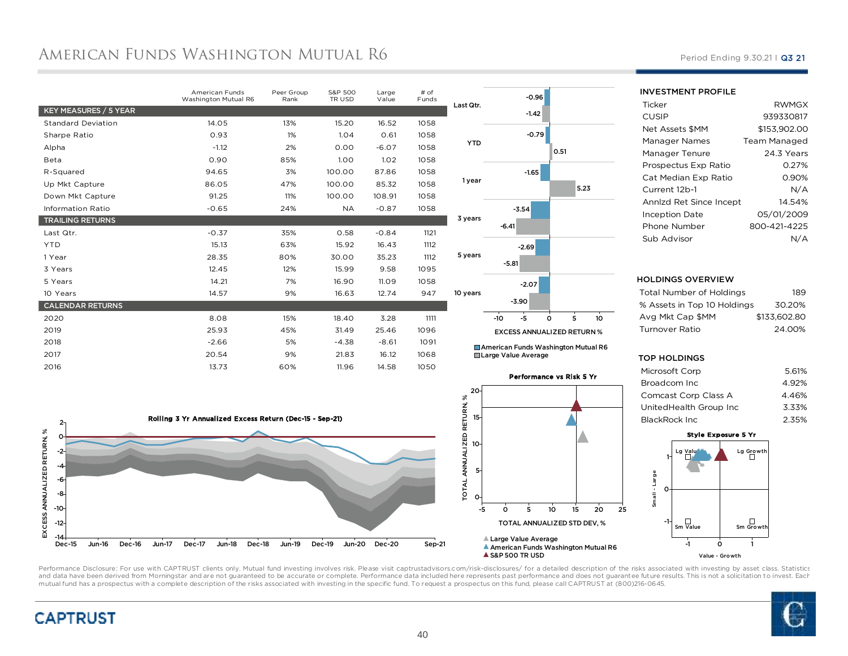## AMERICAN FUNDS WASHINGTON MUTUAL R6

|                           | American Funds<br>Washington Mutual R6 | Peer Group<br>Rank | S&P 500<br>TR USD | Large<br>Value | # of<br>Funds |                 |
|---------------------------|----------------------------------------|--------------------|-------------------|----------------|---------------|-----------------|
| KEY MEASURES / 5 YEAR     |                                        |                    |                   |                |               | Las             |
| <b>Standard Deviation</b> | 14.05                                  | 13%                | 15.20             | 16.52          | 1058          |                 |
| Sharpe Ratio              | 0.93                                   | 1%                 | 1.04              | 0.61           | 1058          |                 |
| Alpha                     | $-1.12$                                | 2%                 | 0.00              | $-6.07$        | 1058          |                 |
| Beta                      | 0.90                                   | 85%                | 1.00 <sub>o</sub> | 1.02           | 1058          |                 |
| R-Squared                 | 94.65                                  | 3%                 | 100.00            | 87.86          | 1058          |                 |
| Up Mkt Capture            | 86.05                                  | 47%                | 100.00            | 85.32          | 1058          | 1               |
| Down Mkt Capture          | 91.25                                  | 11%                | 100.00            | 108.91         | 1058          |                 |
| <b>Information Ratio</b>  | $-0.65$                                | 24%                | <b>NA</b>         | $-0.87$        | 1058          |                 |
| <b>TRAILING RETURNS</b>   |                                        |                    |                   |                |               | 3 <sub>1</sub>  |
| Last Qtr.                 | $-0.37$                                | 35%                | 0.58              | $-0.84$        | 1121          |                 |
| <b>YTD</b>                | 15.13                                  | 63%                | 15.92             | 16.43          | 1112          |                 |
| 1 Year                    | 28.35                                  | 80%                | 30.00             | 35.23          | 1112          | 5)              |
| 3 Years                   | 12.45                                  | 12%                | 15.99             | 9.58           | 1095          |                 |
| 5 Years                   | 14.21                                  | 7%                 | 16.90             | 11.09          | 1058          |                 |
| 10 Years                  | 14.57                                  | 9%                 | 16.63             | 12.74          | 947           | 10 <sub>1</sub> |
| <b>CALENDAR RETURNS</b>   |                                        |                    |                   |                |               |                 |
| 2020                      | 8.08                                   | 15%                | 18.40             | 3.28           | 1111          |                 |
| 2019                      | 25.93                                  | 45%                | 31.49             | 25.46          | 1096          |                 |
| 2018                      | $-2.66$                                | 5%                 | $-4.38$           | $-8.61$        | 1091          |                 |
| 2017                      | 20.54                                  | 9%                 | 21.83             | 16.12          | 1068          |                 |
| 2016                      | 13.73                                  | 60%                | 11.96             | 14.58          | 1050          |                 |
|                           |                                        |                    |                   |                |               |                 |



■ American Funds Washington Mutual R6 Large Value Average





INVESTMENT PROFILE

| Ticker                  | <b>RWMGX</b> |
|-------------------------|--------------|
| CUSIP                   | 939330817    |
| Net Assets \$MM         | \$153.902.00 |
| Manager Names           | Team Managed |
| Manager Tenure          | 24.3 Years   |
| Prospectus Exp Ratio    | 0.27%        |
| Cat Median Exp Ratio    | 0.90%        |
| Current 12b-1           | N/A          |
| Annlzd Ret Since Incept | 14.54%       |
| Inception Date          | 05/01/2009   |
| Phone Number            | 800-421-4225 |
| Sub Advisor             |              |
|                         |              |

Period Ending 9.30.21 | Q3 21

#### HOLDINGS OVERVIEW

| Total Number of Holdings    | 189          |
|-----------------------------|--------------|
| % Assets in Top 10 Holdings | 30.20%       |
| Ava Mkt Cap \$MM            | \$133,602.80 |
| Turnover Ratio              | 24.00%       |
|                             |              |

#### TOP HOLDINGS

| Microsoft Corp         | 5.61% |
|------------------------|-------|
| Broadcom Inc           | 4.92% |
| Comcast Corp Class A   | 4.46% |
| UnitedHealth Group Inc | 3.33% |
| BlackRock Inc          | 2.35% |
|                        |       |



Performance Disclosure: For use with CAPTRUST clients only. Mutual fund investing involves risk. Please visit captrustadvisors.com/risk-disclosures/ for a detailed description of the risks associated with investing by asse and data have been derived from Morningstar and are not guaranteed to be accurate or complete. Performance data included here represents past performance and does not guarantee future results. This is not a solicitation to mutual fund has a prospectus with a complete description of the risks associated with investing in the specific fund. To request a prospectus on this fund, please call CAPTRUST at (800)216-0645.



 $-14$ 

-12-10-8-6-4-2 $\Omega$  $2<sub>1</sub>$ 

EXCESS ANNUALIZED RETURN, %

EXCESS ANNUALIZED RETURN, %

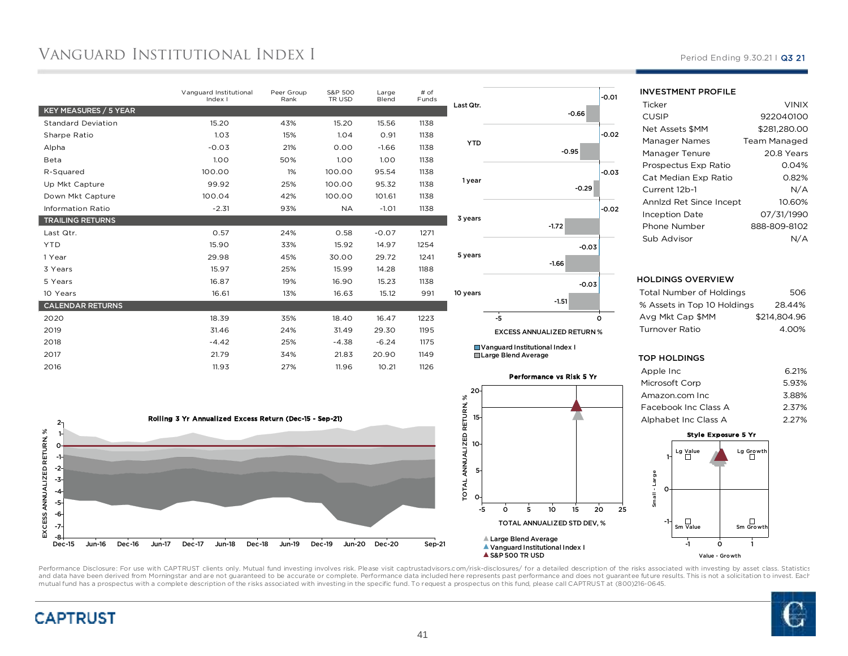## Vanguard Institutional Index I

|                           | Vanguard Institutional<br>Index I | Peer Group<br>Rank | S&P 500<br>TR USD | Large<br>Blend | $#$ of<br>Funds | Last Qtr.  |                            |
|---------------------------|-----------------------------------|--------------------|-------------------|----------------|-----------------|------------|----------------------------|
| KEY MEASURES / 5 YEAR     |                                   |                    |                   |                |                 |            |                            |
| <b>Standard Deviation</b> | 15.20                             | 43%                | 15.20             | 15.56          | 1138            |            |                            |
| Sharpe Ratio              | 1.03                              | 15%                | 1.04              | 0.91           | 1138            |            |                            |
| Alpha                     | $-0.03$                           | 21%                | 0.00              | $-1.66$        | 1138            | <b>YTD</b> |                            |
| Beta                      | 1.00                              | 50%                | 1.00              | 1.00           | 1138            |            |                            |
| R-Squared                 | 100.00                            | 1%                 | 100.00            | 95.54          | 1138            |            |                            |
| Up Mkt Capture            | 99.92                             | 25%                | 100.00            | 95.32          | 1138            | 1 year     |                            |
| Down Mkt Capture          | 100.04                            | 42%                | 100.00            | 101.61         | 1138            |            |                            |
| <b>Information Ratio</b>  | $-2.31$                           | 93%                | <b>NA</b>         | $-1.01$        | 1138            |            |                            |
| <b>TRAILING RETURNS</b>   |                                   |                    |                   |                |                 | 3 years    |                            |
| Last Qtr.                 | 0.57                              | 24%                | 0.58              | $-0.07$        | 1271            |            |                            |
| <b>YTD</b>                | 15.90                             | 33%                | 15.92             | 14.97          | 1254            |            |                            |
| 1 Year                    | 29.98                             | 45%                | 30.00             | 29.72          | 1241            | 5 years    |                            |
| 3 Years                   | 15.97                             | 25%                | 15.99             | 14.28          | 1188            |            |                            |
| 5 Years                   | 16.87                             | 19%                | 16.90             | 15.23          | 1138            |            |                            |
| 10 Years                  | 16.61                             | 13%                | 16.63             | 15.12          | 991             | 10 years   |                            |
| <b>CALENDAR RETURNS</b>   |                                   |                    |                   |                |                 |            |                            |
| 2020                      | 18.39                             | 35%                | 18.40             | 16.47          | 1223            |            | $-5$                       |
| 2019                      | 31.46                             | 24%                | 31.49             | 29.30          | 1195            |            | <b>EXCESS</b>              |
| 2018                      | $-4.42$                           | 25%                | $-4.38$           | $-6.24$        | 1175            |            | $\blacksquare$ Vanguard In |
| 2017                      | 21.79                             | 34%                | 21.83             | 20.90          | 1149            |            | Large Blenc                |
| 2016                      | 11.93                             | 27%                | 11.96             | 10.21          | 1126            |            |                            |
|                           |                                   |                    |                   |                |                 |            |                            |





1 stitutional Index d Average



#### Period Ending 9.30.21 | Q3 21

#### INVESTMENT PROFILE

| Ticker                  | <b>VINIX</b> |
|-------------------------|--------------|
| CUSIP                   | 922040100    |
| Net Assets \$MM         | \$281.280.00 |
| Manager Names           | Team Managed |
| Manager Tenure          | 20.8 Years   |
| Prospectus Exp Ratio    | 0.04%        |
| Cat Median Exp Ratio    | 0.82%        |
| Current 12b-1           | N/A          |
| Annlzd Ret Since Incept | 10.60%       |
| <b>Inception Date</b>   | 07/31/1990   |
| Phone Number            | 888-809-8102 |
| Sub Advisor             | N/A          |

#### HOLDINGS OVERVIEW

| Total Number of Holdings    | 506          |
|-----------------------------|--------------|
| % Assets in Top 10 Holdings | 28.44%       |
| Avg Mkt Cap \$MM            | \$214.804.96 |
| Turnover Ratio              | 4.00%        |
|                             |              |

#### TOP HOLDINGS

| Apple Inc            | 6.21% |
|----------------------|-------|
| Microsoft Corp       | 5.93% |
| Amazon.com Inc       | 3.88% |
| Facebook Inc Class A | 2.37% |
| Alphabet Inc Class A | 2.27% |
|                      |       |





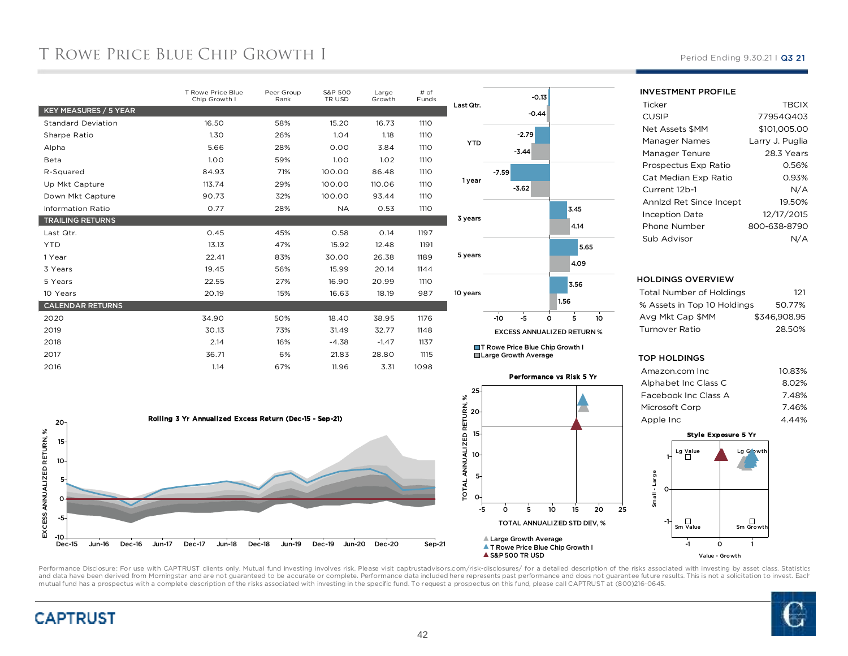## T ROWE PRICE BLUE CHIP GROWTH I

|                           | T Rowe Price Blue<br>Chip Growth I | Peer Group<br>Rank | S&P 500<br>TR USD | Large<br>Growth | # of<br>Funds | Last Qtr.  |
|---------------------------|------------------------------------|--------------------|-------------------|-----------------|---------------|------------|
| KEY MEASURES / 5 YEAR     |                                    |                    |                   |                 |               |            |
| <b>Standard Deviation</b> | 16.50                              | 58%                | 15.20             | 16.73           | 1110          |            |
| Sharpe Ratio              | 1.30                               | 26%                | 1.04              | 1.18            | <b>1110</b>   |            |
| Alpha                     | 5.66                               | 28%                | 0.00              | 3.84            | 1110          | <b>YTD</b> |
| Beta                      | 1.00                               | 59%                | 1.00              | 1.02            | 1110          |            |
| R-Squared                 | 84.93                              | 71%                | 100.00            | 86.48           | <b>1110</b>   |            |
| Up Mkt Capture            | 113.74                             | 29%                | 100.00            | 110.06          | <b>1110</b>   | 1 year     |
| Down Mkt Capture          | 90.73                              | 32%                | 100.00            | 93.44           | <b>1110</b>   |            |
| <b>Information Ratio</b>  | 0.77                               | 28%                | <b>NA</b>         | 0.53            | <b>1110</b>   |            |
| <b>TRAILING RETURNS</b>   |                                    |                    |                   |                 |               | 3 years    |
| Last Qtr.                 | 0.45                               | 45%                | 0.58              | 0.14            | 1197          |            |
| <b>YTD</b>                | 13.13                              | 47%                | 15.92             | 12.48           | 1191          |            |
| 1 Year                    | 22.41                              | 83%                | 30.00             | 26.38           | 1189          | 5 years    |
| 3 Years                   | 19.45                              | 56%                | 15.99             | 20.14           | 1144          |            |
| 5 Years                   | 22.55                              | 27%                | 16.90             | 20.99           | <b>1110</b>   |            |
| 10 Years                  | 20.19                              | 15%                | 16.63             | 18.19           | 987           | 10 years   |
| <b>CALENDAR RETURNS</b>   |                                    |                    |                   |                 |               |            |
| 2020                      | 34.90                              | 50%                | 18.40             | 38.95           | 1176          |            |
| 2019                      | 30.13                              | 73%                | 31.49             | 32.77           | 1148          |            |
| 2018                      | 2.14                               | 16%                | $-4.38$           | $-1.47$         | 1137          | П.         |
| 2017                      | 36.71                              | 6%                 | 21.83             | 28.80           | 1115          | ш          |
| 2016                      | 1.14                               | 67%                | 11.96             | 3.31            | 1098          |            |

Dec-16 Jun-17 Dec-17 Jun-18 Dec-18 Jun-19 Dec-19 Jun-20





-0.44-0.13

■T Rowe Price Blue Chip Growth I



Period Ending 9.30.21 | Q3 21



#### HOLDINGS OVERVIEW

| Total Number of Holdings    | 121          |
|-----------------------------|--------------|
| % Assets in Top 10 Holdings | 50.77%       |
| Ava Mkt Cap \$MM            | \$346.908.95 |
| Turnover Ratio              | 28.50%       |
|                             |              |

#### TOP HOLDINGS

| Amazon.com Inc       | 10.83% |
|----------------------|--------|
| Alphabet Inc Class C | 8.02%  |
| Facebook Inc Class A | 7.48%  |
| Microsoft Corp       | 7.46%  |
| Apple Inc            | 4.44%  |
|                      |        |



Performance Disclosure: For use with CAPTRUST clients only. Mutual fund investing involves risk. Please visit captrustadvisors.com/risk-disclosures/ for a detailed description of the risks associated with investing by asse and data have been derived from Morningstar and are not guaranteed to be accurate or complete. Performance data included here represents past performance and does not guarantee future results. This is not a solicitation to mutual fund has a prospectus with a complete description of the risks associated with investing in the specific fund. To request a prospectus on this fund, please call CAPTRUST at (800)216-0645.

Jun-20 Dec-20 Sep-21



Jun-16

-10Dec-15

-5 $\Omega$ 51015 $20 -$ 

EXCESS ANNUALIZED RETURN, %

EXCESS ANNUALIZED RETURN, %

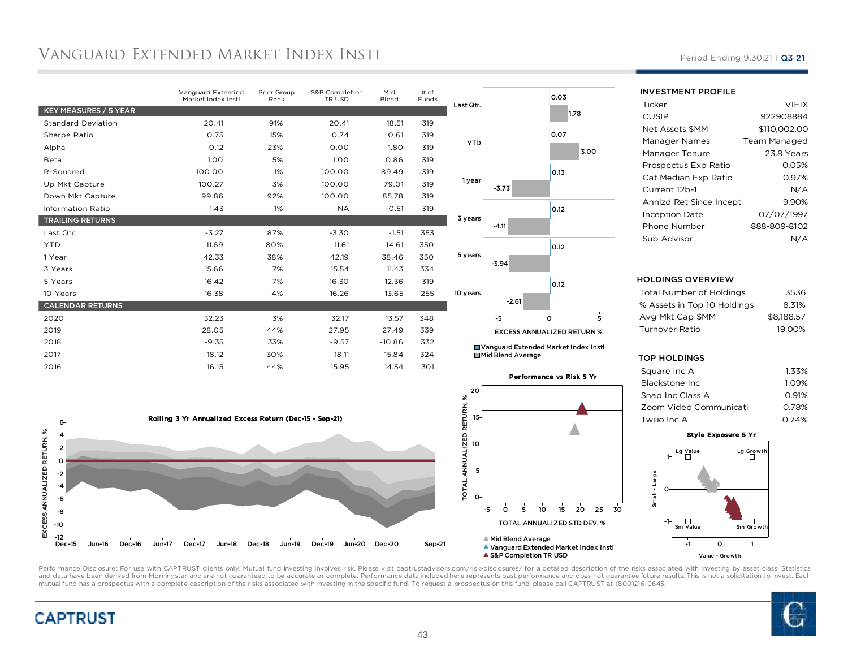## Vanguard Extended Market Index Insti.

|                           | Vanguard Extended<br>Market Index Instl | Peer Group<br>Rank | S&P Completion<br>TR USD | Mid<br>Blend | # of<br>Funds |
|---------------------------|-----------------------------------------|--------------------|--------------------------|--------------|---------------|
| KEY MEASURES / 5 YEAR     |                                         |                    |                          |              |               |
| <b>Standard Deviation</b> | 20.41                                   | 91%                | 20.41                    | 18.51        | 319           |
| Sharpe Ratio              | 0.75                                    | 15%                | 0.74                     | 0.61         | 319           |
| Alpha                     | 0.12                                    | 23%                | 0.00                     | $-1.80$      | 319           |
| Beta                      | 1.00                                    | 5%                 | 1.00                     | 0.86         | 319           |
| R-Squared                 | 100.00                                  | 1%                 | 100.00                   | 89.49        | 319           |
| Up Mkt Capture            | 100.27                                  | 3%                 | 100.00                   | 79.01        | 319           |
| Down Mkt Capture          | 99.86                                   | 92%                | 100.00                   | 85.78        | 319           |
| <b>Information Ratio</b>  | 1.43                                    | 1%                 | <b>NA</b>                | $-0.51$      | 319           |
| <b>TRAILING RETURNS</b>   |                                         |                    |                          |              |               |
| Last Qtr.                 | $-3.27$                                 | 87%                | $-3.30$                  | $-1.51$      | 353           |
| <b>YTD</b>                | 11.69                                   | 80%                | 11.61                    | 14.61        | 350           |
| 1 Year                    | 42.33                                   | 38%                | 42.19                    | 38.46        | 350           |
| 3 Years                   | 15.66                                   | 7%                 | 15.54                    | 11.43        | 334           |
| 5 Years                   | 16.42                                   | 7%                 | 16.30                    | 12.36        | 319           |
| 10 Years                  | 16.38                                   | 4%                 | 16.26                    | 13.65        | 255           |
| <b>CALENDAR RETURNS</b>   |                                         |                    |                          |              |               |
| 2020                      | 32.23                                   | 3%                 | 32.17                    | 13.57        | 348           |
| 2019                      | 28.05                                   | 44%                | 27.95                    | 27.49        | 339           |
| 2018                      | $-9.35$                                 | 33%                | $-9.57$                  | $-10.86$     | 332           |
| 2017                      | 18.12                                   | 30%                | 18.11                    | 15.84        | 324           |
| 2016                      | 16.15                                   | 44%                | 15.95                    | 14.54        | 301           |





■ Vanguard Extended Market Index Instl ■ Mid Blend Average



▲ S&P Completion TR USD

#### Period Ending 9.30.21 | Q3 21

#### INVESTMENT PROFILE

| Ticker                  | <b>VIEIX</b> |
|-------------------------|--------------|
| CUSIP                   | 922908884    |
| Net Assets \$MM         | \$110.002.00 |
| Manager Names           | Team Managed |
| Manager Tenure          | 23.8 Years   |
| Prospectus Exp Ratio    | 0.05%        |
| Cat Median Exp Ratio    | 0.97%        |
| Current 12b-1           | N/A          |
| Annlzd Ret Since Incept | 9.90%        |
| Inception Date          | 07/07/1997   |
| Phone Number            | 888-809-8102 |
| Sub Advisor             |              |

#### HOLDINGS OVERVIEW

| Total Number of Holdings    | 3536       |
|-----------------------------|------------|
| % Assets in Top 10 Holdings | 8.31%      |
| Avg Mkt Cap \$MM            | \$8.188.57 |
| Turnover Ratio              | 19.00%     |
|                             |            |

#### TOP HOLDINGS

| Square Inc A           | 1.33% |
|------------------------|-------|
| Blackstone Inc         | 1.09% |
| Snap Inc Class A       | 0.91% |
| Zoom Video Communicati | 0.78% |
| Twilio Inc A           | 0.74% |
|                        |       |





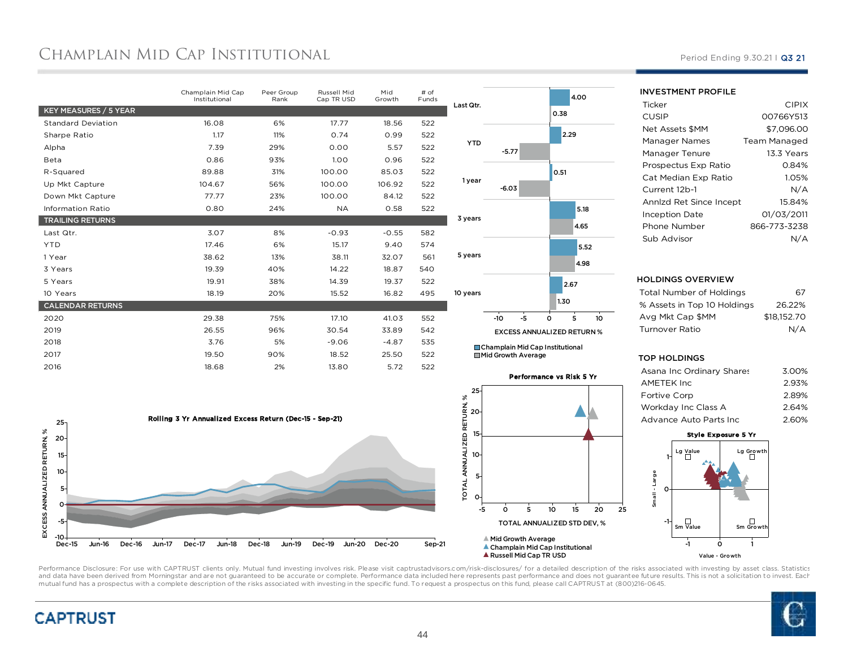## Champlain Mid Cap Institutional

|                           | Champlain Mid Cap<br>Institutional | Peer Group<br>Rank | Russell Mid<br>Cap TR USD | Mid<br>Growth | # of<br>Funds |  |
|---------------------------|------------------------------------|--------------------|---------------------------|---------------|---------------|--|
| KEY MEASURES / 5 YEAR     |                                    |                    |                           |               |               |  |
| <b>Standard Deviation</b> | 16.08                              | 6%                 | 17.77                     | 18.56         | 522           |  |
| Sharpe Ratio              | 1.17                               | 11%                | 0.74                      | 0.99          | 522           |  |
| Alpha                     | 7.39                               | 29%                | 0.00                      | 5.57          | 522           |  |
| Beta                      | 0.86                               | 93%                | 1.00                      | 0.96          | 522           |  |
| R-Squared                 | 89.88                              | 31%                | 100.00                    | 85.03         | 522           |  |
| Up Mkt Capture            | 104.67                             | 56%                | 100.00                    | 106.92        | 522           |  |
| Down Mkt Capture          | 77.77                              | 23%                | 100.00                    | 84.12         | 522           |  |
| <b>Information Ratio</b>  | 0.80                               | 24%                | <b>NA</b>                 | 0.58          | 522           |  |
| <b>TRAILING RETURNS</b>   |                                    |                    |                           |               |               |  |
| Last Qtr.                 | 3.07                               | 8%                 | $-0.93$                   | $-0.55$       | 582           |  |
| <b>YTD</b>                | 17.46                              | 6%                 | 15.17                     | 9.40          | 574           |  |
| 1 Year                    | 38.62                              | 13%                | 38.11                     | 32.07         | 561           |  |
| 3 Years                   | 19.39                              | 40%                | 14.22                     | 18.87         | 540           |  |
| 5 Years                   | 19.91                              | 38%                | 14.39                     | 19.37         | 522           |  |
| 10 Years                  | 18.19                              | 20%                | 15.52                     | 16.82         | 495           |  |
| <b>CALENDAR RETURNS</b>   |                                    |                    |                           |               |               |  |
| 2020                      | 29.38                              | 75%                | 17.10                     | 41.03         | 552           |  |
| 2019                      | 26.55                              | 96%                | 30.54                     | 33.89         | 542           |  |
| 2018                      | 3.76                               | 5%                 | $-9.06$                   | $-4.87$       | 535           |  |
| 2017                      | 19.50                              | 90%                | 18.52                     | 25.50         | 522           |  |
| 2016                      | 18.68                              | 2%                 | 13.80                     | 5.72          | 522           |  |
|                           |                                    |                    |                           |               |               |  |





Champlain Mid Cap InstitutionalMid Growth Average



Russell Mid Cap TR USD

Period Ending 9.30.21 | Q3 21

#### INVESTMENT PROFILE**Ticker**  CIPIXP 00766Y513 CUSIPNet Assets \$MM57,096.00<br>Team Managed Manager Names 13.3 Years Manager TenureProspectus Exp Ratio0.84%

| Prospectus EXP Ratio    | 1.047        |
|-------------------------|--------------|
| Cat Median Exp Ratio    | 1.05%        |
| Current 12b-1           | N/A          |
| Annizd Ret Since Incept | 15.84%       |
| <b>Inception Date</b>   | 01/03/2011   |
| Phone Number            | 866-773-3238 |
| Sub Advisor             | N/A          |
|                         |              |

#### HOLDINGS OVERVIEW

| Total Number of Holdings    | 67          |
|-----------------------------|-------------|
| % Assets in Top 10 Holdings | 26.22%      |
| Ava Mkt Cap \$MM            | \$18,152,70 |
| Turnover Ratio              | N/A         |
|                             |             |

#### TOP HOLDINGS

| Asana Inc Ordinary Shares | 3.00% |
|---------------------------|-------|
| AMETEK Inc                | 2.93% |
| <b>Fortive Corp</b>       | 2.89% |
| Workday Inc Class A       | 2.64% |
| Advance Auto Parts Inc    | 2.60% |
|                           |       |

#### Style Exposure 5 Yr





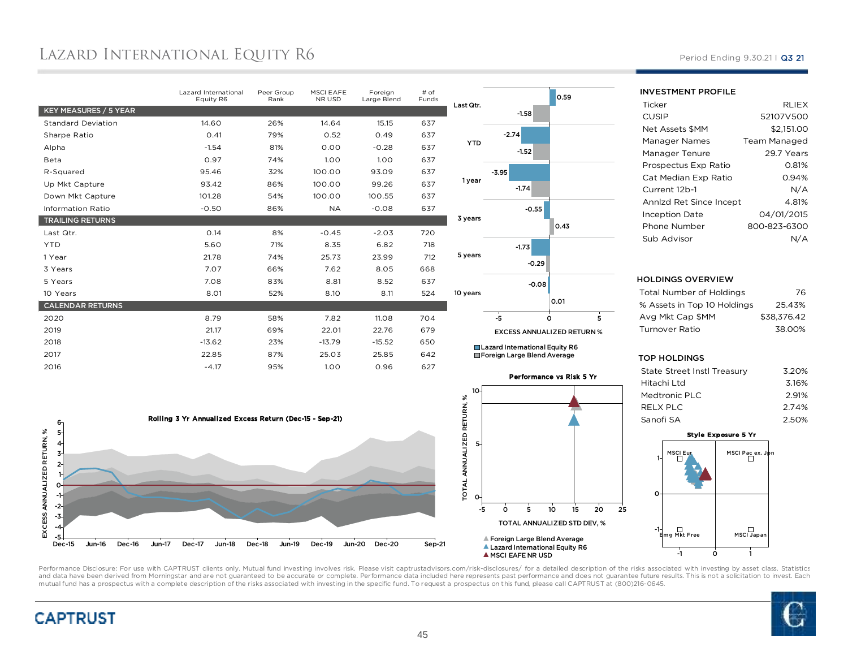## Lazard International Equity R6

|                           | Lazard International<br>Equity R6 | Peer Group<br>Rank | MSCI EAFE<br>NR USD | Foreign<br>Large Blend | $#$ of<br>Funds |                 |
|---------------------------|-----------------------------------|--------------------|---------------------|------------------------|-----------------|-----------------|
| KEY MEASURES / 5 YEAR     |                                   |                    |                     |                        |                 | <b>Last Qtr</b> |
| <b>Standard Deviation</b> | 14.60                             | 26%                | 14.64               | 15.15                  | 637             |                 |
| Sharpe Ratio              | 0.41                              | 79%                | 0.52                | 0.49                   | 637             |                 |
| Alpha                     | $-1.54$                           | 81%                | 0.00                | $-0.28$                | 637             | <b>YTD</b>      |
| Beta                      | 0.97                              | 74%                | 1.00                | 1.00                   | 637             |                 |
| R-Squared                 | 95.46                             | 32%                | 100.00              | 93.09                  | 637             |                 |
| Up Mkt Capture            | 93.42                             | 86%                | 100.00              | 99.26                  | 637             | 1 yea           |
| Down Mkt Capture          | 101.28                            | 54%                | 100.00              | 100.55                 | 637             |                 |
| <b>Information Ratio</b>  | $-0.50$                           | 86%                | <b>NA</b>           | $-0.08$                | 637             |                 |
| <b>TRAILING RETURNS</b>   |                                   |                    |                     |                        |                 | 3 years         |
| Last Qtr.                 | 0.14                              | 8%                 | $-0.45$             | $-2.03$                | 720             |                 |
| <b>YTD</b>                | 5.60                              | 71%                | 8.35                | 6.82                   | 718             |                 |
| 1 Year                    | 21.78                             | 74%                | 25.73               | 23.99                  | 712             | 5 years         |
| 3 Years                   | 7.07                              | 66%                | 7.62                | 8.05                   | 668             |                 |
| 5 Years                   | 7.08                              | 83%                | 8.81                | 8.52                   | 637             |                 |
| 10 Years                  | 8.01                              | 52%                | 8.10                | 8.11                   | 524             | 10 years        |
| <b>CALENDAR RETURNS</b>   |                                   |                    |                     |                        |                 |                 |
| 2020                      | 8.79                              | 58%                | 7.82                | 11.08                  | 704             |                 |
| 2019                      | 21.17                             | 69%                | 22.01               | 22.76                  | 679             |                 |
| 2018                      | $-13.62$                          | 23%                | $-13.79$            | $-15.52$               | 650             | П               |
| 2017                      | 22.85                             | 87%                | 25.03               | 25.85                  | 642             | Г               |
| 2016                      | $-4.17$                           | 95%                | 1.00                | 0.96                   | 627             |                 |
|                           |                                   |                    |                     |                        |                 |                 |





Performance vs Risk 5 Yr

 <sup>5</sup> <sup>10</sup> <sup>15</sup> <sup>20</sup> <sup>25</sup> TOTAL ANNUALIZED STD DEV, %

INVESTMENT PROFILE

| Ticker                  | <b>RLIEX</b> |
|-------------------------|--------------|
| CUSIP                   | 52107V500    |
| Net Assets \$MM         | \$2.151.00   |
| Manager Names           | Team Managed |
| Manager Tenure          | 29.7 Years   |
| Prospectus Exp Ratio    | 0.81%        |
| Cat Median Exp Ratio    | 0.94%        |
| Current 12b-1           | N/A          |
| Annlzd Ret Since Incept | 4.81%        |
| Inception Date          | 04/01/2015   |
| Phone Number            | 800-823-6300 |
| Sub Advisor             |              |
|                         |              |

#### HOLDINGS OVERVIEW

| Total Number of Holdings    | 76          |
|-----------------------------|-------------|
| % Assets in Top 10 Holdings | 25.43%      |
| Avg Mkt Cap \$MM            | \$38.376.42 |
| Turnover Ratio              | 38.00%      |
|                             |             |

#### TOP HOLDINGS

| State Street Instl Treasury | 3.20% |
|-----------------------------|-------|
| Hitachi Ltd                 | 3.16% |
| Medtronic PLC               | 2.91% |
| RELX PLC                    | 2.74% |
| Sanofi SA                   | 2.50% |
|                             |       |



Performance Disclosure: For use with CAPTRUST clients only. Mutual fund investing involves risk. Please visit captrustadvisors.com/risk-disclosures/ for a detailed description of the risks associated with investing by asse and data have been derived from Morningstar and are not guaranteed to be accurate or complete. Performance data included here represents past performance and does not guarantee future results. This is not a solicitation to mutual fund has a prospectus with a complete description of the risks associated with investing in the specific fund. To request a prospectus on this fund, please call CAPTRUST at (800)216-0645.

0

-5

 $\circ$ 

Foreign Large Blend AverageLazard International Equity R6

A MSCI EAFE NR USD

5

TOTAL ANNUALIZED RETURN, %

10



### Period Ending 9.30.21 | Q3 21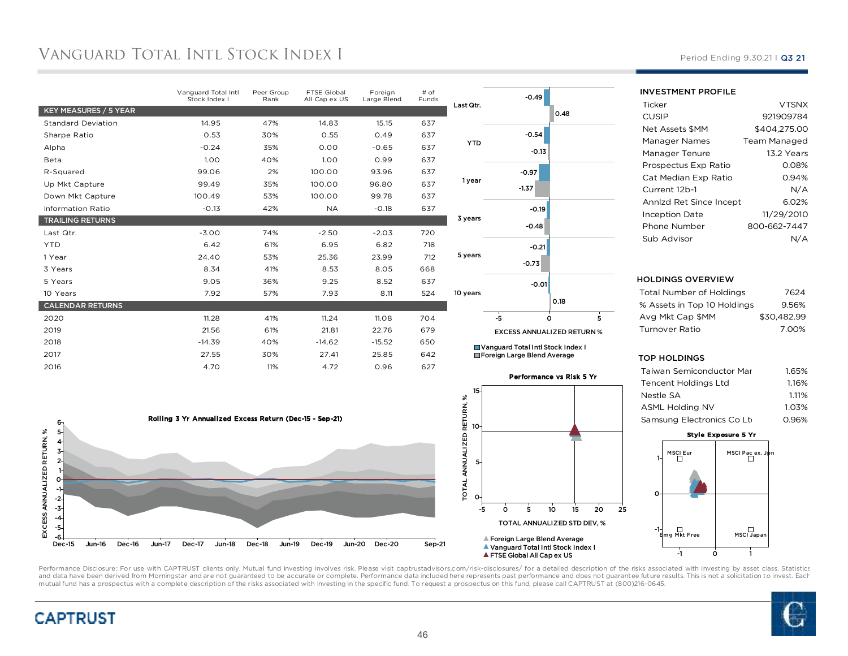## Vanguard Total Intl Stock Index I

| Vanguard Total Intl<br>Stock Index I | Peer Group<br>Rank | FTSE Global<br>All Cap ex US | Foreign<br>Large Blend | # of<br>Funds |    |
|--------------------------------------|--------------------|------------------------------|------------------------|---------------|----|
|                                      |                    |                              |                        |               | La |
| 14.95                                | 47%                | 14.83                        | 15.15                  | 637           |    |
| 0.53                                 | 30%                | 0.55                         | 0.49                   | 637           |    |
| $-0.24$                              | 35%                | 0.00                         | $-0.65$                | 637           |    |
| 1.00                                 | 40%                | 1.00                         | 0.99                   | 637           |    |
| 99.06                                | 2%                 | 100.00                       | 93.96                  | 637           |    |
| 99.49                                | 35%                | 100.00                       | 96.80                  | 637           |    |
| 100.49                               | 53%                | 100.00                       | 99.78                  | 637           |    |
| $-0.13$                              | 42%                | <b>NA</b>                    | $-0.18$                | 637           |    |
|                                      |                    |                              |                        |               | 3  |
| $-3.00$                              | 74%                | $-2.50$                      | $-2.03$                | 720           |    |
| 6.42                                 | 61%                | 6.95                         | 6.82                   | 718           |    |
| 24.40                                | 53%                | 25.36                        | 23.99                  | 712           | 5  |
| 8.34                                 | 41%                | 8.53                         | 8.05                   | 668           |    |
| 9.05                                 | 36%                | 9.25                         | 8.52                   | 637           |    |
| 7.92                                 | 57%                | 7.93                         | 8.11                   | 524           | 10 |
|                                      |                    |                              |                        |               |    |
| 11.28                                | 41%                | 11.24                        | 11.08                  | 704           |    |
| 21.56                                | 61%                | 21.81                        | 22.76                  | 679           |    |
| $-14.39$                             | 40%                | $-14.62$                     | $-15.52$               | 650           |    |
| 27.55                                | 30%                | 27.41                        | 25.85                  | 642           |    |
| 4.70                                 | 11%                | 4.72                         | 0.96                   | 627           |    |
|                                      |                    |                              |                        |               |    |

|          |            | $-0.49$                           |         |      |                |
|----------|------------|-----------------------------------|---------|------|----------------|
|          | Last Qtr.  |                                   |         | 0.48 |                |
|          |            |                                   | $-0.54$ |      |                |
|          | <b>YTD</b> |                                   | $-0.13$ |      |                |
|          | 1 year     | $-0.97$                           |         |      |                |
|          |            | $-1.37$                           |         |      |                |
|          |            |                                   | $-0.19$ |      |                |
|          | 3 years    |                                   | $-0.48$ |      |                |
|          | 5 years    |                                   | $-0.21$ |      |                |
|          |            | $-0.73$                           |         |      |                |
|          |            |                                   | $-0.01$ |      |                |
| 10 years |            |                                   |         | 0.18 |                |
|          |            | -5                                | Ó       |      | $\overline{5}$ |
|          |            | <b>EXCESS ANNUALIZED RETURN %</b> |         |      |                |

Vanguard Total Intl Stock Index IForeign Large Blend Average





**A FTSE Global All Cap ex US** 

### INVESTMENT PROFILE

| Ticker                  | <b>VTSNX</b>        |
|-------------------------|---------------------|
| CUSIP                   | 921909784           |
| Net Assets \$MM         | \$404.275.00        |
| Manager Names           | <b>Team Managed</b> |
| Manager Tenure          | 13.2 Years          |
| Prospectus Exp Ratio    | 0.08%               |
| Cat Median Exp Ratio    | 0.94%               |
| Current 12b-1           | N/A                 |
| Annlzd Ret Since Incept | 6.02%               |
| Inception Date          | 11/29/2010          |
| Phone Number            | 800-662-7447        |
| Sub Advisor             |                     |
|                         |                     |

#### HOLDINGS OVERVIEW

| Total Number of Holdings    | 7624        |
|-----------------------------|-------------|
| % Assets in Top 10 Holdings | 9.56%       |
| Avg Mkt Cap \$MM            | \$30.482.99 |
| Turnover Ratio              | 7.00%       |
|                             |             |

#### TOP HOLDINGS

| Taiwan Semiconductor Mar    | 1.65% |
|-----------------------------|-------|
| <b>Tencent Holdings Ltd</b> | 1.16% |
| Nestle SA                   | 1.11% |
| <b>ASML Holding NV</b>      | 1.03% |
| Samsung Electronics Co Lti  | O.96% |
|                             |       |



Performance Disclosure: For use with CAPTRUST clients only. Mutual fund investing involves risk. Please visit captrustadvisors.com/risk-disclosures/ for a detailed description of the risks associated with investing by asse and data have been derived from Morningstar and are not guaranteed to be accurate or complete. Performance data included here represents past performance and does not guarantee future results. This is not a solicitation to mutual fund has a prospectus with a complete description of the risks associated with investing in the specific fund. To request a prospectus on this fund, please call CAPTRUST at (800)216-0645.





Period Ending 9.30.21 | Q3 21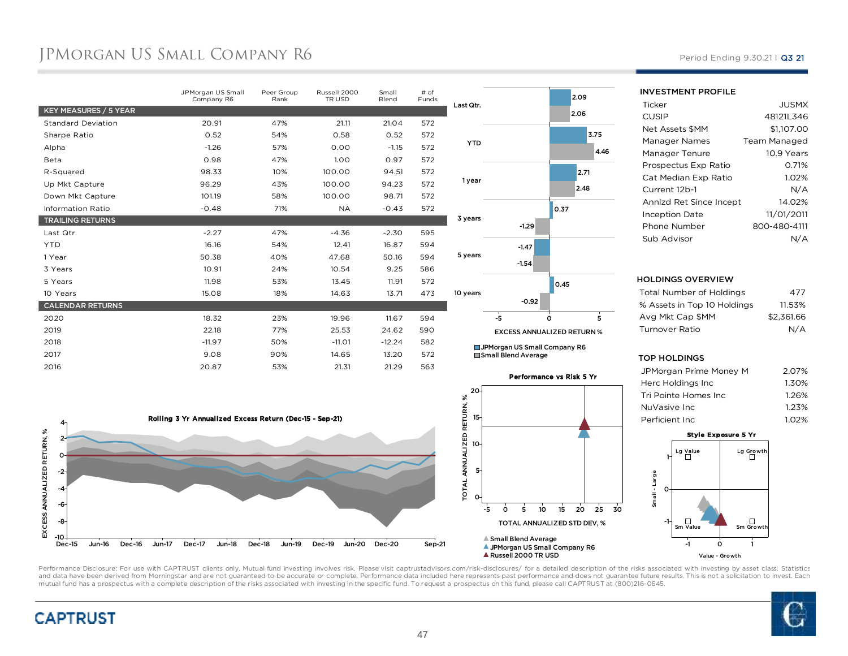## JPMORGAN US SMALL COMPANY R6 Period Ending 9.30.21 I Q3 21

|                           | JPMorgan US Small<br>Company R6 | Peer Group<br>Rank | Russell 2000<br>TR USD | Small<br>Blend | # of<br>Funds | Last Qtr.      |
|---------------------------|---------------------------------|--------------------|------------------------|----------------|---------------|----------------|
| KEY MEASURES / 5 YEAR     |                                 |                    |                        |                |               |                |
| <b>Standard Deviation</b> | 20.91                           | 47%                | 21.11                  | 21.04          | 572           |                |
| Sharpe Ratio              | 0.52                            | 54%                | 0.58                   | 0.52           | 572           |                |
| Alpha                     | $-1.26$                         | 57%                | 0.00                   | $-1.15$        | 572           | <b>YTD</b>     |
| Beta                      | 0.98                            | 47%                | 1.00                   | 0.97           | 572           |                |
| R-Squared                 | 98.33                           | 10%                | 100.00                 | 94.51          | 572           |                |
| Up Mkt Capture            | 96.29                           | 43%                | 100.00                 | 94.23          | 572           | 1 year         |
| Down Mkt Capture          | 101.19                          | 58%                | 100.00                 | 98.71          | 572           |                |
| <b>Information Ratio</b>  | $-0.48$                         | 71%                | <b>NA</b>              | $-0.43$        | 572           |                |
| <b>TRAILING RETURNS</b>   |                                 |                    |                        |                |               | 3 years        |
| Last Qtr.                 | $-2.27$                         | 47%                | $-4.36$                | $-2.30$        | 595           |                |
| <b>YTD</b>                | 16.16                           | 54%                | 12.41                  | 16.87          | 594           |                |
| 1 Year                    | 50.38                           | 40%                | 47.68                  | 50.16          | 594           | 5 years        |
| 3 Years                   | 10.91                           | 24%                | 10.54                  | 9.25           | 586           |                |
| 5 Years                   | 11.98                           | 53%                | 13.45                  | 11.91          | 572           |                |
| 10 Years                  | 15.08                           | 18%                | 14.63                  | 13.71          | 473           | 10 years       |
| <b>CALENDAR RETURNS</b>   |                                 |                    |                        |                |               |                |
| 2020                      | 18.32                           | 23%                | 19.96                  | 11.67          | 594           |                |
| 2019                      | 22.18                           | 77%                | 25.53                  | 24.62          | 590           |                |
| 2018                      | $-11.97$                        | 50%                | $-11.01$               | $-12.24$       | 582           | <b>Sept 15</b> |
| 2017                      | 9.08                            | 90%                | 14.65                  | 13.20          | 572           | $\Box$ Sm      |
| 2016                      | 20.87                           | 53%                | 21.31                  | 21.29          | 563           |                |
|                           |                                 |                    |                        |                |               |                |



**Jorgan US Small Company R6** all Blend Average





#### INVESTMENT PROFILE**Ticker**  JUSMXP 48121L346 CUSIPNet Assets \$MM\$1,107.00<br>Team Managed Manager Names 10.9 Years Manager TenureProspectus Exp Ratio 0.71% 1.02%Cat Median Exp Ratio $N/A$ Current 12b-114.02% Annlzd Ret Since Incept 11/01/2011 Inception DatePhone Number 800-480-4111 Sub AdvisorN/A

#### HOLDINGS OVERVIEW

| Total Number of Holdings    | 477        |
|-----------------------------|------------|
| % Assets in Top 10 Holdings | 11.53%     |
| Avg Mkt Cap \$MM            | \$2.361.66 |
| Turnover Ratio              | N/A        |
|                             |            |

#### TOP HOLDINGS

| JPMorgan Prime Money M | 2.07% |
|------------------------|-------|
| Herc Holdings Inc.     | 1.30% |
| Tri Pointe Homes Inc   | 1.26% |
| NuVasive Inc.          | 1.23% |
| Perficient Inc.        | 1.02% |
|                        |       |





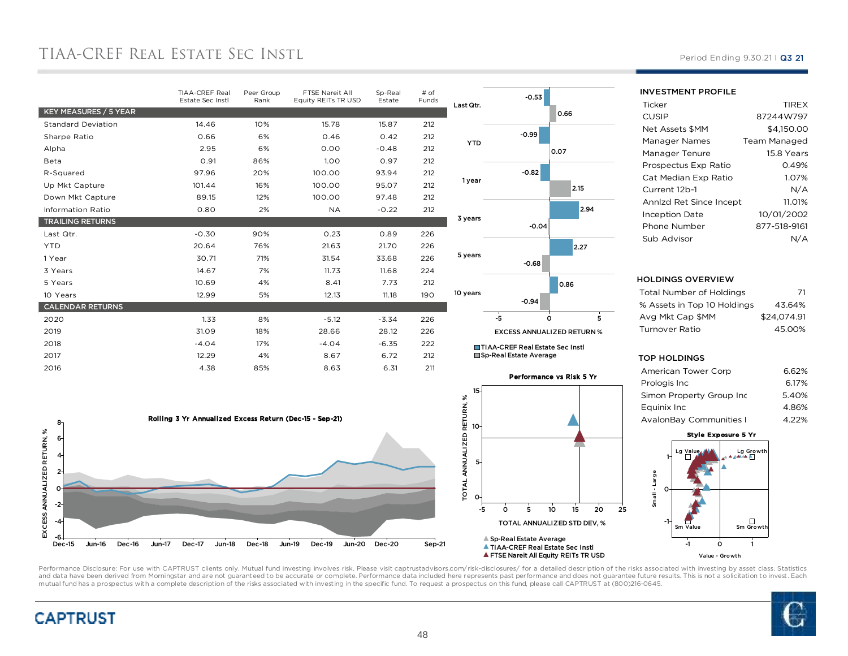## TIAA-CREF REAL ESTATE SEC INSTL

| TIAA-CREF Real<br>Estate Sec Instl | Peer Group<br>Rank | FTSE Nareit All<br>Equity REITs TR USD | Sp-Real<br>Estate | # of<br>Funds | Las                     |
|------------------------------------|--------------------|----------------------------------------|-------------------|---------------|-------------------------|
|                                    |                    |                                        |                   |               |                         |
| 14.46                              | 10%                | 15.78                                  | 15.87             | 212           |                         |
| 0.66                               | 6%                 | 0.46                                   | 0.42              | 212           |                         |
| 2.95                               | 6%                 | 0.00                                   | $-0.48$           | 212           |                         |
| 0.91                               | 86%                | 1.00                                   | 0.97              | 212           |                         |
| 97.96                              | 20%                | 100.00                                 | 93.94             | 212           |                         |
| 101.44                             | 16%                | 100.00                                 | 95.07             | 212           |                         |
| 89.15                              | 12%                | 100.00                                 | 97.48             | 212           |                         |
| 0.80                               | 2%                 | <b>NA</b>                              | $-0.22$           | 212           |                         |
|                                    |                    |                                        |                   |               | $\overline{\mathbf{3}}$ |
| $-0.30$                            | 90%                | 0.23                                   | 0.89              | 226           |                         |
| 20.64                              | 76%                | 21.63                                  | 21.70             | 226           |                         |
| 30.71                              | 71%                | 31.54                                  | 33.68             | 226           | 5                       |
| 14.67                              | 7%                 | 11.73                                  | 11.68             | 224           |                         |
| 10.69                              | 4%                 | 8.41                                   | 7.73              | 212           |                         |
| 12.99                              | 5%                 | 12.13                                  | 11.18             | 190           | 10 <sup>1</sup>         |
|                                    |                    |                                        |                   |               |                         |
| 1.33                               | 8%                 | $-5.12$                                | $-3.34$           | 226           |                         |
| 31.09                              | 18%                | 28.66                                  | 28.12             | 226           |                         |
| $-4.04$                            | 17%                | $-4.04$                                | $-6.35$           | 222           |                         |
| 12.29                              | 4%                 | 8.67                                   | 6.72              | 212           |                         |
| 4.38                               | 85%                | 8.63                                   | 6.31              | 211           |                         |
|                                    |                    |                                        |                   |               |                         |





■ The Corea Treate Average



#### Period Ending 9.30.21 | Q3 21

INVESTMENT PROFILE

| Ticker                  | <b>TIREX</b>        |
|-------------------------|---------------------|
| CUSIP                   | 87244W797           |
| Net Assets \$MM         | \$4,150.00          |
| Manager Names           | <b>Team Managed</b> |
| Manager Tenure          | 15.8 Years          |
| Prospectus Exp Ratio    | 0.49%               |
| Cat Median Exp Ratio    | 1.07%               |
| Current 12b-1           | N/A                 |
| Annlzd Ret Since Incept | 11.01%              |
| Inception Date          | 10/01/2002          |
| Phone Number            | 877-518-9161        |
| Sub Advisor             | N/A                 |

#### HOLDINGS OVERVIEW

| Total Number of Holdings    | -71         |
|-----------------------------|-------------|
| % Assets in Top 10 Holdings | 43.64%      |
| Avg Mkt Cap \$MM            | \$24.074.91 |
| Turnover Ratio              | 45.00%      |
|                             |             |

#### TOP HOLDINGS

| American Tower Corp            | 6.62% |
|--------------------------------|-------|
| Prologis Inc                   | 6.17% |
| Simon Property Group Inc       | 5.40% |
| Equinix Inc                    | 4.86% |
| <b>AvalonBay Communities I</b> | 4.22% |
|                                |       |

### Style Exposure 5 Yr





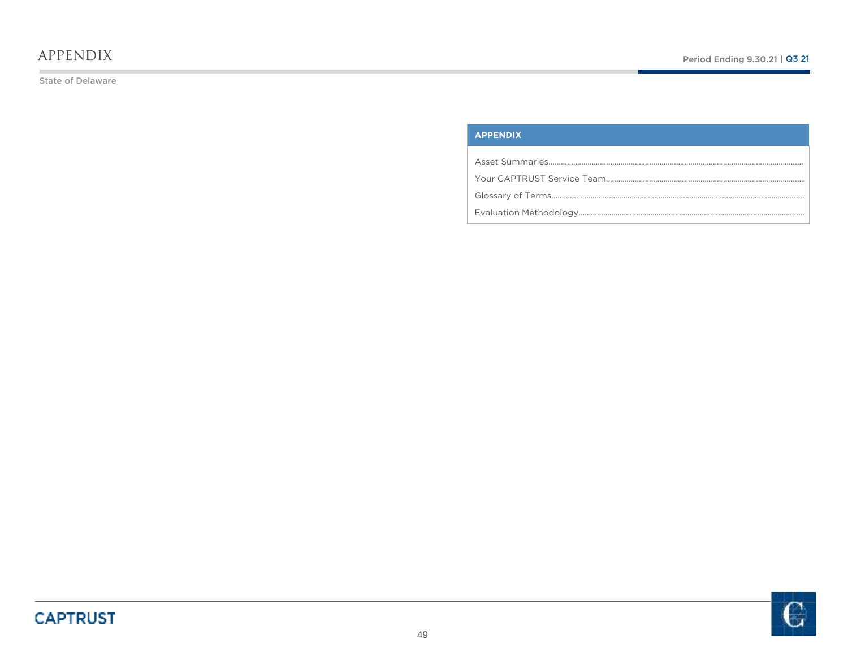### appendix

State of Delaware

### **APPENDIX**

Asset Summaries….…………………………………………………………………………………………………………Your CAPTRUST Service Team…………………………………………………………………………………….Glossary of Terms……………………………………………………………………………………………………………Evaluation Methodology………………………………………………………………………………………………..

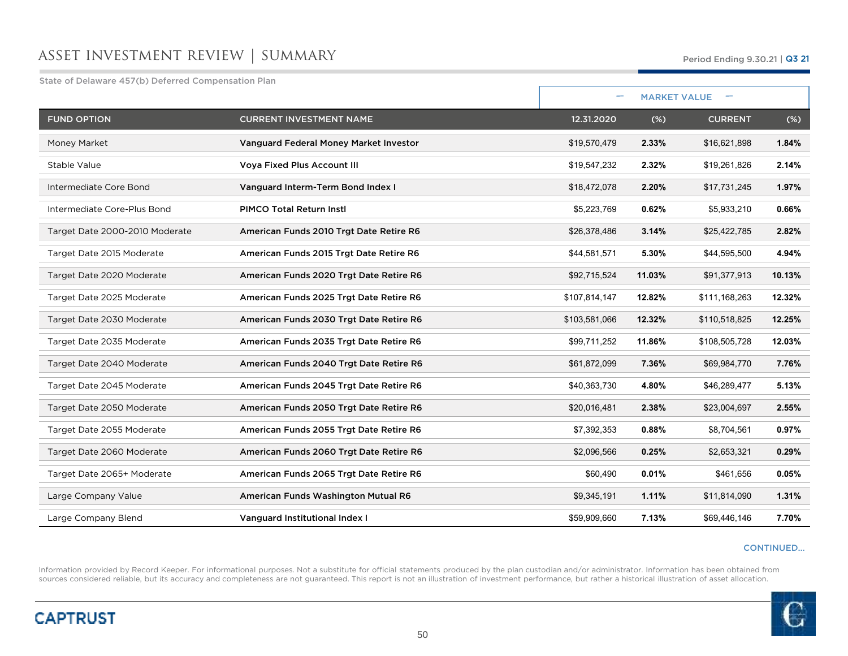### asset investment review | summary

State of Delaware 457(b) Deferred Compensation Plan

| otate of Delaware 497 (b) Deferred Compensation Fight |                                               | ۰             |        |                     |        |
|-------------------------------------------------------|-----------------------------------------------|---------------|--------|---------------------|--------|
|                                                       |                                               |               |        | <b>MARKET VALUE</b> |        |
| <b>FUND OPTION</b>                                    | <b>CURRENT INVESTMENT NAME</b>                | 12.31.2020    | $(\%)$ | <b>CURRENT</b>      | $(\%)$ |
| Money Market                                          | <b>Vanguard Federal Money Market Investor</b> | \$19,570,479  | 2.33%  | \$16,621,898        | 1.84%  |
| Stable Value                                          | Voya Fixed Plus Account III                   | \$19,547,232  | 2.32%  | \$19,261,826        | 2.14%  |
| Intermediate Core Bond                                | Vanguard Interm-Term Bond Index I             | \$18,472,078  | 2.20%  | \$17,731,245        | 1.97%  |
| Intermediate Core-Plus Bond                           | <b>PIMCO Total Return Instl</b>               | \$5,223,769   | 0.62%  | \$5,933,210         | 0.66%  |
| Target Date 2000-2010 Moderate                        | American Funds 2010 Trgt Date Retire R6       | \$26,378,486  | 3.14%  | \$25,422,785        | 2.82%  |
| Target Date 2015 Moderate                             | American Funds 2015 Trgt Date Retire R6       | \$44,581,571  | 5.30%  | \$44,595,500        | 4.94%  |
| Target Date 2020 Moderate                             | American Funds 2020 Trgt Date Retire R6       | \$92,715,524  | 11.03% | \$91,377,913        | 10.13% |
| Target Date 2025 Moderate                             | American Funds 2025 Trgt Date Retire R6       | \$107,814,147 | 12.82% | \$111,168,263       | 12.32% |
| Target Date 2030 Moderate                             | American Funds 2030 Trgt Date Retire R6       | \$103,581,066 | 12.32% | \$110,518,825       | 12.25% |
| Target Date 2035 Moderate                             | American Funds 2035 Trgt Date Retire R6       | \$99,711,252  | 11.86% | \$108,505,728       | 12.03% |
| Target Date 2040 Moderate                             | American Funds 2040 Trgt Date Retire R6       | \$61,872,099  | 7.36%  | \$69,984,770        | 7.76%  |
| Target Date 2045 Moderate                             | American Funds 2045 Trgt Date Retire R6       | \$40,363,730  | 4.80%  | \$46,289,477        | 5.13%  |
| Target Date 2050 Moderate                             | American Funds 2050 Trgt Date Retire R6       | \$20,016,481  | 2.38%  | \$23,004,697        | 2.55%  |
| Target Date 2055 Moderate                             | American Funds 2055 Trgt Date Retire R6       | \$7,392,353   | 0.88%  | \$8,704,561         | 0.97%  |
| Target Date 2060 Moderate                             | American Funds 2060 Trgt Date Retire R6       | \$2,096,566   | 0.25%  | \$2,653,321         | 0.29%  |
| Target Date 2065+ Moderate                            | American Funds 2065 Trgt Date Retire R6       | \$60,490      | 0.01%  | \$461,656           | 0.05%  |
| Large Company Value                                   | American Funds Washington Mutual R6           | \$9,345,191   | 1.11%  | \$11,814,090        | 1.31%  |
| Large Company Blend                                   | Vanguard Institutional Index I                | \$59,909,660  | 7.13%  | \$69,446,146        | 7.70%  |

#### CONTINUED…

Information provided by Record Keeper. For informational purposes. Not a substitute for official statements produced by the plan custodian and/or administrator. Information has been obtained from<br>sources considered reliabl

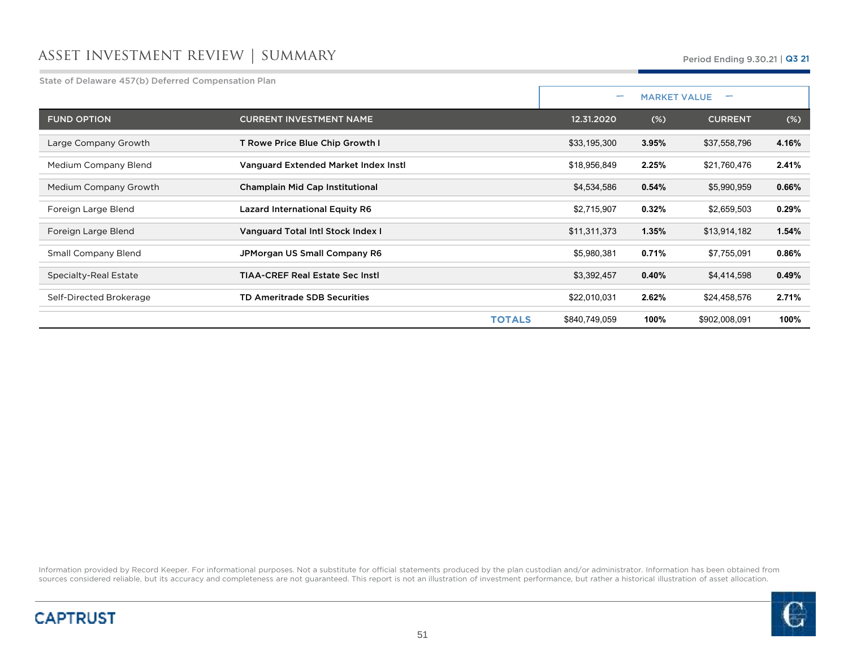### asset investment review | summary

State of Delaware 457(b) Deferred Compensation Plan

|                         |                                         |               | $\overline{\phantom{0}}$ | <b>MARKET VALUE</b> |        |
|-------------------------|-----------------------------------------|---------------|--------------------------|---------------------|--------|
| <b>FUND OPTION</b>      | <b>CURRENT INVESTMENT NAME</b>          | 12.31.2020    | $(\%)$                   | <b>CURRENT</b>      | $(\%)$ |
| Large Company Growth    | T Rowe Price Blue Chip Growth I         | \$33,195,300  | 3.95%                    | \$37,558,796        | 4.16%  |
| Medium Company Blend    | Vanguard Extended Market Index Insti    | \$18,956,849  | 2.25%                    | \$21,760,476        | 2.41%  |
| Medium Company Growth   | Champlain Mid Cap Institutional         | \$4,534,586   | 0.54%                    | \$5,990,959         | 0.66%  |
| Foreign Large Blend     | <b>Lazard International Equity R6</b>   | \$2,715,907   | 0.32%                    | \$2,659,503         | 0.29%  |
| Foreign Large Blend     | Vanguard Total Intl Stock Index I       | \$11,311,373  | 1.35%                    | \$13,914,182        | 1.54%  |
| Small Company Blend     | JPMorgan US Small Company R6            | \$5,980,381   | 0.71%                    | \$7,755,091         | 0.86%  |
| Specialty-Real Estate   | <b>TIAA-CREF Real Estate Sec Instl.</b> | \$3,392,457   | 0.40%                    | \$4,414,598         | 0.49%  |
| Self-Directed Brokerage | TD Ameritrade SDB Securities            | \$22,010,031  | 2.62%                    | \$24,458,576        | 2.71%  |
|                         | <b>TOTALS</b>                           | \$840,749,059 | 100%                     | \$902,008,091       | 100%   |

Information provided by Record Keeper. For informational purposes. Not a substitute for official statements produced by the plan custodian and/or administrator. Information has been obtained from<br>sources considered reliabl



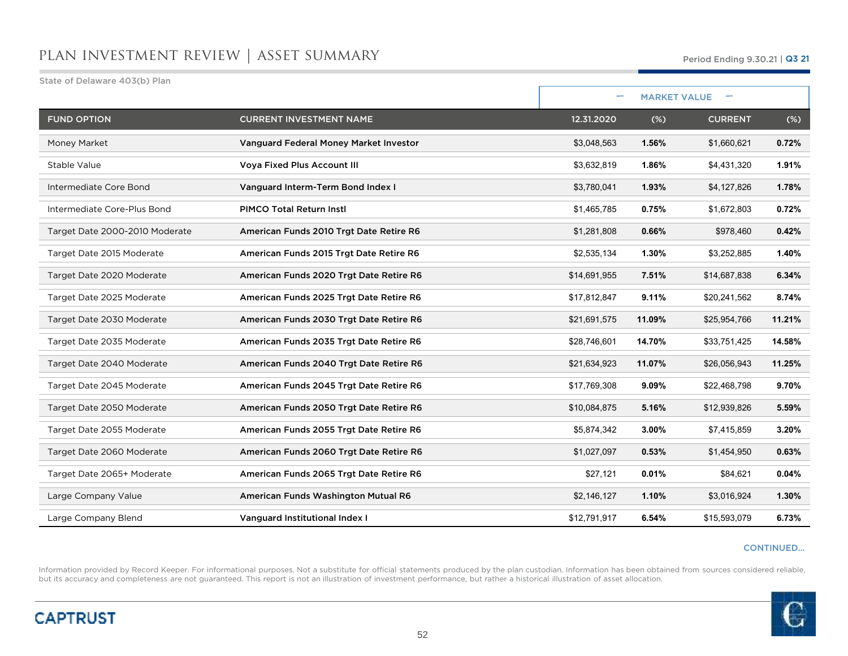| State of Delaware 403(b) Plan  |                                         |              |        |                     |        |
|--------------------------------|-----------------------------------------|--------------|--------|---------------------|--------|
|                                |                                         |              |        | <b>MARKET VALUE</b> |        |
| <b>FUND OPTION</b>             | <b>CURRENT INVESTMENT NAME</b>          | 12.31.2020   | (%)    | <b>CURRENT</b>      | $(\%)$ |
| Money Market                   | Vanguard Federal Money Market Investor  | \$3,048,563  | 1.56%  | \$1,660,621         | 0.72%  |
| Stable Value                   | <b>Voya Fixed Plus Account III</b>      | \$3,632,819  | 1.86%  | \$4,431,320         | 1.91%  |
| Intermediate Core Bond         | Vanguard Interm-Term Bond Index I       | \$3,780,041  | 1.93%  | \$4,127,826         | 1.78%  |
| Intermediate Core-Plus Bond    | <b>PIMCO Total Return Instl</b>         | \$1,465,785  | 0.75%  | \$1,672,803         | 0.72%  |
| Target Date 2000-2010 Moderate | American Funds 2010 Trgt Date Retire R6 | \$1,281,808  | 0.66%  | \$978,460           | 0.42%  |
| Target Date 2015 Moderate      | American Funds 2015 Trgt Date Retire R6 | \$2,535,134  | 1.30%  | \$3,252,885         | 1.40%  |
| Target Date 2020 Moderate      | American Funds 2020 Trgt Date Retire R6 | \$14,691,955 | 7.51%  | \$14,687,838        | 6.34%  |
| Target Date 2025 Moderate      | American Funds 2025 Trgt Date Retire R6 | \$17,812,847 | 9.11%  | \$20,241,562        | 8.74%  |
| Target Date 2030 Moderate      | American Funds 2030 Trgt Date Retire R6 | \$21,691,575 | 11.09% | \$25,954,766        | 11.21% |
| Target Date 2035 Moderate      | American Funds 2035 Trgt Date Retire R6 | \$28,746,601 | 14.70% | \$33,751,425        | 14.58% |
| Target Date 2040 Moderate      | American Funds 2040 Trgt Date Retire R6 | \$21,634,923 | 11.07% | \$26,056,943        | 11.25% |
| Target Date 2045 Moderate      | American Funds 2045 Trgt Date Retire R6 | \$17,769,308 | 9.09%  | \$22,468,798        | 9.70%  |
| Target Date 2050 Moderate      | American Funds 2050 Trgt Date Retire R6 | \$10,084,875 | 5.16%  | \$12,939,826        | 5.59%  |
| Target Date 2055 Moderate      | American Funds 2055 Trgt Date Retire R6 | \$5,874,342  | 3.00%  | \$7,415,859         | 3.20%  |
| Target Date 2060 Moderate      | American Funds 2060 Trgt Date Retire R6 | \$1,027,097  | 0.53%  | \$1,454,950         | 0.63%  |
| Target Date 2065+ Moderate     | American Funds 2065 Trgt Date Retire R6 | \$27,121     | 0.01%  | \$84,621            | 0.04%  |
| Large Company Value            | American Funds Washington Mutual R6     | \$2,146,127  | 1.10%  | \$3,016,924         | 1.30%  |
| Large Company Blend            | Vanguard Institutional Index I          | \$12,791,917 | 6.54%  | \$15,593,079        | 6.73%  |

#### CONTINUED…

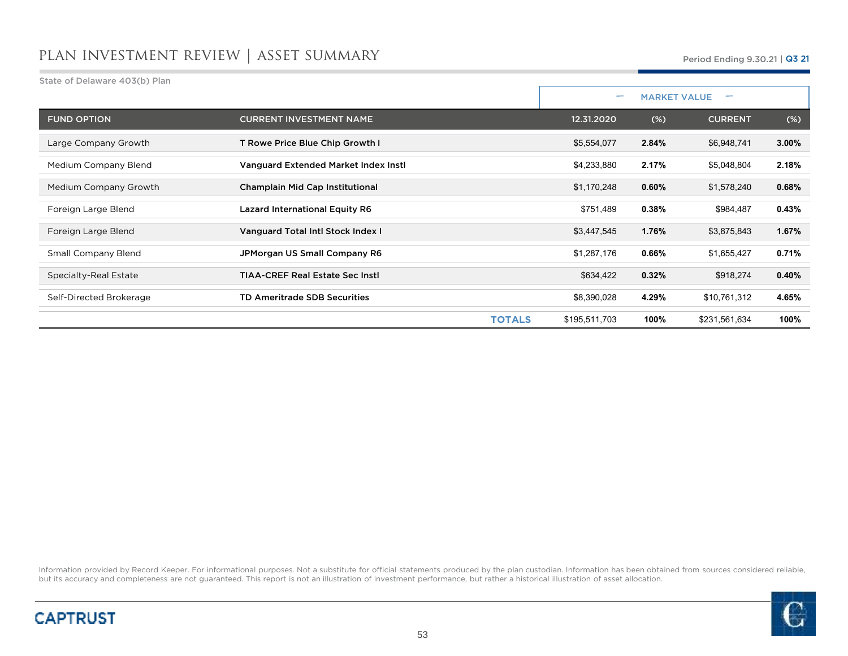| State of Delaware 403(b) Plan |                                         |               |                          |                     |        |
|-------------------------------|-----------------------------------------|---------------|--------------------------|---------------------|--------|
|                               |                                         |               | $\overline{\phantom{0}}$ | <b>MARKET VALUE</b> |        |
| <b>FUND OPTION</b>            | <b>CURRENT INVESTMENT NAME</b>          | 12.31.2020    | (%)                      | <b>CURRENT</b>      | $(\%)$ |
| Large Company Growth          | T Rowe Price Blue Chip Growth I         | \$5,554,077   | 2.84%                    | \$6,948,741         | 3.00%  |
| Medium Company Blend          | Vanguard Extended Market Index Instl    | \$4,233,880   | 2.17%                    | \$5,048,804         | 2.18%  |
| Medium Company Growth         | Champlain Mid Cap Institutional         | \$1,170,248   | 0.60%                    | \$1,578,240         | 0.68%  |
| Foreign Large Blend           | <b>Lazard International Equity R6</b>   | \$751,489     | 0.38%                    | \$984,487           | 0.43%  |
| Foreign Large Blend           | Vanguard Total Intl Stock Index I       | \$3,447,545   | 1.76%                    | \$3,875,843         | 1.67%  |
| <b>Small Company Blend</b>    | JPMorgan US Small Company R6            | \$1,287,176   | 0.66%                    | \$1,655,427         | 0.71%  |
| Specialty-Real Estate         | <b>TIAA-CREF Real Estate Sec Instl.</b> | \$634,422     | 0.32%                    | \$918,274           | 0.40%  |
| Self-Directed Brokerage       | <b>TD Ameritrade SDB Securities</b>     | \$8,390,028   | 4.29%                    | \$10,761,312        | 4.65%  |
|                               | <b>TOTALS</b>                           | \$195,511,703 | 100%                     | \$231,561,634       | 100%   |



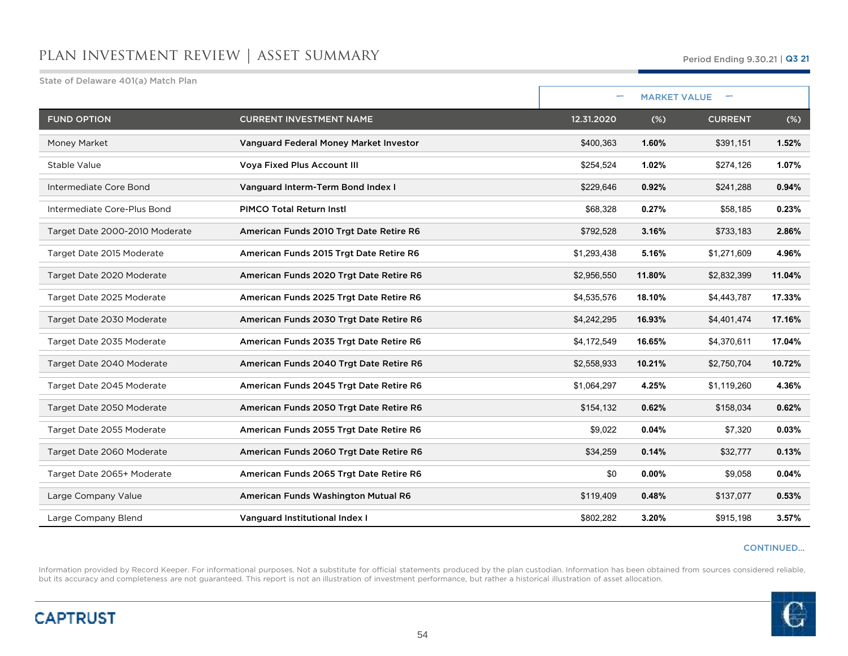| State of Delaware 401(a) Match Plan |                                         |                          |        |                     |        |
|-------------------------------------|-----------------------------------------|--------------------------|--------|---------------------|--------|
|                                     |                                         | $\overline{\phantom{0}}$ |        | <b>MARKET VALUE</b> |        |
| <b>FUND OPTION</b>                  | <b>CURRENT INVESTMENT NAME</b>          | 12.31.2020               | (%)    | <b>CURRENT</b>      | $(\%)$ |
| Money Market                        | Vanguard Federal Money Market Investor  | \$400,363                | 1.60%  | \$391,151           | 1.52%  |
| Stable Value                        | <b>Voya Fixed Plus Account III</b>      | \$254,524                | 1.02%  | \$274,126           | 1.07%  |
| Intermediate Core Bond              | Vanguard Interm-Term Bond Index I       | \$229.646                | 0.92%  | \$241,288           | 0.94%  |
| Intermediate Core-Plus Bond         | <b>PIMCO Total Return Instl</b>         | \$68,328                 | 0.27%  | \$58,185            | 0.23%  |
| Target Date 2000-2010 Moderate      | American Funds 2010 Trgt Date Retire R6 | \$792,528                | 3.16%  | \$733,183           | 2.86%  |
| Target Date 2015 Moderate           | American Funds 2015 Trgt Date Retire R6 | \$1,293,438              | 5.16%  | \$1,271,609         | 4.96%  |
| Target Date 2020 Moderate           | American Funds 2020 Trgt Date Retire R6 | \$2,956,550              | 11.80% | \$2,832,399         | 11.04% |
| Target Date 2025 Moderate           | American Funds 2025 Trgt Date Retire R6 | \$4,535,576              | 18.10% | \$4,443,787         | 17.33% |
| Target Date 2030 Moderate           | American Funds 2030 Trgt Date Retire R6 | \$4,242,295              | 16.93% | \$4,401,474         | 17.16% |
| Target Date 2035 Moderate           | American Funds 2035 Trgt Date Retire R6 | \$4,172,549              | 16.65% | \$4,370,611         | 17.04% |
| Target Date 2040 Moderate           | American Funds 2040 Trgt Date Retire R6 | \$2,558,933              | 10.21% | \$2,750,704         | 10.72% |
| Target Date 2045 Moderate           | American Funds 2045 Trgt Date Retire R6 | \$1,064,297              | 4.25%  | \$1,119,260         | 4.36%  |
| Target Date 2050 Moderate           | American Funds 2050 Trgt Date Retire R6 | \$154,132                | 0.62%  | \$158,034           | 0.62%  |
| Target Date 2055 Moderate           | American Funds 2055 Trgt Date Retire R6 | \$9,022                  | 0.04%  | \$7,320             | 0.03%  |
| Target Date 2060 Moderate           | American Funds 2060 Trgt Date Retire R6 | \$34,259                 | 0.14%  | \$32,777            | 0.13%  |
| Target Date 2065+ Moderate          | American Funds 2065 Trgt Date Retire R6 | \$0                      | 0.00%  | \$9,058             | 0.04%  |
| Large Company Value                 | American Funds Washington Mutual R6     | \$119,409                | 0.48%  | \$137,077           | 0.53%  |
| Large Company Blend                 | Vanguard Institutional Index I          | \$802,282                | 3.20%  | \$915,198           | 3.57%  |

#### CONTINUED…

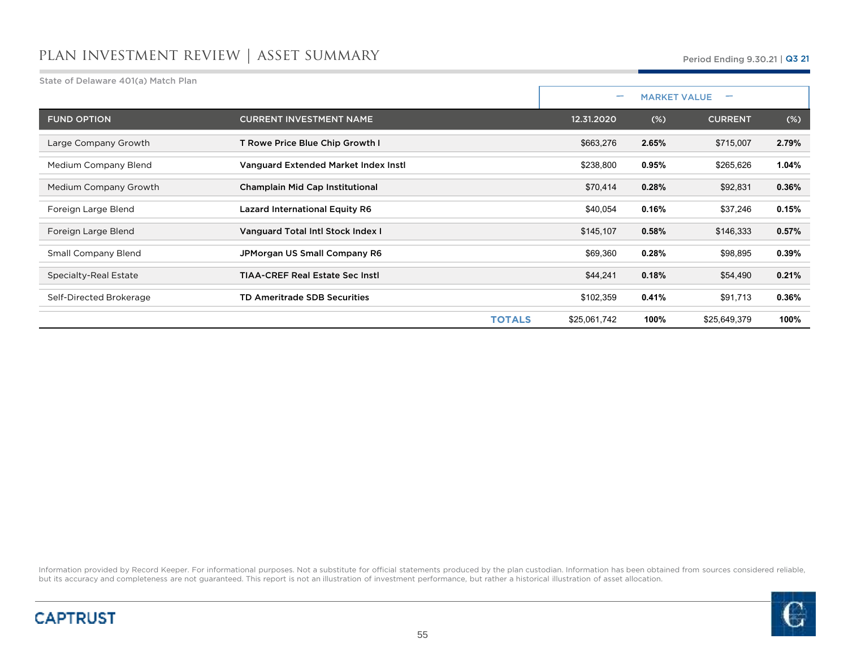State of Delaware 401(a) Match Plan

|                            |                                         | $\overline{\phantom{0}}$ |       | <b>MARKET VALUE</b> |        |
|----------------------------|-----------------------------------------|--------------------------|-------|---------------------|--------|
| <b>FUND OPTION</b>         | <b>CURRENT INVESTMENT NAME</b>          | 12.31.2020               | (%)   | <b>CURRENT</b>      | $(\%)$ |
| Large Company Growth       | T Rowe Price Blue Chip Growth I         | \$663,276                | 2.65% | \$715,007           | 2.79%  |
| Medium Company Blend       | Vanguard Extended Market Index Instl    | \$238,800                | 0.95% | \$265,626           | 1.04%  |
| Medium Company Growth      | Champlain Mid Cap Institutional         | \$70,414                 | 0.28% | \$92,831            | 0.36%  |
| Foreign Large Blend        | <b>Lazard International Equity R6</b>   | \$40,054                 | 0.16% | \$37,246            | 0.15%  |
| Foreign Large Blend        | Vanguard Total Intl Stock Index I       | \$145,107                | 0.58% | \$146,333           | 0.57%  |
| <b>Small Company Blend</b> | JPMorgan US Small Company R6            | \$69,360                 | 0.28% | \$98,895            | 0.39%  |
| Specialty-Real Estate      | <b>TIAA-CREF Real Estate Sec Instl.</b> | \$44,241                 | 0.18% | \$54,490            | 0.21%  |
| Self-Directed Brokerage    | <b>TD Ameritrade SDB Securities</b>     | \$102,359                | 0.41% | \$91,713            | 0.36%  |
|                            | <b>TOTALS</b>                           | \$25,061,742             | 100%  | \$25,649,379        | 100%   |



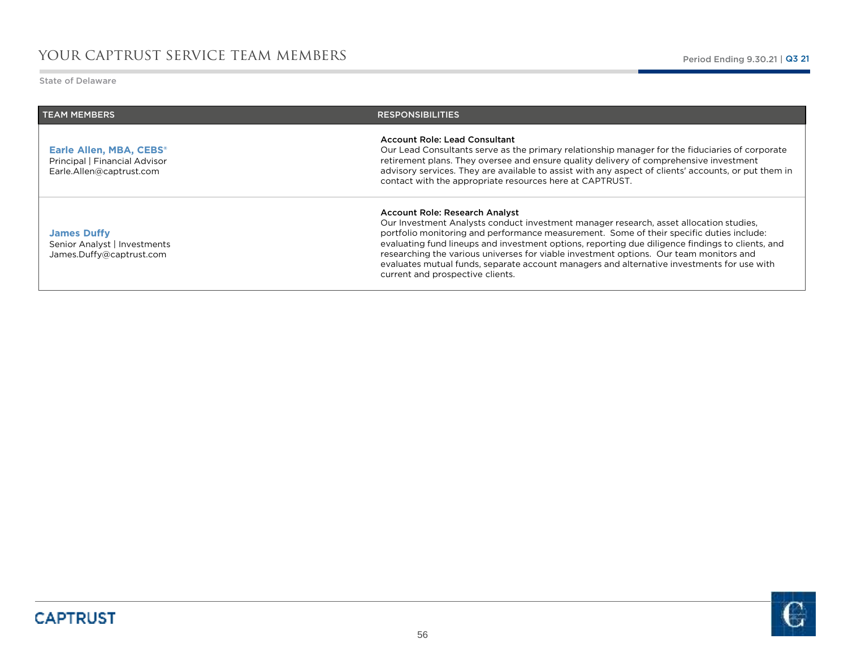State of Delaware

| <b>TEAM MEMBERS</b>                                                                  | <b>RESPONSIBILITIES</b>                                                                                                                                                                                                                                                                                                                                                                                                                                                                                                                              |
|--------------------------------------------------------------------------------------|------------------------------------------------------------------------------------------------------------------------------------------------------------------------------------------------------------------------------------------------------------------------------------------------------------------------------------------------------------------------------------------------------------------------------------------------------------------------------------------------------------------------------------------------------|
| Earle Allen, MBA, CEBS®<br>Principal   Financial Advisor<br>Earle.Allen@captrust.com | <b>Account Role: Lead Consultant</b><br>Our Lead Consultants serve as the primary relationship manager for the fiduciaries of corporate<br>retirement plans. They oversee and ensure quality delivery of comprehensive investment<br>advisory services. They are available to assist with any aspect of clients' accounts, or put them in<br>contact with the appropriate resources here at CAPTRUST.                                                                                                                                                |
| <b>James Duffy</b><br>Senior Analyst   Investments<br>James.Duffy@captrust.com       | Account Role: Research Analyst<br>Our Investment Analysts conduct investment manager research, asset allocation studies,<br>portfolio monitoring and performance measurement. Some of their specific duties include:<br>evaluating fund lineups and investment options, reporting due diligence findings to clients, and<br>researching the various universes for viable investment options. Our team monitors and<br>evaluates mutual funds, separate account managers and alternative investments for use with<br>current and prospective clients. |

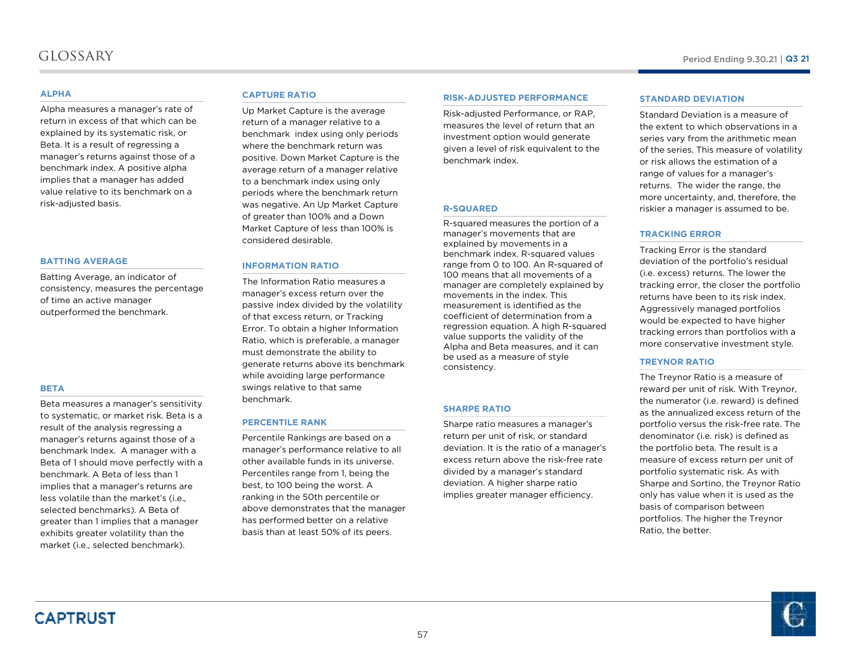### glossary

#### **ALPHA**

 Alpha measures a manager's rate of return in excess of that which can be explained by its systematic risk, or Beta. It is a result of regressing a manager's returns against those of a benchmark index. A positive alpha implies that a manager has added value relative to its benchmark on a risk-adjusted basis.

#### **BATTING AVERAGE**

Batting Average, an indicator of consistency, measures the percentage of time an active manager outperformed the benchmark.

#### **BETA**

Beta measures a manager's sensitivity to systematic, or market risk. Beta is a result of the analysis regressing a manager's returns against those of a benchmark Index. A manager with a Beta of 1 should move perfectly with a benchmark. A Beta of less than 1 implies that a manager's returns are less volatile than the market's (i.e., selected benchmarks). A Beta of greater than 1 implies that a manager exhibits greater volatility than the market (i.e., selected benchmark).

#### **CAPTURE RATIO**

 Up Market Capture is the average return of a manager relative to a benchmark index using only periods where the benchmark return was positive. Down Market Capture is the average return of a manager relative to a benchmark index using only periods where the benchmark return was negative. An Up Market Capture of greater than 100% and a Down Market Capture of less than 100% is considered desirable.

### **INFORMATION RATIO**

 The Information Ratio measures a manager's excess return over the passive index divided by the volatility of that excess return, or Tracking Error. To obtain a higher Information Ratio, which is preferable, a manager must demonstrate the ability to generate returns above its benchmark while avoiding large performance swings relative to that same benchmark.

### **PERCENTILE RANK**

Percentile Rankings are based on a manager's performance relative to all other available funds in its universe. Percentiles range from 1, being the best, to 100 being the worst. A ranking in the 50th percentile or above demonstrates that the manager has performed better on a relative basis than at least 50% of its peers.

#### **RISK-ADJUSTED PERFORMANCE**

Risk-adjusted Performance, or RAP, measures the level of return that an investment option would generate given a level of risk equivalent to the benchmark index.

#### **R-SQUARED**

 R-squared measures the portion of a manager's movements that are explained by movements in a benchmark index. R-squared values range from 0 to 100. An R-squared of 100 means that all movements of a manager are completely explained by movements in the index. This measurement is identified as the coefficient of determination from a regression equation. <sup>A</sup> high R-squared value supports the validity of the Alpha and Beta measures, and it can be used as a measure of style consistency.

#### **SHARPE RATIO**

 Sharpe ratio measures a manager's return per unit of risk, or standard deviation. It is the ratio of a manager's excess return above the risk-free rate divided by a manager's standard deviation. A higher sharpe ratio implies greater manager efficiency.

#### **STANDARD DEVIATION**

 Standard Deviation is a measure of the extent to which observations in a series vary from the arithmetic mean of the series. This measure of volatility or risk allows the estimation of a range of values for a manager's returns. The wider the range, the more uncertainty, and, therefore, the riskier a manager is assumed to be.

#### **TRACKING ERROR**

Tracking Error is the standard deviation of the portfolio's residual (i.e. excess) returns. The lower the tracking error, the closer the portfolio returns have been to its risk index. Aggressively managed portfolios would be expected to have higher tracking errors than portfolios with a more conservative investment style.

#### **TREYNOR RATIO**

 The Treynor Ratio is a measure of reward per unit of risk. With Treynor, the numerator (i.e. reward) is defined as the annualized excess return of the portfolio versus the risk-free rate. The denominator (i.e. risk) is defined as the portfolio beta. The result is a measure of excess return per unit of portfolio systematic risk. As with Sharpe and Sortino, the Treynor Ratio only has value when it is used as the basis of comparison between portfolios. The higher the TreynorRatio, the better.